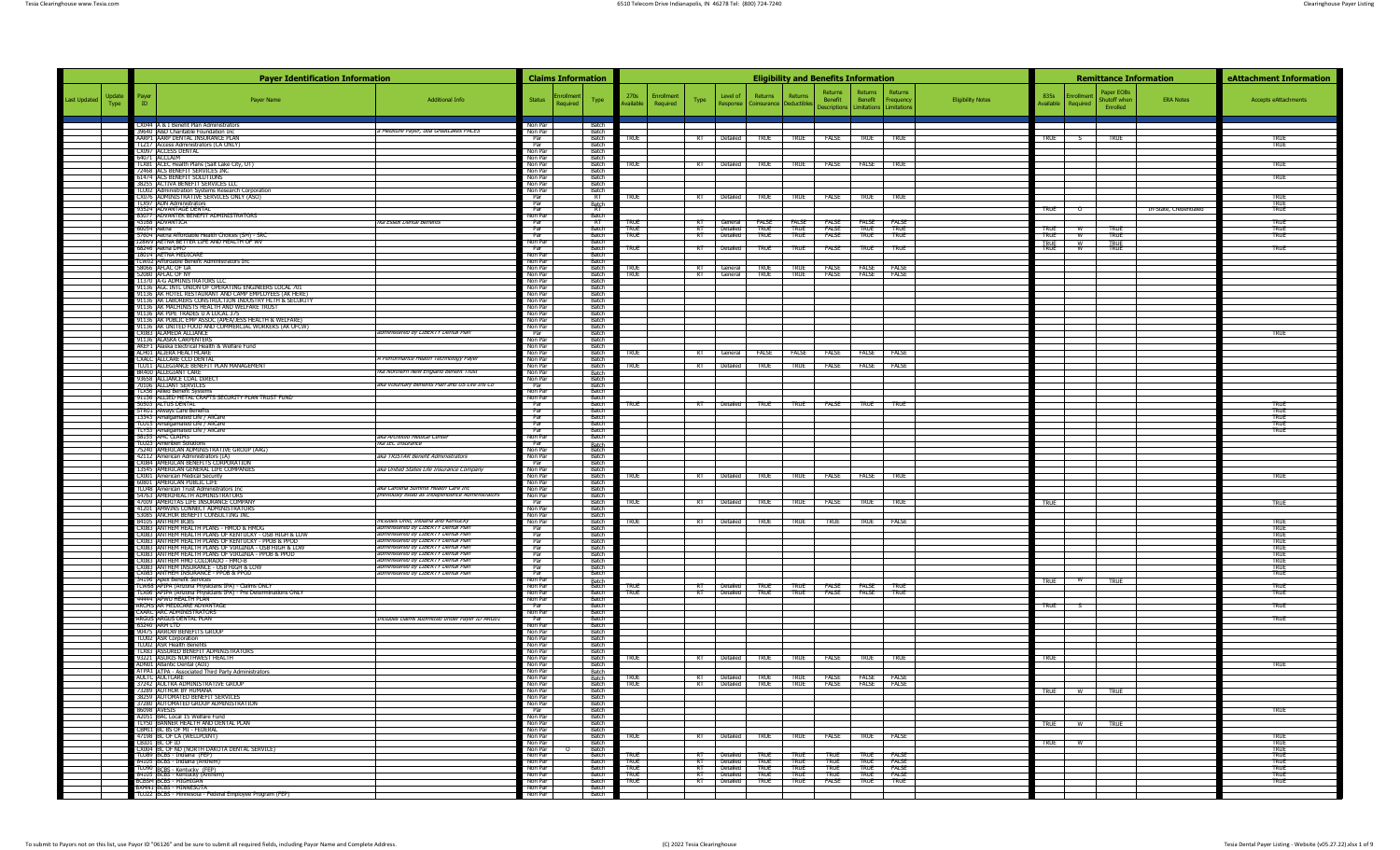|                               |       | <b>Payer Identification Information</b>                                                                                    |                                                                            |                               | <b>Claims Information</b> |                              |                            |                    |                                                                                    |                         |             | <b>Eligibility and Benefits Information</b> |                                          |                              |                          | <b>Remittance Information</b>                          |                        | eAttachment Information    |
|-------------------------------|-------|----------------------------------------------------------------------------------------------------------------------------|----------------------------------------------------------------------------|-------------------------------|---------------------------|------------------------------|----------------------------|--------------------|------------------------------------------------------------------------------------|-------------------------|-------------|---------------------------------------------|------------------------------------------|------------------------------|--------------------------|--------------------------------------------------------|------------------------|----------------------------|
| Update<br><b>Last Updated</b> | Payer | Payer Name                                                                                                                 | <b>Additional Info</b>                                                     | Status                        | rollmer                   | Type                         | 270s                       | Enrollment<br>Type | Level of                                                                           | Returns                 | Returns     | Returns<br>Benefit                          | Returns                                  | Returns<br>Benefit Frequency | <b>Eligibility Notes</b> | Paper EOBs<br>835s<br><b>Enrollmen</b><br>Shutoff when | <b>ERA Notes</b>       | Accepts eAttachments       |
| Type                          |       |                                                                                                                            |                                                                            |                               | Required                  |                              | ailable                    | Required           | Response                                                                           | Coinsurance Deductibles |             |                                             | Descriptions   Limitations   Limitations |                              |                          | Available<br>Required<br>Enrolled                      |                        |                            |
|                               |       | CX044 A & I Benefit Plan Administrators<br>39640 A&D Charitable Foundation Inc                                             | a Mediture Payer, dba GreatLakes PACES                                     | Non Par<br>Non Par            |                           | <b>Batch</b><br>- Batch      |                            |                    |                                                                                    |                         |             |                                             |                                          |                              |                          |                                                        |                        |                            |
|                               |       | AARP1 AARP DENTAL INSURANCE PLAN<br>TLZ17 Access Administrators (CA ONLY)                                                  |                                                                            | Par<br>Par                    |                           | - Batch<br>- Batch           | <b>TRUE</b>                |                    | RT   Detailed   TRUE   TRUE   FALSE   TRUE   TRUE                                  |                         |             |                                             |                                          |                              |                          | TRUE $\frac{S}{S}$<br><b>TRUE</b>                      |                        | TRUF<br><b>TRUE</b>        |
|                               |       | CX097 ACCESS DENTAL<br>64071 ACCLAIM                                                                                       |                                                                            | Non Par<br>Non Par            |                           | - Batch<br>Batch             |                            |                    |                                                                                    |                         |             |                                             |                                          |                              |                          |                                                        |                        |                            |
|                               |       | TLX81 ACEC Health Plans (Salt Lake City, UT)<br>72468 ACS BENEFIT SERVICES INC                                             |                                                                            | Non Par<br>Non Par            |                           | Batch<br>Batch               | true                       |                    | RT Detailed TRUE TRUE FALSE FALSE TRUE                                             |                         |             |                                             |                                          |                              |                          |                                                        |                        | TRUE                       |
|                               |       | 61474 ACS BENEFIT SOLUTIONS<br>38255 ACTIVA BENEFIT SERVICES LLC                                                           |                                                                            | Non Par<br>Non Par            |                           | Batch<br>Batch               |                            |                    |                                                                                    |                         |             |                                             |                                          |                              |                          |                                                        |                        | <b>TRUE</b>                |
|                               |       | TLU02 Administration Systems Research Cornoration<br>CX076 ADMINISTRATIVE SERVICES ONLY (ASO)<br>TI YO7 ADN Administrators |                                                                            | Non Par<br>Par                |                           | Batch<br>RT                  | <b>TRUE</b>                |                    | RT Detailed TRUE TRUE FALSE TRUE TRUE                                              |                         |             |                                             |                                          |                              |                          |                                                        |                        | <b>TRUE</b>                |
|                               |       | 93524 ADVANTAGE DENTAL<br>83077 ADVANTEK BENEFIT ADMINISTRATORS                                                            |                                                                            | Par<br>Par<br>Non Par         |                           | Batch<br>RT<br>Batch         |                            |                    |                                                                                    |                         |             |                                             |                                          |                              |                          | TRUE 0                                                 | In-State, Credentialed | TRUF<br><b>TRUE</b>        |
|                               |       | 43168 ADVANTICA<br>60054 Aetna                                                                                             | fka Essex Dental Benefits                                                  | Par<br>Par                    |                           | RT<br>Batch                  | <b>TRUE</b><br>TRUE        | $R$ T              | RT General FALSE FALSE FALSE FALSE FALSE<br>Detailed                               | <b>TRUE</b>             | TRUE        |                                             |                                          | <b>TRUE</b>                  |                          | true<br><b>TRUE</b>                                    |                        | <b>TRUE</b><br><b>TRUE</b> |
|                               |       | 57604 Aetna Affordable Health Choices (SM) - SRC<br>128WV AETNA BETTER LIFE AND HEALTH OF WV                               |                                                                            | Par<br>Non Par                |                           | Batch<br>- Batch             | <b>TRUE</b>                |                    | RT Detailed                                                                        | <b>TRUE</b>             | <b>TRUE</b> |                                             | FALSE TRUE<br>FALSE TRUE                 | <b>TRUE</b>                  |                          | <b>TRUE</b><br>w<br><b>TRUE</b>                        |                        | <b>TRUE</b>                |
|                               |       | 68246 Aetna DMO<br>18014 AETNA MEDICARI                                                                                    |                                                                            | Par<br>Non Par                |                           | Batch<br><b>Batch</b>        | <b>TRUE</b>                |                    | RT Detailed                                                                        | TRUE                    | TRUE        | FALSE                                       | <b>TRUE</b>                              | <b>TRUE</b>                  |                          | TRUE W<br>TRUE<br>TRUE                                 |                        | <b>TRUE</b>                |
|                               |       | TLW02 Affordable Benefit Administrators Inc<br>58066 AFLAC OF GA                                                           |                                                                            | Non Par<br>Non Par            |                           | Batch<br>Batch               | <b>TRUE</b>                |                    | RT General TRUE TRUE FALSE FALSE FALSE                                             |                         |             |                                             |                                          |                              |                          |                                                        |                        |                            |
|                               |       | 52080 AFLAC OF NY<br>11370 A-G ADMINISTRATORS LLC                                                                          |                                                                            | Non Par<br>Non Par            |                           | Batch<br><b>Batch</b>        | <b>TRUE</b>                |                    | RT   General                                                                       | <b>TRUE</b>             | <b>TRUE</b> |                                             | FALSE FALSE FALSE                        |                              |                          |                                                        |                        |                            |
|                               |       | 91136 AGC INTL UNION OF OPERATING ENGINEERS LOCAL 701<br>91136 AK HOTEL RESTAURANT AND CAMP EMPLOYEES (AK HERE)            |                                                                            | Non Par<br>Non Par            |                           | Batch<br>- Batch             |                            |                    |                                                                                    |                         |             |                                             |                                          |                              |                          |                                                        |                        |                            |
|                               |       | 91136 AK LABORERS CONSTRUCTION INDUSTRY HI TH & SECURITY<br>91136 AK MACHINISTS HEALTH AND WELFARE TRUST                   |                                                                            | Non Par<br>Non Par            |                           | <b>Batch</b><br>- Batch      |                            |                    |                                                                                    |                         |             |                                             |                                          |                              |                          |                                                        |                        |                            |
|                               |       | 91136 AK PIPE TRADES U A LOCAL 375<br>91136   AK PUBLIC EMP ASSOC (APEA/JESS HEALTH & WELFARE)                             |                                                                            | Non Par<br>Non Par            |                           | <b>Batch</b><br>Batch        |                            |                    |                                                                                    |                         |             |                                             |                                          |                              |                          |                                                        |                        |                            |
|                               |       | 91136 AK UNITED FOOD AND COMMERCIAL WORKERS (AK UFCW)<br>CX083 ALAMEDA ALLIANCE                                            | administered by LIBERTY Dental Plan                                        | Non Par<br>Par                |                           | Batch<br>Batch               |                            |                    |                                                                                    |                         |             |                                             |                                          |                              |                          |                                                        |                        | <b>TRUE</b>                |
|                               |       | 91136 ALASKA CARPENTERS<br>AKEF1 Alaska Electrical Health & Welfare Fund                                                   |                                                                            | Non Par<br>Non Par            |                           | Batch<br>Batch               |                            |                    |                                                                                    |                         |             |                                             |                                          |                              |                          |                                                        |                        |                            |
|                               |       | ALH01 ALIERA HEALTHCARE<br><b>CXALC ALLCARE CCO DENTAL</b>                                                                 | A Performance Health Technology Payer                                      | Non Par<br>Non Par            |                           | <b>Batch</b><br><b>Batch</b> | TRUE                       |                    | RT General FALSE FALSE FALSE FALSE FALSE                                           |                         |             |                                             |                                          |                              |                          |                                                        |                        |                            |
|                               |       | TLU11 ALLEGIANCE BENEFIT PLAN MANAGEMENT<br>BR400 ALLEGIANT CARE                                                           | fka Northern New England Benefit Trust                                     | Non Par<br>Non Par            |                           | Batch                        | TRUE                       |                    | RT   Detailed   TRUE   TRUE   FALSE   FALSE   FALSE                                |                         |             |                                             |                                          |                              |                          |                                                        |                        |                            |
|                               |       | 93658 ALLIANCE COAL DIRE<br>70106 ALLIANT SERVICES                                                                         | aka Voluntary Benefits Plan and US Life Ins Co                             | Non Par<br>Par                |                           | Batch<br>Batch<br>Batch      |                            |                    |                                                                                    |                         |             |                                             |                                          |                              |                          |                                                        |                        |                            |
|                               |       | <b>TLX56</b> Allied Benefit System<br>91136 ALLIED METAL CRAFTS SECURITY PLAN TRUST FUND                                   |                                                                            | Non Par<br>Non Par            |                           | Batch<br>Batch               |                            |                    |                                                                                    |                         |             |                                             |                                          |                              |                          |                                                        |                        |                            |
|                               |       | 50503 ALTUS DENTAL<br>STR01 Always Care Benefit                                                                            |                                                                            | Par<br>Par                    |                           | <b>Batch</b><br>Batch        | <b>TRUE</b>                |                    | RT Detailed TRUE TRUE FALSE TRUE TRUE                                              |                         |             |                                             |                                          |                              |                          |                                                        |                        | TRUF<br><b>TRUE</b>        |
|                               |       | 13343 Amalgamated Life / AliCare<br>TLU15 Amalgamated Life / AliCare                                                       |                                                                            | Par<br>Par                    |                           | <b>Batch</b><br>Batch        |                            |                    |                                                                                    |                         |             |                                             |                                          |                              |                          |                                                        |                        | <b>TRUE</b><br><b>TRUE</b> |
|                               |       | TLY53 Amalgamated Life / AliCare<br>58155 AMC CLAIMS                                                                       | aka Archbold Medical Center                                                | Par<br>Non Par                |                           | Batch<br>Batch               |                            |                    |                                                                                    |                         |             |                                             |                                          |                              |                          |                                                        |                        | TRUE                       |
|                               |       | <b>TLU23</b> Ameriben Solutions<br>75240 AMERICAN ADMINISTRATIVE GROUP (AAG)                                               | fka IEC Insurance                                                          | Par<br>Non Par                |                           | Batch<br>Batch               |                            |                    |                                                                                    |                         |             |                                             |                                          |                              |                          |                                                        |                        |                            |
|                               |       | 42112 American Administrators (TA)<br>CX084 AMERICAN RENEFITS CORPORATION                                                  | aka IRISTAR Benefit Administrators                                         | Non Par<br>Par                |                           | <b>Batch</b><br><b>Batch</b> |                            |                    |                                                                                    |                         |             |                                             |                                          |                              |                          |                                                        |                        |                            |
|                               |       | 13545   AMERICAN GENERAL LIFE COMPANIES<br>CX001 American Medical Security                                                 | aka United States Life Insurance Company                                   | Non Par<br>Non Par            |                           | Ratch<br><b>Batch</b>        | TRUE                       |                    | RT Detailed TRUE TRUE FALSE FALSE TRUE                                             |                         |             |                                             |                                          |                              |                          |                                                        |                        | TRUE                       |
|                               |       | 60801 AMERICAN PUBLIC LIFE<br>TLU48 American Trust Administrators Inc                                                      | aka Carolina Summit Health Care Inc                                        | Non Par<br>Non Par            |                           | Batch<br>Batch               |                            |                    |                                                                                    |                         |             |                                             |                                          |                              |                          |                                                        |                        |                            |
|                               |       | 54763 AMERIHEALTH ADMINISTRATORS<br>47009 AMERITAS LIFE INSURANCE COMPANY                                                  | previously listed as Independence Administrators                           | Non Par<br>Par                |                           | Batch<br>Batch               | <b>TRUE</b>                |                    | RT   Detailed   TRUE   TRUE   FALSE   TRUE   TRUE                                  |                         |             |                                             |                                          |                              |                          | <b>TRUE</b>                                            |                        | <b>TRUE</b>                |
|                               |       | 41201 AMWINS CONNECT ADMINISTRATORS<br>53085 ANCHOR BENEFIT CONSULTING INC.                                                |                                                                            | Non Par<br>Non Par            |                           | Batch<br>Batch               |                            |                    |                                                                                    |                         |             |                                             |                                          |                              |                          |                                                        |                        |                            |
|                               |       | 84105 ANTHEM BCBS<br>CX083 ANTHEM HEALTH PLANS - HMOD & HMOG                                                               | includes Ohio. Indiana and Kentucky<br>administered by LIBERTY Dental Plan | Non Par<br>Par                |                           | <b>Batch</b><br><b>Batch</b> | <b>TRUE</b>                |                    | RT Detailed TRUE TRUE TRUE TRUE FALSE                                              |                         |             |                                             |                                          |                              |                          |                                                        |                        | TRUE<br>TRUF               |
|                               |       | CX083 ANTHEM HEALTH PLANS OF KENTUCKY - OSB HIGH & LOW<br>CX083 ANTHEM HEALTH PLANS OF KENTUCKY - PPOB & PPOD              | administered by LIBERTY Dental Plan<br>administered by LIBERTY Dental Plan | Par<br>Par                    |                           | Batch<br>Batch               |                            |                    |                                                                                    |                         |             |                                             |                                          |                              |                          |                                                        |                        | <b>TRUE</b><br>TRUE        |
|                               |       | CX083 ANTHEM HEALTH PLANS OF VIRGINIA - OSB HIGH & LOW<br>CX083 ANTHEM HEALTH PLANS OF VIRGINIA - PPOB & PPOD              | administered by LIBERTY Dental Plan<br>administered by LIBERTY Dental Plan | Par<br>Par                    |                           | Batch<br>Batch               |                            |                    |                                                                                    |                         |             |                                             |                                          |                              |                          |                                                        |                        | <b>TRUE</b><br><b>TRUE</b> |
|                               |       | CX083 ANTHEM HMO COLORADO - HMO-B<br>CX083 ANTHEM INSURANCE - OSB HIGH & LOW                                               | administered by LIBERTY Dental Plan<br>administered by LIBERTY Dental Plan | Par<br>Par                    |                           | <b>Batch</b><br>- Batch      |                            |                    |                                                                                    |                         |             |                                             |                                          |                              |                          |                                                        |                        | <b>TRUE</b><br>TRUF        |
|                               |       | CX083 ANTHEM INSURANCE - PPOB & PPOD<br>34196 Apex Benefit Services                                                        | administered by LIBERTY Dental Plan                                        | Par<br>Non Par                |                           | Batch                        |                            |                    |                                                                                    |                         |             |                                             |                                          |                              |                          | TRUE W<br>TRUF                                         |                        | <b>TRUE</b>                |
|                               |       | TLW68 APIPA (Arizona Physicians IPA) - Claims ONLY<br>TLX06   APIPA (Arizona Physicians IPA) - Pre Determinations ONLY     |                                                                            | Non Par<br>Non Par            |                           | Batch<br>Batch<br>Batch      | <b>TRUE</b><br><b>TRUE</b> |                    | Detailed TRUE TRUE FALSE FALSE<br>RT Detailed TRUE TRUE FALSE FALSE TRUE           |                         |             |                                             |                                          | TRUF                         |                          |                                                        |                        | TRUE<br>TRUE               |
|                               |       | 44444 APWU HEALTH PLAN<br>ARCMS AR MEDICARE ADVANTAGE                                                                      |                                                                            | Non Par<br>Par                |                           | Batch<br>Batch               |                            |                    |                                                                                    |                         |             |                                             |                                          |                              |                          | TRUE S                                                 |                        | <b>TRUE</b>                |
|                               |       | <b>CXARC ARC ADMINISTRATORS</b><br>ARGUS ARGUS DENTAL PLAN                                                                 | Includes claims submitted under Payer ID ARG01                             | Non Par<br>Par                |                           | Batch<br>Batch               |                            |                    |                                                                                    |                         |             |                                             |                                          |                              |                          |                                                        |                        | <b>TRUE</b>                |
|                               |       | 63240 ARM ITD<br>90475 ARROW BENEFITS GROUP                                                                                |                                                                            | Non Par<br>Non Par            |                           | <b>Batch</b><br><b>Ratch</b> |                            |                    |                                                                                    |                         |             |                                             |                                          |                              |                          |                                                        |                        |                            |
|                               |       | <b>TLU02</b> ASR Corporation<br><b>TLU02</b> ASR Health Benefits                                                           |                                                                            | Non Par<br>Non Par            |                           | <b>Batch</b><br>Batch        |                            |                    |                                                                                    |                         |             |                                             |                                          |                              |                          |                                                        |                        |                            |
|                               |       | TLX83 ASSURED BENEFIT ADMINISTRATORS<br>93221 ASURIS NORTHWEST HEALTH                                                      |                                                                            | Non Par<br>Non Par            |                           | Batch<br>Batch               | true                       |                    | RT Detailed TRUE TRUE FALSE TRUE                                                   |                         |             |                                             |                                          | <b>TRUF</b>                  |                          | true                                                   |                        |                            |
|                               |       | ADN01 Atlantic Dental (ADI)<br>ATPA1 ATPA - Associated Third Party Administrators                                          |                                                                            | Non Par<br>Non Par            |                           | Batch<br>Batch               |                            |                    |                                                                                    |                         |             |                                             |                                          |                              |                          |                                                        |                        | <b>TRUE</b>                |
|                               |       | AULTC: AULTCARE<br>37242 AULTRA ADMINISTRATIVE GROUP                                                                       |                                                                            | Non Par<br>Non Par            |                           | Batch<br>Batch               | <b>TRUE</b><br><b>TRIF</b> |                    |                                                                                    |                         |             |                                             |                                          |                              |                          |                                                        |                        |                            |
|                               |       | 73289 AUTHOR BY HUMANA<br>38259 AUTOMATED BENEFIT SERVICES                                                                 |                                                                            | Non Par<br>Non Par            |                           | Ratch<br>Batch               |                            |                    |                                                                                    |                         |             |                                             |                                          |                              |                          | TRUE W<br><b>TRUE</b>                                  |                        |                            |
|                               |       | 37280 AUTOMATED GROUP ADMINISTRATION<br>86098 AVESIS                                                                       |                                                                            | Non Par<br>Par                |                           | Batch<br><b>Batch</b>        |                            |                    |                                                                                    |                         |             |                                             |                                          |                              |                          |                                                        |                        | <b>TRUE</b>                |
|                               |       | A2051 BAC Local 15 Welfare Fund<br>TLY50 BANNER HEALTH AND DENTAL PLAN                                                     |                                                                            | Non Par<br>Non Par            |                           | Batch<br><b>Batch</b>        |                            |                    |                                                                                    |                         |             |                                             |                                          |                              |                          | <b>TRUE</b><br><b>TRUE</b><br>W                        |                        |                            |
|                               |       | CBMT1 BC BS OF MT - FEDERAL<br>47198 BC OF CA (WELLPOINT)                                                                  |                                                                            | Non Par<br>Non Par            |                           | - Batch<br><b>Batch</b>      | <b>TRUE</b>                |                    | RT Detailed TRUE TRUE FALSE TRUE FALSE                                             |                         |             |                                             |                                          |                              |                          |                                                        |                        | <b>TRUE</b>                |
|                               |       | CBID1 BC OF ID<br>CX004 BC OF ND (NORTH DAKOTA DENTAL SERVICE)                                                             |                                                                            | Non Par<br>Non Par            |                           | - Batch<br>Batch             |                            |                    |                                                                                    |                         |             |                                             |                                          |                              |                          | TRUE<br>– w                                            |                        | TRUF<br><b>TRUE</b>        |
|                               |       | TLU89 BCBS - Indiana (FEP)<br>84105 BCBS - Indiana (Anthem)                                                                |                                                                            | Non Par<br>Non Par            |                           | Batch<br>Batch<br>Batch      | <b>TRUE</b><br><b>TRUE</b> |                    | RT Detailed TRUE TRUE TRUE TRUE FALSE<br>RT Detailed TRUE<br>RT Detailed TRUE TRUE |                         | <b>TRUE</b> | <b>TRUE</b>                                 | TRUE TRUE FAISE                          | TRUE FALSE                   |                          |                                                        |                        | TRUE<br><b>TRUE</b>        |
|                               |       | TLU90 BCBS - Kentucky (FEP)<br>84105 BCBS - Kentucky (FEP)<br><b>BCBSM RCBS - MIGHIGAN</b>                                 |                                                                            | Non Par<br>Non Par<br>Non Par |                           | Batch<br><b>Batch</b>        | <b>TRUE</b><br><b>TRUE</b> |                    | <b>RT Detailed TRUE TRUE</b><br>RT Detailed TRUE TRUE                              |                         |             | <b>TRUE</b>                                 | <b>TRUE</b><br>FALSE TRUE TRUE           | <b>FALSE</b>                 |                          |                                                        |                        | TRUE<br>TRUE               |
|                               |       | BXMN1 BCBS - MINNESOTA                                                                                                     |                                                                            | Non Par                       |                           | Batch                        | <b>TRUE</b>                |                    |                                                                                    |                         |             |                                             |                                          |                              |                          |                                                        |                        | TRUE                       |
|                               |       | TLU22 BCBS - Minnesota - Federal Employee Program (FEP)                                                                    |                                                                            | Non Par                       |                           | Batch                        |                            |                    |                                                                                    |                         |             |                                             |                                          |                              |                          |                                                        |                        |                            |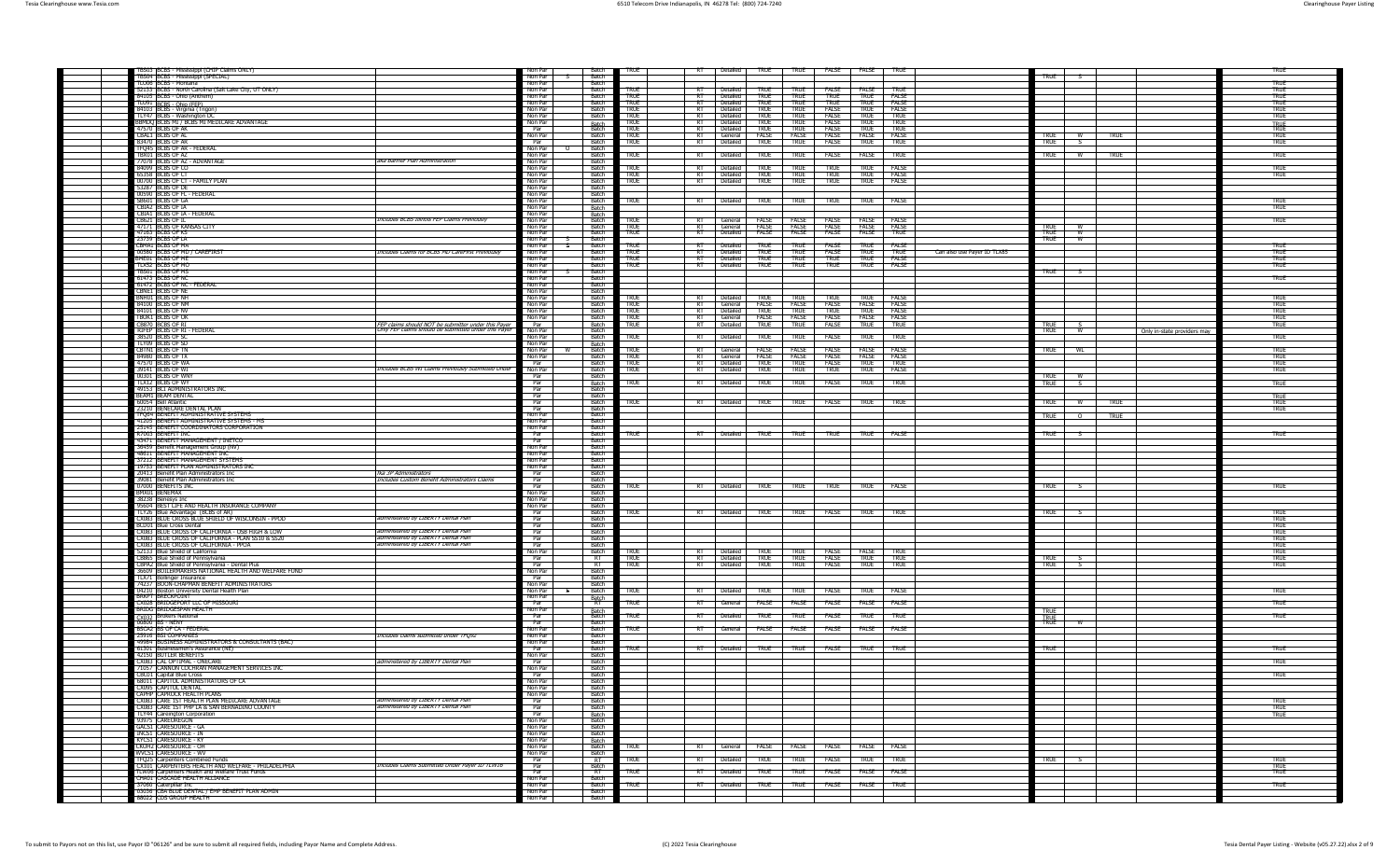| TBS03 BCBS - Mississippi (CHIP Claims ONLY)                                                           |                                                                                                            | Non Par            | <b>Batch</b>                 | TRUF                       | RT   Detailed   TRUE   TRUE   FALSE   FALSE   TRUE                 |                                                                                                                                                                                                                                                                                                                     |                              |                                                            |                             |                                           |                             | TRUF                       |
|-------------------------------------------------------------------------------------------------------|------------------------------------------------------------------------------------------------------------|--------------------|------------------------------|----------------------------|--------------------------------------------------------------------|---------------------------------------------------------------------------------------------------------------------------------------------------------------------------------------------------------------------------------------------------------------------------------------------------------------------|------------------------------|------------------------------------------------------------|-----------------------------|-------------------------------------------|-----------------------------|----------------------------|
| TBS04 BCBS - Mississippi (SPECIAL)<br>TLU06 IBCBS - Montana                                           |                                                                                                            | Non Par<br>Non Par | Batch<br>- Batch             |                            |                                                                    |                                                                                                                                                                                                                                                                                                                     |                              |                                                            |                             | <b>TRUE</b>                               |                             | <b>TRUE</b>                |
| 52133 BCBS - North Carolina (Salt Lake City, UT ONLY)                                                 |                                                                                                            | Non Par            | – Ratch                      | <b>TRUE</b>                | <b>Detailed</b><br>TRII                                            |                                                                                                                                                                                                                                                                                                                     | <b>FALSE</b>                 | <b>FAISE</b><br>TRIF                                       |                             |                                           |                             | TRUF                       |
| 84105 BCBS - Ohio (Anthem)                                                                            |                                                                                                            | Non Par<br>Non Par | - Batch<br>Batch             | TRUE<br>TRUE               | — ह⊤—<br>Detailed<br><b>TRUE</b><br>Detailed<br><b>TRUE</b><br>-RT | <b>TRUE</b><br>TRUE                                                                                                                                                                                                                                                                                                 | <b>TRUF</b><br><b>TRUE</b>   | <b>TRUE</b><br><b>FALSE</b><br><b>TRUE</b><br>FALSE        |                             |                                           |                             | <b>TRUE</b><br>TRUE        |
| TLU91 BCBS - Ohio (FEP)<br>84103 BCBS - Virginia (Trigon)                                             |                                                                                                            | Non Par            | Batch                        | <b>TRUE</b>                | RT Detailed<br><b>TRUE</b>                                         | TRUE                                                                                                                                                                                                                                                                                                                | FALSE                        | <b>TRUE</b><br>FALSE                                       |                             |                                           |                             | TRUE                       |
| TLY47 BCBS - Washington DC<br>BBMDO BCBS MI / BCBS MI MEDICARE ADVANTAGE                              |                                                                                                            | Non Par<br>Non Par | Batch                        | <b>TRUE</b><br>true        | $R$ T<br>Detailed<br>TRUF<br>RT Detailed                           | TRUE<br><b>TRUE</b><br><b>TRUE</b>                                                                                                                                                                                                                                                                                  | FALSE<br><b>FALSE</b>        | <b>TRUE</b><br>TRUE<br><b>TRUE</b><br>TRUE                 |                             |                                           |                             | TRUE                       |
| 47570 BCBS OF AK                                                                                      |                                                                                                            | Par                | Batch<br>Batch               | TRUE                       | $R$ T $-$<br><b>Detailed</b><br><b>TRUF</b>                        | TRUF                                                                                                                                                                                                                                                                                                                | <b>FALSE</b>                 | TRUF<br>TRUF                                               |                             |                                           |                             | <b>TRUE</b>                |
| CBALL BCBS OF AL<br>83470 BCBS OF AR                                                                  |                                                                                                            | Non Par<br>Par     | <b>Batch</b><br>- Ratch      | <b>TRUF</b><br>TRUE        | RT I General I FAISE I FAISE<br>RT Detailed<br><b>TRUE</b>         | <b>TRUE</b>                                                                                                                                                                                                                                                                                                         | <b>FALSE</b><br>FALSE        | <b>FALSE</b><br><b>FALSE</b><br><b>TRUE</b><br><b>TRUE</b> |                             | TRUE W<br><b>TRUE</b>                     | <b>TRUE</b>                 | TRUF<br>TRUE               |
| FQ45 BCBS OF AR - FEDERAL                                                                             |                                                                                                            | Non Par            | - Batch                      |                            |                                                                    |                                                                                                                                                                                                                                                                                                                     |                              |                                                            |                             |                                           |                             |                            |
| TBX01 BCBS OF AZ<br>77078 BCBS OF AZ - ADVANTAGE                                                      | aka Banner Plan Administration                                                                             | Non Par<br>Non Par | Batch<br>Batch               | <b>TRUE</b>                | <b>TRUE</b><br>Detailed                                            | <b>TRUE</b>                                                                                                                                                                                                                                                                                                         | <b>FALSE</b>                 | <b>FALSE</b><br>TRUE                                       |                             | <b>TRUE</b>                               | TRUE                        | true                       |
| 84099 BCBS OF CO                                                                                      |                                                                                                            | Non Par            | Batch                        | <b>TRUE</b>                | RT   Detailed<br>TRUF                                              | TRUF                                                                                                                                                                                                                                                                                                                | TRUF                         | <b>FALSE</b><br><b>TRUE</b>                                |                             |                                           |                             | <b>TRUE</b>                |
| 65358 BCBS OF CT<br>00700 BCBS OF CT - FAMILY PLAN                                                    |                                                                                                            | Non Par<br>Non Par | Batch<br>Batch               | TRUE<br><b>TRUE</b>        | RT Detailed<br>TRUE<br>RT Detailed<br><b>TRUE</b>                  | TRUE<br>TRUE                                                                                                                                                                                                                                                                                                        | <b>TRUE</b><br><b>TRUE</b>   | TRUE<br>FALSE<br><b>TRUE</b><br>FALSE                      |                             |                                           |                             | TRUE                       |
| 53287 IBCBS OF DE                                                                                     |                                                                                                            | Non Par            | - Batch                      |                            |                                                                    |                                                                                                                                                                                                                                                                                                                     |                              |                                                            |                             |                                           |                             |                            |
| 00590 BCBS OF FL - FEDERAL<br>SB601 BCBS OF GA                                                        |                                                                                                            | Non Par<br>Non Par | <b>Batch</b><br>Batch        | TRUE                       | RT Detailed TRUE                                                   | TRUE <sub>1</sub>                                                                                                                                                                                                                                                                                                   | <b>TRUE</b>                  | FALSE<br><b>TRUE</b>                                       |                             |                                           |                             | TRUF                       |
| CBIA2 BCBS OF IA                                                                                      |                                                                                                            | Non Par            | Batch                        |                            |                                                                    |                                                                                                                                                                                                                                                                                                                     |                              |                                                            |                             |                                           |                             | <b>TRUE</b>                |
| CBIA1 BCBS OF IA - FEDERAL<br>CB621 BCBS OF IL                                                        | Includes BCBS Illinois FEP Claims Previously                                                               | Non Par<br>Non Par | Batch<br>Batch               | true                       | <b>FALSE</b><br>General                                            | FALSE                                                                                                                                                                                                                                                                                                               | FALSE                        | FALSE<br><b>FALSE</b>                                      |                             |                                           |                             | <b>TRUE</b>                |
| 47171 BCBS OF KANSAS CITY<br>47163 RCBS OF KS                                                         |                                                                                                            | Non Par            | Batch                        | true                       | RT   General                                                       | <b>FALSE FALSE</b>                                                                                                                                                                                                                                                                                                  | <b>FALSE</b>                 | FALSE<br>FALSE                                             |                             | TRUE <sup>-1</sup>                        |                             |                            |
| 23739 BCBS OF LA                                                                                      |                                                                                                            | Non Par<br>Non Par | <b>Batch</b><br>l Batch      | <b>TRUE</b>                | RT Detailed<br>FALSE                                               | FALSE                                                                                                                                                                                                                                                                                                               | FALSE                        | FALSE<br>TRUE                                              |                             | TRUE <sub>1</sub><br><b>W</b><br>TRUE I W |                             |                            |
| CBMA1 BCBS OF MA                                                                                      | Includes Claims for BCBS MD CareFirst Previously                                                           | Non Par            | - Batch<br>Batch             | <b>TRUE</b>                | $R$ T<br>Detailed<br>TRUF<br>$R$ T                                 | TRUE                                                                                                                                                                                                                                                                                                                | FALSE                        | TRUF<br><b>FALSE</b>                                       |                             |                                           |                             | TRUF                       |
| 00580 BCBS OF MD / CAREFIRST<br>BME01 BCBS OF ME                                                      |                                                                                                            | Non Par<br>Non Par | <b>Batch</b>                 | TRUE<br><b>TRUE</b>        | Detailed<br><b>TRUE</b><br>RT Detailed<br><b>TRUE</b>              | <b>TRUE</b><br>TRUE                                                                                                                                                                                                                                                                                                 | FALSE<br>TRUF                | TRUE<br>TRUE<br>TRUE<br><b>FALSE</b>                       | Can also use Payer ID TLX85 |                                           |                             | <b>TRUE</b><br>TRUE        |
| <b>LX52 BCBS OF MC</b><br>TBS01 BCBS OF M:                                                            |                                                                                                            | Non Par<br>Non Par | Batch<br>Batch               | TRUE                       | RT Detailed<br><b>TRUE</b>                                         | TRUE                                                                                                                                                                                                                                                                                                                | <b>TRUE</b>                  | TRUE<br>FALSE                                              |                             | <b>TRUE</b>                               |                             | TRUE                       |
| 61473 BCBS OF NO                                                                                      |                                                                                                            | Non Par            | Batch                        |                            |                                                                    |                                                                                                                                                                                                                                                                                                                     |                              |                                                            |                             |                                           |                             | <b>TRUE</b>                |
| 61472 BCBS OF NC - FEDERAL<br>CBNE1 BCBS OF NE                                                        |                                                                                                            | Non Par<br>Non Par | Batch<br>– Batch             |                            |                                                                    |                                                                                                                                                                                                                                                                                                                     |                              |                                                            |                             |                                           |                             |                            |
| BNH01 IBCBS OF NH                                                                                     |                                                                                                            | Non Par            | Batch                        | TRUF                       | TRUF<br>Detailed                                                   | TRUF                                                                                                                                                                                                                                                                                                                | TRUF                         | TRUF<br><b>FALSE</b>                                       |                             |                                           |                             | TRUF                       |
| 84100 BCBS OF NN<br>84101 BCBS OF NV                                                                  |                                                                                                            | Non Par<br>Non Par | - Batch<br><b>Batch</b>      | TRUE<br>TRUE               | −सा<br>General<br>R<br>Detailed<br>TRUF                            | <b>FALSE</b><br>FALSE<br>TRUF                                                                                                                                                                                                                                                                                       | FALSE<br>TRUF                | FALSE<br><b>FALSE</b><br>TRUF<br><b>FALSE</b>              |                             |                                           |                             | <b>TRUE</b><br>TRUF        |
| TBOK1 BCBS OF OK                                                                                      |                                                                                                            | Non Par            | Batch                        | <b>TRUE</b>                | FALSE<br>RT General                                                | <b>FALSE</b>                                                                                                                                                                                                                                                                                                        | FALSE                        | FALSE<br>FALSE                                             |                             |                                           |                             | <b>TRUE</b>                |
| <u>CB870  BCBS OF RI</u><br>RIFEP  BCBS OF RI - FEDERAI                                               | FEP claims should NOT be submitter under this Payer<br>Only FEP claims should be submitted under this Paye | Par<br>Non Par     | Batch<br>Batch               | <b>TRUE</b>                | RT Detailed<br><b>TRUE</b>                                         | <b>TRUE</b>                                                                                                                                                                                                                                                                                                         | <b>FALSE</b>                 | <b>TRUE</b><br><b>TRUE</b>                                 |                             | TRUE<br>w                                 |                             | <b>TRUE</b>                |
| 38520 BCBS OF SC                                                                                      |                                                                                                            | Non Par            | Batch                        | <b>TRUE</b>                | $R$ T<br>Detailed<br>TRUF                                          | TRUE                                                                                                                                                                                                                                                                                                                | <b>FALSE</b>                 | <b>TRUE</b><br><b>TRUE</b>                                 |                             |                                           | Only in-state providers may | <b>TRUE</b>                |
| TLY09 BCBS OF SD<br>CBTN1 IBCBS OF TN                                                                 |                                                                                                            | Non Par<br>Non Par | Batch<br>Batch               | TRUF                       | $R$ T<br><b>FALSE</b><br>General                                   | <b>FALSE</b>                                                                                                                                                                                                                                                                                                        | <b>FALSE</b>                 | <b>FALSE</b><br><b>FALSE</b>                               |                             | <b>TRUE</b><br>WL                         |                             | TRUF                       |
| 84980 BCBS OF TX                                                                                      |                                                                                                            | Non Par            | Batcl                        | <b>TRUE</b>                | FALSE<br>General                                                   | FALSE                                                                                                                                                                                                                                                                                                               | FALSE                        | <b>FALSE</b><br>FALSE                                      |                             |                                           |                             | <b>TRUE</b>                |
| 47570 BCBS OF WA<br>39141 BCBS OF WI                                                                  | Includes BCBS WI Claims Previously Submitted Under                                                         | Par<br>Non Par     | - Ratch<br>Batch             | TRUE<br><b>TRUE</b>        | RT Detailed<br>TRUF<br><b>TRUE</b><br>Detailed                     | TRUF<br><b>TRUE</b>                                                                                                                                                                                                                                                                                                 | FALSE<br><b>TRUE</b>         | TRUF<br>TRUF<br><b>TRUE</b><br>FALSE                       |                             |                                           |                             | <b>TRUE</b><br><b>TRUE</b> |
| 00301 BCBS OF WNY                                                                                     |                                                                                                            | Par                | Batch                        |                            |                                                                    |                                                                                                                                                                                                                                                                                                                     |                              |                                                            |                             | TRUE   W                                  |                             |                            |
| TLX12 BCBS OF WY<br>49153 BCI ADMINISTRATORS INC                                                      |                                                                                                            | Par<br>Par         | Batch<br>Batch               | <b>TRUE</b>                | <b>TRUE</b><br>Detailed<br>RT                                      | <b>TRUE</b>                                                                                                                                                                                                                                                                                                         | FALSE                        | <b>TRUE</b><br><b>TRUE</b>                                 |                             | <b>TRUE</b>                               |                             | <b>TRUE</b>                |
| <b>BEAM1 BEAM DENTAL</b>                                                                              |                                                                                                            | Par                | Batcl                        |                            |                                                                    |                                                                                                                                                                                                                                                                                                                     |                              |                                                            |                             |                                           |                             | <b>TRUE</b>                |
| 60054 Bell Atlantic<br>23210 BENECARE DENTAL PLAN                                                     |                                                                                                            | Par<br>Par         | - Batch<br>Batch             | <b>TRUE</b>                | RT Detailed TRUE TRUE FALSE                                        |                                                                                                                                                                                                                                                                                                                     |                              | <b>TRUE</b><br>TRUE                                        |                             | <b>TRUE</b><br>$\mathsf{w}$               | <b>TRUE</b>                 | <b>TRUE</b>                |
| TFQ64 BENEFIT ADMINISTRATIVE SYSTEMS                                                                  |                                                                                                            | Non Par            | <b>Batch</b>                 |                            |                                                                    |                                                                                                                                                                                                                                                                                                                     |                              |                                                            |                             | <b>TRUE</b><br>$\overline{\phantom{0}}$   | <b>TRUE</b>                 |                            |
| 41205 BENEFIT ADMINISTRATIVE SYSTEMS - MS<br>25145 BENEFIT COORDINATORS CORPORATION                   |                                                                                                            | Non Par<br>Non Par | – Batch<br>Batch             |                            |                                                                    |                                                                                                                                                                                                                                                                                                                     |                              |                                                            |                             |                                           |                             |                            |
| R7003 BENEFIT IN                                                                                      |                                                                                                            | Par                | Batch                        | <b>TRUE</b>                | RT Detailed TRUE TRUE TRUE                                         |                                                                                                                                                                                                                                                                                                                     |                              | <b>TRUE</b><br>FALSE                                       |                             | <b>TRUE</b>                               |                             | TRUE                       |
| 43471 BENEFIT MANAGEMENT / INETCO<br>36459 Benefit Management Group (NV)                              |                                                                                                            | Par<br>Non Par     | Batch<br>Batch               |                            |                                                                    |                                                                                                                                                                                                                                                                                                                     |                              |                                                            |                             |                                           |                             |                            |
| 48611 BENEFIT MANAGEMENT INC                                                                          |                                                                                                            | Non Par            | – Batch                      |                            |                                                                    |                                                                                                                                                                                                                                                                                                                     |                              |                                                            |                             |                                           |                             |                            |
| 37212 BENEFIT MANAGEMENT SYSTEM<br>19753 BENEFIT PLAN ADMINISTRATORS INC                              |                                                                                                            | Non Par<br>Non Par | Batch<br><b>Batch</b>        |                            |                                                                    |                                                                                                                                                                                                                                                                                                                     |                              |                                                            |                             |                                           |                             |                            |
| 20413 Benefit Plan Administrators Inc                                                                 | tka sP Administrators                                                                                      | Par                | <b>Batch</b>                 |                            |                                                                    |                                                                                                                                                                                                                                                                                                                     |                              |                                                            |                             |                                           |                             |                            |
| 39081 Benefit Plan Administrators Inc<br>07000 BENEFITS INC                                           | Includes Custom Benefit Administrators Claims                                                              | Par<br>Par         | Batch<br>Batch               | true                       | RT Detailed TRUE TRUE                                              |                                                                                                                                                                                                                                                                                                                     | <b>TRUE</b>                  | <b>TRUE</b><br><b>FALSE</b>                                |                             | <b>TRUE</b>                               |                             | true                       |
| BMX01 BENEMAX                                                                                         |                                                                                                            | Non Par            | Batch                        |                            |                                                                    |                                                                                                                                                                                                                                                                                                                     |                              |                                                            |                             |                                           |                             |                            |
| 38238 Benesys In<br>95604 BEST LIFE AND HEALTH INSURANCE COMPANY                                      |                                                                                                            | Non Par<br>Non Par | Batch<br>Batch               |                            |                                                                    |                                                                                                                                                                                                                                                                                                                     |                              |                                                            |                             |                                           |                             |                            |
| TLY26 Blue Advantage (BCBS of AR)                                                                     | administered by LIBERTY Dental Plan                                                                        | Par                | Batch                        | <b>TRUE</b>                | RT Detailed                                                        | <b>TRUE</b><br><b>TRUE</b>                                                                                                                                                                                                                                                                                          | FALSE                        | TRUE<br>TRUF                                               |                             | <b>TRUE</b>                               |                             | TRUF                       |
| CX083 BLUE CROSS BLUE SHIELD OF WISCONSIN - PPOD<br>BCD01 Blue Cross Dental                           |                                                                                                            | Par<br>Par         | <b>Batch</b><br>- Ratch      |                            |                                                                    |                                                                                                                                                                                                                                                                                                                     |                              |                                                            |                             |                                           |                             | TRUF                       |
| CX083 BLUE CROSS OF CALIFORNIA - OSB HIGH & LOW<br>CX083 BLUE CROSS OF CALIFORNIA - PLAN SS10 & SS20  | administered by LIBERTY Dental Plan<br>administered by LIBERTY Dental Plan                                 | Par<br>Par         | Batch<br>- Batch             |                            |                                                                    |                                                                                                                                                                                                                                                                                                                     |                              |                                                            |                             |                                           |                             | TRUF                       |
| CX083 BLUE CROSS OF CALIFORNIA - PPOA                                                                 | administered by LIBERTY Dental Plan                                                                        |                    |                              |                            |                                                                    |                                                                                                                                                                                                                                                                                                                     |                              |                                                            |                             |                                           |                             | <b>TRUE</b>                |
| 52133 Blue Shield of California                                                                       |                                                                                                            | Par                | Batch                        |                            |                                                                    |                                                                                                                                                                                                                                                                                                                     |                              |                                                            |                             |                                           |                             | TRUE<br><b>TRUE</b>        |
|                                                                                                       |                                                                                                            | Non Par            | Batch                        | <b>TRUE</b>                | RT Detailed TRUE TRUE FALSE FALSE                                  |                                                                                                                                                                                                                                                                                                                     |                              | <b>TRUF</b>                                                |                             |                                           |                             | TRUE                       |
| CB865 Blue Shield of Pennsylvania<br>CBPA2 Blue Shield of Pennsylvania - Dental Plus                  |                                                                                                            | Par<br>Par         | RT<br>$R$ T                  | <b>TRUE</b><br><b>TRUF</b> | <b>RT Detailed TRUE</b><br>RT Detailed TRUE                        | $\frac{1}{1}$ $\frac{1}{1}$ $\frac{1}{1}$ $\frac{1}{1}$ $\frac{1}{1}$ $\frac{1}{1}$ $\frac{1}{1}$ $\frac{1}{1}$ $\frac{1}{1}$ $\frac{1}{1}$ $\frac{1}{1}$ $\frac{1}{1}$ $\frac{1}{1}$ $\frac{1}{1}$ $\frac{1}{1}$ $\frac{1}{1}$ $\frac{1}{1}$ $\frac{1}{1}$ $\frac{1}{1}$ $\frac{1}{1}$ $\frac{1}{1}$ $\frac{1}{1}$ | <b>FALSE</b>                 | <b>TRUE</b><br>TRUE<br><b>TRUF</b><br>TRUF                 |                             | <b>TRUE</b><br><b>TRUF</b>                |                             | <b>TRUE</b><br><b>TRUE</b> |
| 36609 BOILERMAKERS NATIONAL HEALTH AND WELFARE FUND                                                   |                                                                                                            | Non Par            | Batch<br>- Ratch             |                            |                                                                    |                                                                                                                                                                                                                                                                                                                     | $F{\overline{\text{RAISE}}}$ |                                                            |                             |                                           |                             |                            |
| <b>TLX71 Bollinger Insurance</b><br>74237 BOON-CHAPMAN BENEFIT ADMINISTRATORS                         |                                                                                                            | Par<br>Non Par     | - Batch                      |                            |                                                                    |                                                                                                                                                                                                                                                                                                                     |                              |                                                            |                             |                                           |                             |                            |
| 04210 Boston University Dental Health Plan                                                            |                                                                                                            | Non Par            | Batch                        | TRUE                       | Detailed<br><b>TRUE</b>                                            | TRUE                                                                                                                                                                                                                                                                                                                | FALSE                        | <b>TRUE</b><br>FALSE                                       |                             |                                           |                             | TRUE                       |
| <b>BRKPT BRECKPOINT</b><br>CX028 BRIDGEPORT LLC OF MISSOURI                                           |                                                                                                            | Non Par<br>Par     | Batch<br>RT                  | <b>TRUE</b>                | <b>FALSE</b><br>General                                            | <b>FALSE</b>                                                                                                                                                                                                                                                                                                        | FALSE                        | <b>FALSE</b><br><b>FALSE</b>                               |                             |                                           |                             | TRUE                       |
| BRIDG BRIDGESPAN HEALTH                                                                               |                                                                                                            | Non Par            |                              |                            |                                                                    |                                                                                                                                                                                                                                                                                                                     |                              |                                                            |                             | TRUE                                      |                             |                            |
| X032 Brokers National<br>nosoo IBS - NENY                                                             |                                                                                                            | Par<br>Par         | Batch<br>Batch<br>- Batch    | <b>TRUE</b>                | Detailed<br>TRUE<br>$R$ T                                          | TRUF                                                                                                                                                                                                                                                                                                                | FALSE                        | TRUF<br>TRUF                                               |                             | <b>TRUE</b>                               |                             | <b>TRUE</b>                |
| BSCA2 BS OF CA - FEDERAL<br>25916 BSI COMPANIES                                                       |                                                                                                            | Non Par<br>Non Par | <b>Batch</b><br>- Batch      | <b>TRUE</b>                | RT General FALSE FALSE FALSE                                       |                                                                                                                                                                                                                                                                                                                     |                              | <b>FALSE</b><br><b>FALSE</b>                               |                             |                                           |                             |                            |
| 49984 BUSINESS ADMINISTRATORS & CONSULTANTS (BAC)                                                     | Includes claims submitted under TFQ92                                                                      | Non Par            | <b>Batch</b>                 |                            |                                                                    |                                                                                                                                                                                                                                                                                                                     |                              |                                                            |                             |                                           |                             |                            |
| 51301 Businessmen's Assurance (NE)                                                                    |                                                                                                            | Par                | Batch                        | true                       | Detailed TRUE                                                      | <b>TRUE</b>                                                                                                                                                                                                                                                                                                         | FALSE                        | TRUE<br>TRUE                                               |                             | <b>TRUE</b>                               |                             | TRUE                       |
| 42150 BUTLER BENEFITS<br>CX083 CAL OPTIMAL - ONECARE                                                  | administered by LIBERTY Dental Plan                                                                        | Non Par<br>Par     | Batch<br>Batch               |                            |                                                                    |                                                                                                                                                                                                                                                                                                                     |                              |                                                            |                             |                                           |                             | TRUE                       |
| 71057 CANNON COCHRAN MANAGEMENT SERVICES INC<br>BC01   Capital Blue Cross                             |                                                                                                            | Non Par<br>Par     | <b>Batch</b><br><b>Batch</b> |                            |                                                                    |                                                                                                                                                                                                                                                                                                                     |                              |                                                            |                             |                                           |                             | TRUE                       |
| 68011 CAPITOL ADMINISTRATORS OF CA                                                                    |                                                                                                            | Non Par            | <b>Batch</b>                 |                            |                                                                    |                                                                                                                                                                                                                                                                                                                     |                              |                                                            |                             |                                           |                             |                            |
| CX095 CAPITOL DENTAL<br>CAPHP CAPROCK HEALTH PLANS                                                    |                                                                                                            | Non Par<br>Non Par | Ratch<br>Batch               |                            |                                                                    |                                                                                                                                                                                                                                                                                                                     |                              |                                                            |                             |                                           |                             |                            |
| CX083 CARE 1ST HEALTH PLAN MEDICARE ADVANTAGE                                                         | administered by LIBERTY Dental Plan                                                                        | Par                | <b>Batch</b>                 |                            |                                                                    |                                                                                                                                                                                                                                                                                                                     |                              |                                                            |                             |                                           |                             | true                       |
| CX083 CARE 1ST PHP LA & SAN BERNADINO COUNTY<br>TLY44 Careington Corporation                          | administered by LIBERTY Dental Plan                                                                        | Par<br>Par         | Batch                        |                            |                                                                    |                                                                                                                                                                                                                                                                                                                     |                              |                                                            |                             |                                           |                             | <b>TRUE</b><br><b>TRUE</b> |
| 93975 CARFOREGON<br>GACS1 CARESOURCE - GA                                                             |                                                                                                            | Non Par            | Batch<br>Batch               |                            |                                                                    |                                                                                                                                                                                                                                                                                                                     |                              |                                                            |                             |                                           |                             |                            |
| <b>INCS1 CARESOURCE - IN</b>                                                                          |                                                                                                            | Non Par<br>Non Par | Batch<br><b>Batch</b>        |                            |                                                                    |                                                                                                                                                                                                                                                                                                                     |                              |                                                            |                             |                                           |                             |                            |
| KYCS1 CARESOURCE - KY<br>CKOH2 CARESOURCE - OH                                                        |                                                                                                            | Non Par<br>Non Par |                              |                            |                                                                    |                                                                                                                                                                                                                                                                                                                     |                              |                                                            |                             |                                           |                             |                            |
| WVCS1 CARESOURCE - WV                                                                                 |                                                                                                            | Non Par            | Batch<br>Batch               | <b>TRUE</b>                | RT General FALSE FALSE FALSE                                       |                                                                                                                                                                                                                                                                                                                     |                              | <b>FALSE FALSE</b>                                         |                             |                                           |                             |                            |
| <b>TFQ25</b> Carpenters Combined Funds                                                                | Includes Claims Submitted Under Paver ID TLW16                                                             | Par                | <b>RT</b><br>Batch           | <b>TRUE</b>                | RT Detailed TRUE                                                   | <b>TRUE</b>                                                                                                                                                                                                                                                                                                         | <b>FALSE</b>                 | true<br><b>TRUE</b>                                        |                             | TRUE S                                    |                             | true                       |
| CX101 CARPENTERS HEALTH AND WELFARE - PHILADELPHIA<br>TLW06 Carpenters Health and Welfare Trust Funds |                                                                                                            | Par<br>Par         | $R$ T                        | <b>TRUE</b>                | $R$ T<br>Detailed T<br><b>TRUE</b>                                 | true                                                                                                                                                                                                                                                                                                                | FALSE                        | FALSE<br>FALSE                                             |                             |                                           |                             | TRUE<br>TRUE               |
| CHAO1 CASCADE HEALTH ALLTANCE<br>37060 Caternillar Inc                                                |                                                                                                            | Non Par<br>Non Par | Batch<br>- Batch             |                            |                                                                    |                                                                                                                                                                                                                                                                                                                     |                              | FALSE                                                      |                             |                                           |                             |                            |
| 03036 CBA BLUE DENTAL / EMP BENEFIT PLAN ADMIN<br>88022 CDS GROUP HEALTH                              |                                                                                                            | Non Par<br>Non Par | <b>Batch</b><br>Batch        | TRUE                       | RT Detailed TRUE                                                   |                                                                                                                                                                                                                                                                                                                     | TRUE FALSE                   | TRUE                                                       |                             |                                           |                             | TRUE                       |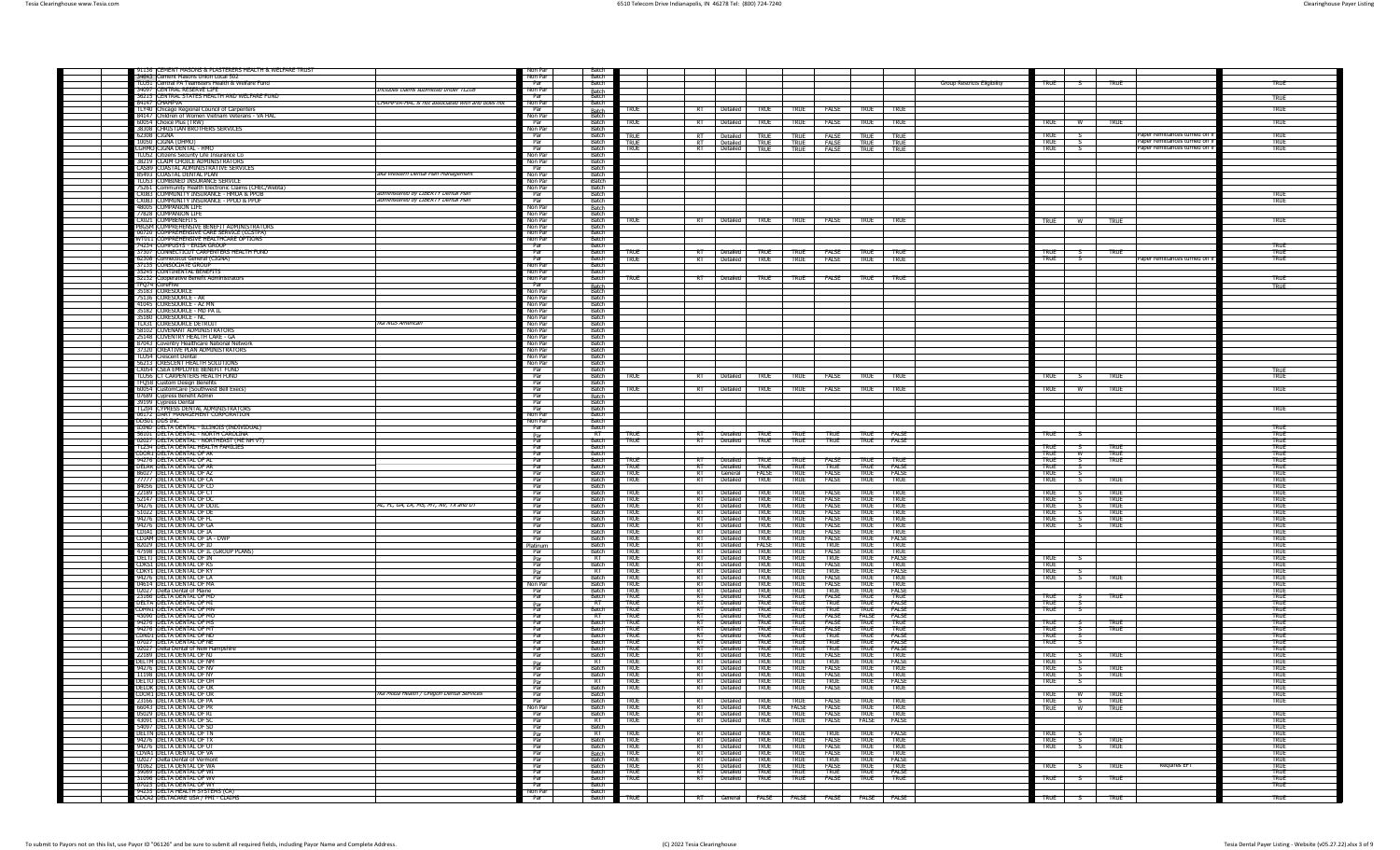| 91136 CEMENT MASONS & PLASTERERS HEALTH & WELFARE TRUST<br>34643 Cement Masons Union Local 502    |                                                                            | Non Par<br>Non Par       | <b>Batch</b><br>Batch        |                            |                                                                                   |                            |                                                                                            |                                    |                                                                                                                       |                            |
|---------------------------------------------------------------------------------------------------|----------------------------------------------------------------------------|--------------------------|------------------------------|----------------------------|-----------------------------------------------------------------------------------|----------------------------|--------------------------------------------------------------------------------------------|------------------------------------|-----------------------------------------------------------------------------------------------------------------------|----------------------------|
| TI US1 Central PA Teamsters Health & Welfare Fund                                                 |                                                                            | Par                      | Batch                        |                            |                                                                                   |                            |                                                                                            | <b>Group Restricts Eligibility</b> | <b>TRUE</b><br><b>TRUE</b><br>$-$ s $-$                                                                               | <b>TRUE</b>                |
| 34097 CENTRAL RESERVE LIFE<br>36215 CENTRAL STATES HEALTH AND WELFARE FUND                        | Includes claims submitted under TLZ08                                      | Non Par<br>Par           | Batch<br>Batch               |                            |                                                                                   |                            |                                                                                            |                                    |                                                                                                                       | <b>TRUE</b>                |
| 84147 CHAMPVA                                                                                     | CHAMPVA-HAC is not associated with and does not                            | Non Par                  | Batch                        |                            |                                                                                   |                            |                                                                                            |                                    |                                                                                                                       |                            |
| TLY40 Chicago Regional Council of Carpenters<br>34147 Children of Women Vietnam Veterans - VA HAC |                                                                            | Par<br>Non Par           | Batch<br>Batch               | TRUE                       | Detailed TRUE<br>RT                                                               | <b>TRUE</b>                | <b>FALSE</b><br><b>TRUE</b><br><b>TRUE</b>                                                 |                                    |                                                                                                                       | TRUE                       |
| 60054 Choice Plus (TRW)                                                                           |                                                                            | Par<br>Non Par           | Batch<br>Batch               | <b>TRUE</b>                | RT<br><b>Detailed</b><br><b>TRUF</b>                                              | TRUF                       | <b>FALSE</b><br>TRUF<br>TRUF                                                               |                                    | <b>TRUE</b><br>TRUF<br><b>W</b>                                                                                       | <b>TRUE</b>                |
| 38308 CHRISTIAN BROTHERS SERVICES<br>62308 CIGNA                                                  |                                                                            | Par                      | Batch                        | <b>TRUE</b>                | RT.                                                                               | <b>TRUE</b>                | TRUE<br><b>FALSE</b><br>TRUE                                                               |                                    | TRUE<br>Paper remittances turned off<br>- 5                                                                           | <b>TRUE</b>                |
| 10050 CIGNA (DHMC<br>CGHMO CIGNA DENTAL - HMO                                                     |                                                                            | Par<br>Par               | Ratch<br><b>Batch</b>        | <b>TRUE</b><br><b>TRUE</b> | Detailed TRUE<br>Detailed TRUE<br>$_{\text{DT}}$                                  | <b>TRUE</b>                | <b>FALSE</b><br>TRUF<br><b>TRUE</b><br>RT Detailed TRUE TRUE FALSE TRUE TRUE               |                                    | Paper remittances turned off<br><b>TRUE</b><br>Paper remittances turned off<br><b>TRUE</b><br>$\overline{\mathsf{S}}$ | TRUE<br>TRUE               |
| TLU52 Citizens Security Life Insurance Co                                                         |                                                                            | Non Par                  | Batch                        |                            |                                                                                   |                            |                                                                                            |                                    |                                                                                                                       |                            |
| 38219 CLAIM CHOICE ADMINISTRATORS<br>CAS89 COASTAL ADMINISTRATIVE SERVICES                        |                                                                            | Non Par<br>Par           | Batch<br>Batch               |                            |                                                                                   |                            |                                                                                            |                                    |                                                                                                                       |                            |
| 85493 COASTAL DENTAL PLAN                                                                         | aka Western Dental Plan Management                                         | Non Par                  | Batch                        |                            |                                                                                   |                            |                                                                                            |                                    |                                                                                                                       |                            |
| THIS3 COMBINED INSURANCE SERVICE<br>75261 Community Health Electronic Claims (CHEC/Webta)         |                                                                            | Non Par<br>Non Par       | iBatch<br><b>Batch</b>       |                            |                                                                                   |                            |                                                                                            |                                    |                                                                                                                       |                            |
| CX083 COMMUNITY INSURANCE - HMOA & PPOB<br>CX083 COMMUNITY INSURANCE - PPOD & PPOF                | administered by LIBERTY Dental Plan<br>administered by LIBERTY Dental Plan | Par<br>Par               | Ratch<br>Batch               |                            |                                                                                   |                            |                                                                                            |                                    |                                                                                                                       | TRUF<br><b>TRUE</b>        |
| 48005 COMPANION LIFE                                                                              |                                                                            | Non Par                  | Batch<br>Batch               |                            |                                                                                   |                            |                                                                                            |                                    |                                                                                                                       |                            |
| 77828 COMPANION LIFE<br>CX021 COMPBENEFITS                                                        |                                                                            | Non Par<br>Non Par       | <b>Batch</b>                 | <b>TRUE</b>                |                                                                                   |                            | RT Detailed TRUE TRUE FALSE TRUE TRUE                                                      |                                    | <b>TRUE</b><br>W<br>TRUE                                                                                              | <b>TRUE</b>                |
| PBGSM_COMPREHENSIVE BENEFIT ADMINISTRATORS                                                        |                                                                            | Non Par                  | Batch                        |                            |                                                                                   |                            |                                                                                            |                                    |                                                                                                                       |                            |
| 00720 COMPREHENSIVE CARE SERVICE (CCSTPA)<br>WT011 COMPREHENSIVE HEALTHCARE OPTIONS               |                                                                            | Non Par<br>Non Par       | <b>Batch</b><br>Batch        |                            |                                                                                   |                            |                                                                                            |                                    |                                                                                                                       |                            |
| 74234 COMPUSYS - ERISA GROUP<br>37307 CONNECTICUT CARPENTERS HEALTH FUND                          |                                                                            | Par<br>Par               | <b>Batch</b><br>Ratch        | TRUE                       | RT Detailed TRUE                                                                  | TRUE                       | FALSE TRUE TRUE                                                                            |                                    | <b>TRUE</b><br><b>TRUE</b>                                                                                            | TRUF<br>TRUE               |
| 62308 Connecticut General (CIGNA)                                                                 |                                                                            | Par                      | <b>Batch</b>                 | TRUE                       | RT<br>Detailed<br><b>TRUE</b>                                                     | <b>TRUE</b>                | <b>FALSE</b><br><b>TRUE</b><br>TRUE                                                        |                                    | aner remittances turned off<br><b>TRUE</b><br>- 5                                                                     | <b>TRUE</b>                |
| 37135 CONSOCIATE GROUP<br>35245 CONTINENTAL BENEFIT                                               |                                                                            | Non Par<br>Non Par       | <b>Batch</b><br>Batch        |                            |                                                                                   |                            |                                                                                            |                                    |                                                                                                                       |                            |
| 52132 Cooperative Benefit Administrators                                                          |                                                                            | Non Par                  | Batch                        | <b>TRUE</b>                | $R$ T<br>Detailed TRUE                                                            | <b>TRUE</b>                | FALSE TRUE<br><b>TRUF</b>                                                                  |                                    |                                                                                                                       | TRUE                       |
| <b>TFO74 CoreFive</b><br>35183 CORESOURC                                                          |                                                                            | Par<br>Non Par           | Batch<br>Batch               |                            |                                                                                   |                            |                                                                                            |                                    |                                                                                                                       | <b>TRUE</b>                |
| 75136 ICORESOURCE - AR<br>41045 CORESOURCE - AZ MN                                                |                                                                            | Non Par                  | Batch<br><b>Batch</b>        |                            |                                                                                   |                            |                                                                                            |                                    |                                                                                                                       |                            |
| 35182 Coresource - MD pa Il                                                                       |                                                                            | Non Par<br>Non Par       | Ratch                        |                            |                                                                                   |                            |                                                                                            |                                    |                                                                                                                       |                            |
| 35180 CORESOURCE - NC<br>TLX31 CORESOURCE DETROI                                                  | tka NGS American                                                           | Non Par<br>Non Par       | Batch<br>Batch               |                            |                                                                                   |                            |                                                                                            |                                    |                                                                                                                       |                            |
| 58102 COVENANT ADMINISTRATORS                                                                     |                                                                            | Non Par                  | Batch                        |                            |                                                                                   |                            |                                                                                            |                                    |                                                                                                                       |                            |
| 25148 COVENTRY HEALTH CARE - GA<br>87043 Coventry Healthcare National Network                     |                                                                            | Non Par<br>Non Par       | Batch<br>Batch               |                            |                                                                                   |                            |                                                                                            |                                    |                                                                                                                       |                            |
| 37320 CREATIVE PLAN ADMINISTRATORS                                                                |                                                                            | Non Par                  | <b>Batch</b><br><b>Batch</b> |                            |                                                                                   |                            |                                                                                            |                                    |                                                                                                                       |                            |
| TLU54 Crescent Dental<br>56213 CRESCENT HEALTH SOLUTIONS                                          |                                                                            | Non Par<br>Non Par       | Batch                        |                            |                                                                                   |                            |                                                                                            |                                    |                                                                                                                       |                            |
| CX054 CSEA EMPLOYEE BENEFIT FUND<br>TLU56 CT CARPENTERS HEALTH FUND                               |                                                                            | Par<br>Par               | Batch<br>Batch               | TRUE                       | <b>TRUE</b><br>Detailed                                                           | <b>TRUE</b>                | FALSE<br>TRUE<br>TRUE                                                                      |                                    | <b>TRUE</b><br>TRUE                                                                                                   | <b>TRUE</b>                |
| TFQ58 Custom Design Benefits                                                                      |                                                                            | Par                      | <b>Batch</b>                 |                            |                                                                                   |                            |                                                                                            |                                    |                                                                                                                       |                            |
| 60054 CustomCare (Southwest Bell Execs)<br>07689 Cypress Benefit Admin                            |                                                                            | Par<br>Par               | Batch                        | <b>TRUE</b>                | RT<br>Detailed<br>TRUF                                                            | TRUF                       | FALSE<br><b>TRUE</b><br>TRUE                                                               |                                    | TRUE<br>TRUE                                                                                                          | <b>TRUE</b>                |
| 39199 Cypress Dental                                                                              |                                                                            | Par                      | Batch<br>Batch               |                            |                                                                                   |                            |                                                                                            |                                    |                                                                                                                       |                            |
| TLZ04 CYPRESS DENTAL ADMINISTRATORS<br>06172 DART MANAGEMENT CORPORATION                          |                                                                            | Par<br>Non Par           | Batch<br>Ratch               |                            |                                                                                   |                            |                                                                                            |                                    |                                                                                                                       | <b>TRUE</b>                |
| DDS01 DDS INC<br>IDIND DELTA DENTAL - ILLINOIS (INDIVIDUAL)                                       |                                                                            | Non Par<br>Par           | <b>Batch</b><br>Batch        |                            |                                                                                   |                            |                                                                                            |                                    |                                                                                                                       | TRUE                       |
| 56101 DELTA DENTAL - NORTH CÀROLINA                                                               |                                                                            |                          | - RT                         | TRUE                       | Detailed<br><b>TRUE</b>                                                           | <b>TRUE</b>                | <b>TRUE</b><br><b>TRUE</b><br>FALSE                                                        |                                    | <b>TRUE</b>                                                                                                           | TRUE                       |
| 02027 DELTA DENTAL - NORTHEAST (ME NH VT)<br>TLZ34 DELTA DENTAL HEALTH FAMILIES                   |                                                                            | Par<br>Par<br>Par        | Batch<br>Batch               | <b>TRUE</b>                | Detailed<br>ਸ਼ਾ<br><b>TRUE</b>                                                    | <b>TRUE</b>                | <b>TRUE</b><br>TRUE FALSE                                                                  |                                    | <b>TRUE</b><br>TRUE                                                                                                   | TRUE<br><b>TRUE</b>        |
| CDOR1 DELTA DENTAL OF AK                                                                          |                                                                            | Par                      | <b>Batch</b>                 |                            |                                                                                   |                            |                                                                                            |                                    | <b>TRUF</b><br>TRUF<br>w                                                                                              | TRUF                       |
| 94276 DELTA DENTAL OF AL<br>DELAR DELTA DENTAL OF AR                                              |                                                                            | Par<br>Par               | Batch<br><b>Batch</b>        | <b>TRUE</b><br><b>TRUE</b> | Detailed<br>TRUE<br>$R$ T<br>RT<br>Detailed<br>TRUF                               | TRUE<br>TRUE               | FALSE<br>TRUE<br>TRUF<br><b>FALSE</b><br>TRUE<br><b>TRUE</b>                               |                                    | <b>TRUE</b><br><b>TRUF</b><br><b>TRUE</b>                                                                             | TRUF<br><b>TRUE</b>        |
| 86027 DELTA DENTAL OF AZ                                                                          |                                                                            | Par                      | <b>Batch</b><br><b>Batch</b> | <b>TRUF</b>                | $\overline{R}$<br>General FALSE<br>RT                                             | <b>TRUF</b>                | <b>FALSE</b><br>TRUE FALSE                                                                 |                                    | <b>TRIF</b>                                                                                                           | <b>TRUE</b>                |
| 77777 DELTA DENTAL OF CA<br>84056 DELTA DENTAL OF CO                                              |                                                                            | Par<br>Par               | Ratch                        | <b>TRUE</b>                | Detailed<br><b>TRUE</b>                                                           | <b>TRUE</b>                | FALSE<br><b>TRUE</b><br><b>TRUE</b>                                                        |                                    | TRUE<br><b>TRUE</b>                                                                                                   | <b>TRUE</b><br>true        |
| 22189 DELTA DENTAL OF C<br>52147 DELTA DENTAL OF DC                                               |                                                                            | Par<br>Par               | Batch<br>Batch               | <b>TRUE</b><br><b>TRUE</b> | <b>TRUE</b><br>R1<br>Detailed<br>- RT<br>Detailed<br><b>TRUE</b>                  | TRUF<br><b>TRUE</b>        | <b>FALSE</b><br><b>TRUE</b><br>TRUF<br>FALSE<br><b>TRUE</b><br><b>TRUE</b>                 |                                    | <b>TRUE</b><br>TRUE<br><b>TRUE</b><br>TRUE                                                                            | <b>TRUE</b><br>TRUE        |
| 94276 DELTA DENTAL OF DD                                                                          | AL, FL, GA, LA, MS, MT, NV, TX and UT                                      | Par                      | Batch                        | <b>TRUE</b>                | RT<br>Detailed<br><b>TRUE</b>                                                     | TRUE                       | FALSE<br><b>TRUE</b><br>TRUE                                                               |                                    | TRUE<br><b>TRUE</b>                                                                                                   | TRUE                       |
| 51022 DELTA DENTAL OF DE<br>94276 DELTA DENTAL OF F                                               |                                                                            | Par<br>Par               | - Batch<br>Ratch             | <b>TRUF</b><br>TRUF        | <b>Detailed</b><br>$R$ T<br><b>TRUF</b><br>RT<br>TRUF<br><b>Detailed</b>          | TRUF<br>TRIF               | <b>FALSE</b><br>TRUF<br><b>TRUF</b><br>TRIF<br><b>FALSE</b><br>TRUF                        |                                    | TRUF<br><b>TRUF</b><br>TRUF<br>TRUF                                                                                   | TRUF<br><b>TRUE</b>        |
| 94276 DELTA DENTAL OF GA                                                                          |                                                                            | Par                      | <b>Batch</b>                 | <b>TRUE</b>                | $R$ T<br>Detailed<br><b>TRUF</b>                                                  | TRUF                       | <b>FALSE</b><br>TRUF<br>TRIIF                                                              |                                    | <b>TRUE</b><br>TRUF                                                                                                   | TRUE                       |
| CDIA1 DELTA DENTAL OF IA<br>CDIAM DELTA DENTAL OF IA - DWI                                        |                                                                            | Par<br>Par               | Ratch<br>Batch               | <b>TRUE</b><br><b>TRUE</b> | RT<br>Detailed<br>TRUF<br>Detailed<br><b>TRUE</b><br>-RT                          | TRUF<br>TRUE               | FALSE<br><b>TRUE</b><br>TRUF<br>FALSE<br>true<br>FALSE                                     |                                    |                                                                                                                       | <b>TRUE</b><br><b>TRUE</b> |
| 82029 DELTA DENTAL OF ID<br>47598 DELTA DENTAL OF IL (GROUP PLANS                                 |                                                                            | Platinum<br>Par          | <b>Batch</b><br>Batch        | <b>TRUE</b><br><b>TRUE</b> | RT<br>Detailed FALSE<br>Detailed<br>RT.<br><b>TRUE</b>                            | TRUF<br>TRUE               | <b>TRUE</b><br>TRUE<br><b>TRUF</b><br>FALSE<br><b>TRUE</b><br><b>TRUE</b>                  |                                    |                                                                                                                       | <b>TRUE</b><br>TRUE        |
| <b>DELTI DELTA DENTAL OF IN</b>                                                                   |                                                                            | Par<br>Par               | $R$ T                        | TRUE                       | RT<br>Detailed T<br><b>TRUE</b>                                                   | <b>TRUE</b>                | <b>TRUE</b><br>FALSE<br>TRUF                                                               |                                    | <b>TRUE</b>                                                                                                           | <b>TRUE</b>                |
| CDKS1 DELTA DENTAL OF KS<br>CDKY1 DELTA DENTAL OF KY                                              |                                                                            |                          | Batch<br>$R$ T               | TRUF<br><b>TRUF</b>        | Detailed T<br><b>TRUF</b><br>$R$ T<br>$R$ T<br><b>Detailed</b><br>TRUF            | TRUF<br>TRUF               | <b>FALSE</b><br><b>TRUF</b><br><b>TRUF</b><br><b>FALSE</b><br><b>TRUF</b><br>TRUF          |                                    | TRUF<br><b>TRUF</b>                                                                                                   | TRUF<br>TRUE               |
| 94276 DELTA DENTAL OF LA                                                                          |                                                                            | P <sub>ar</sub>          | <b>Batch</b>                 | <b>TRUF</b>                | <b>Detailed</b><br>$R$ T<br>$\overline{\phantom{a}}$                              | TRIF                       | <b>FALSE</b><br><b>TRUF</b><br>$\overline{\phantom{a}}$                                    |                                    | TRUF<br><b>TRUE</b>                                                                                                   | TRUE                       |
| 04614 DELTA DENTAL OF MA<br>02027 Delta Dental of Maine                                           |                                                                            | Non Par<br>Par           | <b>Batch</b><br>Ratch        | <b>TRUE</b><br><b>TRUE</b> | ਸਾ<br>Detailed<br><b>TRUE</b><br>RT<br>Detailed<br>TRUF                           | TRUF<br>TRUF               | <b>FALSE</b><br><b>TRUE</b><br>TRUF<br><b>TRUE</b><br><b>TRUE</b><br><b>FALSE</b>          |                                    |                                                                                                                       | <b>TRUE</b><br>TRUE        |
| 23166 DELTA DENTAL OF MD                                                                          |                                                                            | Par                      | Batch                        | <b>TRUE</b>                | - RT<br>Detailed<br><b>TRUE</b>                                                   | TRUE                       | FALSE<br><b>TRUE</b><br><b>TRUE</b>                                                        |                                    | TRUE<br><b>TRUE</b>                                                                                                   | TRUE                       |
| DELTA DELTA DENTAL OF MI<br>CDMN1 DELTA DENTAL OF MN                                              |                                                                            | Par<br>Par               | - RT<br>Batch                | true<br><b>TRUE</b>        | $R$ T<br><b>Detailed</b><br><b>TRUE</b><br>Detailed<br>RT<br>TRUE                 | <b>TRUE</b><br><b>TRUE</b> | <b>TRUE</b><br><b>TRUE</b><br>- FALSE<br><b>TRUE</b><br><b>TRUE</b><br>FALSE               |                                    | <b>TRUE</b><br><b>TRUE</b>                                                                                            | TRUE<br><b>TRUE</b>        |
| 43090 DELTA DENTAL OF MO<br>94276 DELTA DENTAL OF MS                                              |                                                                            | Par<br>Par               | $R$ T<br>Batch               | <b>TRUF</b><br>TRUF        | Detailed<br>$R$ T<br><b>TRUF</b><br>Detailed<br>$R$ T<br><b>TRUF</b>              | TRUF<br>TRUF               | <b>FALSE</b><br><b>FALSE</b><br><b>FALSE</b><br><b>FALSE</b><br><b>TRUE</b><br><b>TRUF</b> |                                    | <b>TRUE</b><br>TRUF                                                                                                   | TRUF<br><b>TRUE</b>        |
| 94276 DELTA DENTAL OF MT                                                                          |                                                                            | Par                      | Ratch                        | <b>TRUE</b>                | RT<br>Detailed TRUE                                                               | TRUF                       | <b>FALSE</b><br>TRUF<br>TRIF                                                               |                                    | TRUF<br>TRUF<br>$\sim$                                                                                                | TRUF                       |
| CDND1 DELTA DENTAL OF ND<br>07027 DELTA DENTAL OF NE                                              |                                                                            | Par<br>Par               | <b>Batch</b><br><b>Batch</b> | <b>TRUF</b><br><b>TRUE</b> | $\overline{R}$<br><b>Detailed</b><br><b>TRIF</b><br>RT<br>Detailed<br><b>TRUE</b> | <b>TRIF</b><br>TRUF        | <b>TRUF</b><br><b>TRUE</b><br><b>FAISE</b><br><b>TRUE</b><br><b>TRUE</b><br><b>FALSE</b>   |                                    | <b>TRUF</b><br><b>TRUE</b>                                                                                            | TRUE<br><b>TRUE</b>        |
| 02027 Delta Dental of New Hampshi                                                                 |                                                                            | Par                      | Ratch                        | <b>TRUE</b>                | Detailed TRUE<br>$R$ T                                                            | TRUF                       | TRUE <sup>-1</sup><br>TRUE FALSE                                                           |                                    |                                                                                                                       | TRUE                       |
| 22189 DELTA DENTAL OF N1<br>DELTM DELTA DENTAL OF NM                                              |                                                                            | Par                      | Batch<br>$R$ T               | <b>TRUE</b><br>TRUE        | <b>TRUE</b><br>RT<br>Detailed  <br>RT Detailed TRUF                               | <b>TRUE</b><br><b>TRUE</b> | FALSE<br><b>TRUE</b><br>TRUF<br><b>TRUE</b><br>TRUE FALSE                                  |                                    | <b>TRUE</b><br><b>TRUE</b><br><b>TRUE</b>                                                                             | <b>TRUE</b><br>TRUE        |
| 94276 DELTA DENTAL OF NV                                                                          |                                                                            | $\frac{Par}{Par}$        | <b>Batch</b>                 | <b>TRUE</b>                | RT Detailed TRUE TRUE                                                             |                            | FALSE <b>TRUE</b><br>TRUF                                                                  |                                    | <b>TRUE</b><br><b>TRUE</b>                                                                                            | <b>TRUE</b>                |
| DELTO DELTA DENTAL OF OH                                                                          |                                                                            |                          | RT                           | TRUF                       |                                                                                   |                            | <b>RT Detailed TRUE TRUE TRUE TRUE FALSE</b><br>RT Detailed TRUE TRUE TRUE TRUE TRUE TRUE  |                                    | <b>TRUE</b><br>$^{\circ}$                                                                                             | TRUF                       |
| DELOK DELTA DENTAL OF OK<br>CDOR1 DELTA DENTAL OF OR                                              | fka Moda Health / Oregon Dental Services                                   | $\frac{Par}{Par}$<br>Par | <b>Batch</b><br><b>Batch</b> | <b>TRUE</b>                |                                                                                   |                            |                                                                                            |                                    | TRUE                                                                                                                  | TRUE<br><b>TRUE</b>        |
| 23166 DELTA DENTAL OF PA                                                                          |                                                                            | Par                      | <b>Batch</b>                 | TRUE                       | Detailed TRUE                                                                     | <b>TRUF</b>                | FALSE<br>TRUF<br><b>TRUF</b>                                                               |                                    | W TRUE<br><b>TRUE</b><br><b>TRUE</b><br>$\sim$                                                                        | TRUE                       |
| 66043 DELTA DENTAL OF PR<br>05029 DELTA DENTAL OF RI                                              |                                                                            | Non Par<br>Par           | <b>Batch</b><br>Batch        | <b>TRUE</b><br><b>TRUE</b> |                                                                                   |                            | RT Detailed TRUE FALSE FALSE TRUE TRUE<br>RT Detailed TRUE TRUE FALSE TRUE TRUE            |                                    | TRUE W TRUE                                                                                                           | <b>TRUE</b>                |
| 43091 DELTA DENTAL OF SC                                                                          |                                                                            | Par                      | RT                           | <b>TRUE</b>                | RT Detailed TRUE TRUE                                                             |                            | FAISE FAISE FAISE                                                                          |                                    |                                                                                                                       | <b>TRUE</b>                |
| 54097 DELTA DENTAL OF SD<br>DELTN DELTA DENTAL OF TN                                              |                                                                            | Par                      | Batch<br>$-$ RT $-$          | TRUE                       | RT Detailed TRUE TRUE                                                             |                            | TRUE TRUE FALSE                                                                            |                                    | TRUE S                                                                                                                | TRUF<br>TRUF               |
| 94276 DELTA DENTAL OF TX<br>94276 DELTA DENTAL OF UT                                              |                                                                            | Par<br>Par               | Batch<br>Batch               | <b>TRUF</b>                | RT Detailed TRUE TRUE<br>$\overline{R}$<br>Detailed TRUE                          | <b>TRUE</b>                | FALSE TRUE TRUE<br>FALSE<br><b>TRUE</b><br><b>TRUF</b>                                     |                                    | $-5$<br>TRUF<br>TRUE<br>$\overline{\mathsf{S}}$<br><b>TRUF</b>                                                        | TRUE                       |
| CDVA1 DELTA DENTAL OF VA                                                                          |                                                                            | Par<br>Par               |                              | <b>TRUE</b><br><b>TRUE</b> | RT Detailed TRUE                                                                  | TRUE                       | <b>FALSE</b> TRUE TRUE                                                                     |                                    | <b>TRUE</b>                                                                                                           | TRUE<br>TRUE               |
| 02027 Delta Dental of Vermont<br>91062 DELTA DENTAL OF WA                                         |                                                                            | Par<br>Par               | Batch<br>Batch<br>Batch      | <b>TRUE</b><br><b>TRUE</b> | - RT<br>Detailed TRUE<br>Detailed TRUE<br>-RT                                     | <b>TRUE</b><br><b>TRUE</b> | <b>TRUE</b><br>TRUE FALSE<br><b>FALSE</b><br>TRUE TRUE                                     |                                    | TRUE<br><b>TRUE</b><br>Requires EFT<br>- 5-                                                                           | TRUE<br>TRUE               |
| 39069 DELTA DENTAL OF WI                                                                          |                                                                            | Par                      | Batch                        | <b>TRUE</b>                | RT Detailed TRUE                                                                  | <b>TRUE</b>                | TRUE TRUE FALSE                                                                            |                                    |                                                                                                                       | TRUE                       |
| 31096 DELTA DENTAL OF WV<br>07025 DELTA DENTAL OF WY                                              |                                                                            | Par<br>Par               | Batch<br>Batch               | <b>TRUE</b>                | RT Detailed TRUE TRUE                                                             |                            | <b>FALSE</b><br>true truf                                                                  |                                    | <b>TRUE</b><br>TRUE<br>- 5                                                                                            | TRUF<br><b>TRUE</b>        |
| 94235 DELTA HEALTH SYSTEMS (CA                                                                    |                                                                            | Non Par                  | <b>Batch</b>                 |                            |                                                                                   |                            |                                                                                            |                                    |                                                                                                                       |                            |
| CDCA2 DELTACARE USA / PMI - CLAIMS                                                                |                                                                            | Par                      | <b>Batch</b>                 | TRUE                       |                                                                                   |                            | RT General FALSE FALSE FALSE FALSE FALSE                                                   |                                    | TRUE <sup>-1</sup><br><b>TRUE</b><br>- s - i                                                                          | <b>TRUE</b>                |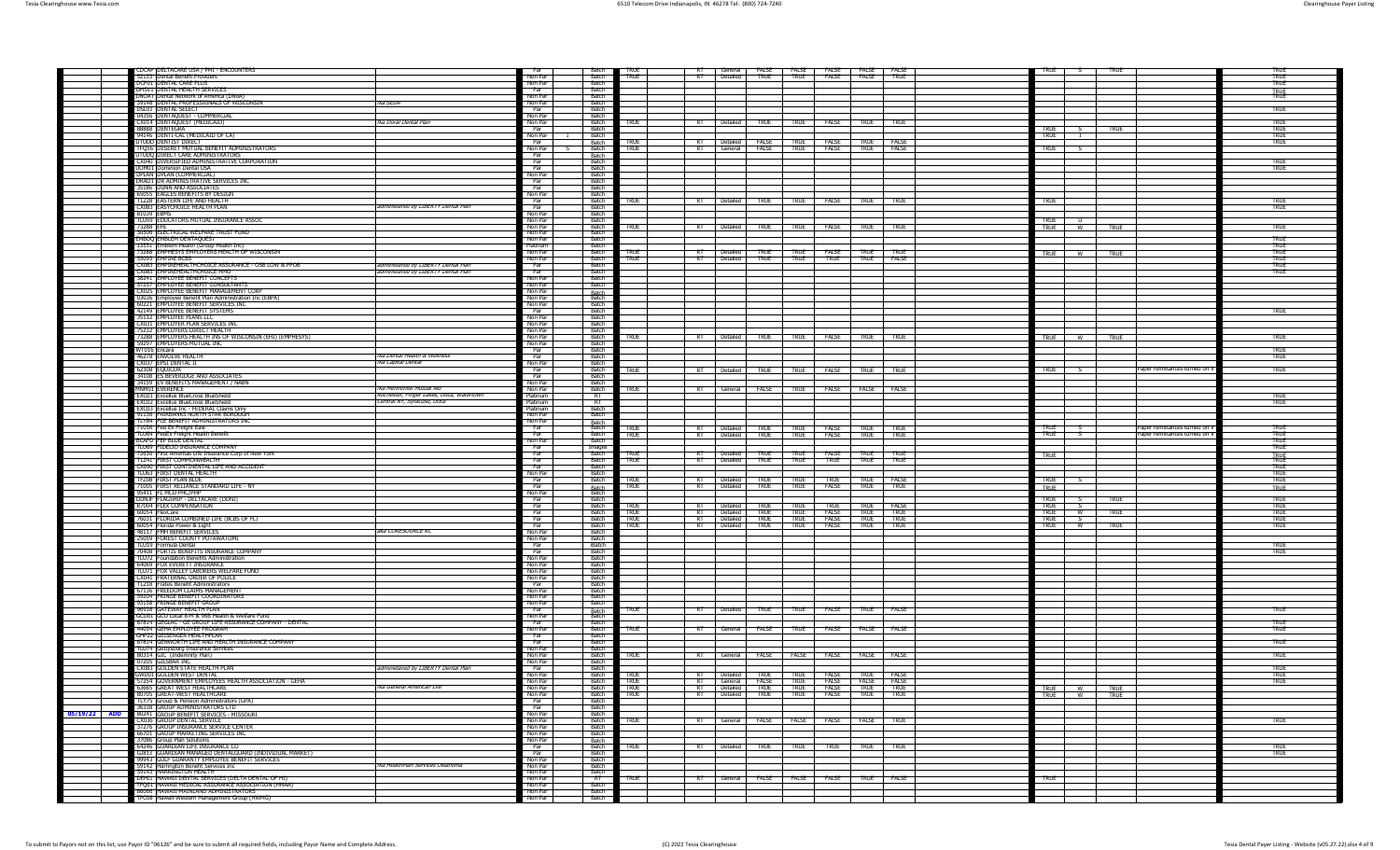|              | CDCAP   DELTACARE USA / PMI - ENCOUNTERS                                                                                                                          | Par                  |                                | TRUF                       |                                                       |                          | RT General FALSE FALSE FALSE FALSE FALSE FALSE                                                                                                                      |                            |                                 | TRUF                       |
|--------------|-------------------------------------------------------------------------------------------------------------------------------------------------------------------|----------------------|--------------------------------|----------------------------|-------------------------------------------------------|--------------------------|---------------------------------------------------------------------------------------------------------------------------------------------------------------------|----------------------------|---------------------------------|----------------------------|
|              | 52133 Dental Benefit Providers                                                                                                                                    | Non Par              | Batch                          | <b>TRUE</b>                | Detailed<br>-RT<br><b>TRUE</b>                        | <b>TRUE</b>              | <b>FALSE FALSE</b><br><b>TRUE</b>                                                                                                                                   |                            |                                 | TRUE                       |
|              | DCP01 DENTAL CARE PLUS<br><b>THRV1 DENTAL HEALTH SERVICE</b>                                                                                                      | Non Par<br>Par       | Batch<br>Batch                 |                            |                                                       |                          |                                                                                                                                                                     |                            |                                 | <b>TRUE</b>                |
|              | DNOAT Dental Network of America (DNoA)<br>tka SFDA                                                                                                                | Non Par<br>Non Par   | <b>Batch</b><br>Ratch          |                            |                                                       |                          |                                                                                                                                                                     |                            |                                 | <b>TRUE</b>                |
|              | 39148 DENTAL PROFESSIONALS OF WISCONSIN<br><b>DSL01 DENTAL SELECT</b>                                                                                             | Par                  | <b>Batch</b>                   |                            |                                                       |                          |                                                                                                                                                                     |                            |                                 | TRUE                       |
|              | 04356 DENTAQUEST - COMMERCIAL<br>CX014 DENTAQUEST (MEDICAID)<br>fka Doral Dental Plan                                                                             | Non Par<br>Non Par   | Ratch<br>Batch                 | TRUE                       | Detailed<br><b>TRUE</b>                               | <b>TRUE</b>              | <b>FALSE</b><br>TRUE<br><b>TRUE</b>                                                                                                                                 |                            |                                 | TRUE                       |
|              | 88888 DENTEGRA                                                                                                                                                    | Par                  | Batch                          |                            |                                                       |                          |                                                                                                                                                                     | true                       | <b>TRUE</b>                     | TRUE                       |
|              | 94146 DENTI-CAL (MEDICAID OF CA)<br><b>UTUDD DENTIST DIRECT</b>                                                                                                   | Non Par<br>Par       | Batch                          | TRUF                       | RT Detailed FALSE TRUE FALSE TRUE                     |                          | <b>FALSE</b>                                                                                                                                                        | <b>TRUE</b>                |                                 | <b>TRUE</b><br><b>TRUE</b> |
|              | 01000 DENTER DIRECTION<br>TFQ56 DESERET MUTUAL BENEFIT ADMINISTRATORS<br>UTUDQ DIRECT CARE ADMINISTRATORS<br>CX040 DIVERSIFIED ADMINISTRATIVE CORPORATION         | Non Par<br>Par       | Batch<br>Batch                 | TRUF                       | RT General FALSE TRUE                                 |                          | FALSE<br>TRUE FAISE                                                                                                                                                 | TRUE                       |                                 |                            |
|              |                                                                                                                                                                   | Par                  | Batch<br>Batch                 |                            |                                                       |                          |                                                                                                                                                                     |                            |                                 | TRUF                       |
|              | DOM01 Dominion Dental USA<br>DPLAN DPLAN (COMMERCIAL                                                                                                              | Par<br>Non Par       | Batch<br>Batch                 |                            |                                                       |                          |                                                                                                                                                                     |                            |                                 | TRUE                       |
|              | DRAD1 DR ADMINISTRATIVE SERVICES INC<br>35186 DUNN AND ASSOCIATES                                                                                                 | Par<br>Par           | Batch<br>Batch                 |                            |                                                       |                          |                                                                                                                                                                     |                            |                                 |                            |
|              | 65055 EAGLES BENEFITS BY DESIGN                                                                                                                                   | Non Par              | Batch                          |                            |                                                       |                          |                                                                                                                                                                     |                            |                                 |                            |
|              | TLZ28 EASTERN LIFE AND HEALTH<br>administered by LIBERTY Dental Plan<br>CX083 EASYCHOICE HEALTH PLAN                                                              | - Par<br>Par         | - Batch<br>Ratch               | <b>TRUE</b>                |                                                       |                          | RT Detailed TRUE TRUE FALSE TRUE TRUE                                                                                                                               | <b>TRUE</b>                |                                 | TRUF<br><b>TRUE</b>        |
|              | 81039 EBMS<br>TLU59 EDUCATORS MUTUAL INSURANCE ASSOC                                                                                                              | Non Par<br>Non Par   | <b>Batch</b><br><b>Batch</b>   |                            |                                                       |                          |                                                                                                                                                                     | <b>TRUE</b>                |                                 |                            |
|              | 73288 EHI                                                                                                                                                         | Non Par              | Batch                          | TRUE                       | RT Detailed TRUE TRUE                                 |                          | <b>FALSE TRUE</b><br><b>TRUE</b>                                                                                                                                    | TRUE W                     | <b>TRUE</b>                     | TRUE                       |
|              | 30506 ELECTRICAL WELFARE TRUST FUND<br>MBDQ EMBLEM DENTAQUEST                                                                                                     | Non Par<br>Non Par   | Batch<br>Batch                 |                            |                                                       |                          |                                                                                                                                                                     |                            |                                 | TRUE                       |
|              | 13551 Emblem Health (Group Health Inc)<br>73288 EMPHESYS EMPLOYERS HEALTH OF WISCONSIN                                                                            | Platinum<br>Non Par  | Batch<br>Batch                 | TRUF                       | <b>TRUF</b><br><b>Detailed</b>                        | <b>TRUF</b>              | <b>FALSE</b><br><b>TRUF</b><br><b>TRUF</b>                                                                                                                          |                            |                                 | <b>TRUE</b><br>TRUF        |
|              | 55093 EMPIRE BCBS                                                                                                                                                 | Non Par              | Batch                          | <b>TRUE</b>                | $\frac{R1}{R1}$ Detailed $\frac{100L}{RUE}$ TRUE      |                          | TRUE TRUE<br><b>FALSE</b>                                                                                                                                           | TRUE W                     | TRUE                            | TRUE                       |
|              | CX083 EMPIREHEALTHCHOICE ASSURANCE - OSB LOW & PPOB<br>administered by LIBERTY Dental Plan<br>CX083 EMPIREHEALTHCHOICE HMO<br>administered by LIBERTY Dental Plan | Par<br>Par           | Ratch<br>Batch                 |                            |                                                       |                          |                                                                                                                                                                     |                            |                                 | TRUE<br>TRUE               |
|              | 38241 EMPLOYEE BENEFIT CONCEPT.                                                                                                                                   | Non Par<br>Non Par   | Batch<br>Batch                 |                            |                                                       |                          |                                                                                                                                                                     |                            |                                 |                            |
|              | 37257 EMPLOYEE BENEFIT CONSULTANTS<br>CX025 EMPLOYEE BENEFIT MANAGEMENT CORP                                                                                      | Non Par              |                                |                            |                                                       |                          |                                                                                                                                                                     |                            |                                 |                            |
|              | 03036 Employee Benefit Plan Administration Inc (EBPA)<br>60221 EMPLOYEE BENEFIT SERVICES INC                                                                      | Non Par<br>Non Par   | Batch<br>Batch<br>Batch        |                            |                                                       |                          |                                                                                                                                                                     |                            |                                 |                            |
|              | 42149 EMPLOYEE BENEFIT SYSTEMS                                                                                                                                    | Par                  | Batch<br><b>Batch</b>          |                            |                                                       |                          |                                                                                                                                                                     |                            |                                 | <b>TRUE</b>                |
|              | 35112 EMPLOYEE PLANS LLC<br>CX031 EMPLOYEE PLANS LLC                                                                                                              | Non Par<br>Non Par   | Ratch                          |                            |                                                       |                          |                                                                                                                                                                     |                            |                                 |                            |
|              | 75232 EMPLOYERS DIRECT HEALTH<br>73288 EMPLOYERS HEALTH INS OF WISCONSIN (EHI) (EMPHESYS)                                                                         | Non Par<br>Non Par   | <b>Batch</b><br>Batch          | TRUE                       |                                                       |                          | RT Detailed TRUE TRUE FALSE TRUE TRUE                                                                                                                               |                            |                                 | TRUE                       |
|              | 59297 EMPLOYERS MUTUAL INC                                                                                                                                        | Non Par              | <b>Batch</b>                   |                            |                                                       |                          |                                                                                                                                                                     | <b>TRUE</b>                | <b>TRUE</b><br>W                |                            |
|              | WT016 Encara<br>46278 FNVOLVE HEALTH<br>fka Dental Health & Wellness                                                                                              | Par<br>Par           | Batch<br>Batch                 |                            |                                                       |                          |                                                                                                                                                                     |                            |                                 | TRUE<br><b>TRUE</b>        |
|              | CX037 EPSI DENTAL II<br>fka Capital Dental<br>62308 EQUICOR                                                                                                       | Non Par<br>Par       | - Batch<br>Ratch               |                            |                                                       |                          |                                                                                                                                                                     | <b>TRUE</b>                | Paper remittances turned off if | <b>TRUE</b>                |
|              | 34108 ES BEVERIDGE AND ASSOCIATES                                                                                                                                 | Par                  | Batch                          | TRUE                       |                                                       |                          | RT   Detailed   TRUE   TRUE   FALSE   TRUE   TRUE                                                                                                                   |                            |                                 |                            |
|              | 34159 EV BENEFITS MANAGEMENT / NABN<br>MNM01 EVERENCE<br>fka Mennonite Mutual Aid                                                                                 | Non Par<br>Non Par   | <b>Batch</b><br>Batch          | TRUE                       | <b>FALSE</b><br>RT<br>General                         | <b>TRUE</b>              | FALSE<br>FALSE<br>FALSE                                                                                                                                             |                            |                                 |                            |
|              | EXC01 Excellus BlueCross BlueShield<br>Rochester, Finger Lakes, Utica, Watertown<br><b>EXC02</b> Excellus BlueCross BlueShield<br>Central NY, Syracuse, Utica     | Platinum<br>Platinum | $R$ T<br>$^-$ RT               |                            |                                                       |                          |                                                                                                                                                                     |                            |                                 | <b>TRUE</b><br>TRUE        |
|              | EXC03 Excellus Inc - FEDERAL Claims Only                                                                                                                          | Platinum             | Batch                          |                            |                                                       |                          |                                                                                                                                                                     |                            |                                 |                            |
|              | 91136 FAIRBANKS NORTH STAR BOROUGH<br>TLY84 FCE BENEFIT ADMINISTRATORS INC                                                                                        | Non Par<br>Non Par   | Batch                          |                            |                                                       |                          |                                                                                                                                                                     |                            |                                 |                            |
|              | 71056 Fed Ex Freight East                                                                                                                                         | Par                  | <b>Batch</b><br>Batch<br>Batch | TRUE<br>TRUE               | Detailed                                              |                          | TRUE TRUE FALSE TRUE TRUE<br>TRUE TRUE FALSE TRUE TRUE                                                                                                              | TRUF                       | Paper remittances turned off    | TRUE                       |
|              |                                                                                                                                                                   |                      |                                |                            |                                                       |                          |                                                                                                                                                                     |                            |                                 |                            |
|              | <b>BCAFD FEP BLUE DENTAL</b>                                                                                                                                      | Par<br>Non Par       | Batch                          |                            | RT Detailed                                           |                          |                                                                                                                                                                     | <b>TRUE</b>                | Paper remittances turned off    | TRUE<br>TRUE               |
|              | TLU69 FIDELIO INSURANCE COMPANY                                                                                                                                   | Par                  | <b>Images</b>                  |                            |                                                       |                          |                                                                                                                                                                     |                            |                                 | TRUE                       |
|              | 72630 First Ameritas Life Insurance Corp of New York<br>TLZ41 FIRST COMMONWEALTH                                                                                  | Par<br>Par           | Batch<br>Batch                 | <b>TRUE</b><br><b>TRUE</b> | RT   Detailed<br>RT<br>Detailed TRUE                  | TRUE TRUE<br><b>TRUE</b> | FALSE TRUE<br><b>TRUE</b><br><b>TRUE</b><br><b>TRUE</b><br>TRUE                                                                                                     | TRUE                       |                                 | TRUE<br>TRUE               |
|              | CX090 FIRST CONTINENTAL LIFE AND ACCIDENT<br>TLU63 FIRST DENTAL HEALTH                                                                                            | Par<br>Non Par       | Batch<br>Batch                 |                            |                                                       |                          |                                                                                                                                                                     |                            |                                 | <b>TRUE</b><br>TRUF        |
|              | TFZ08 FIRST PLAN BLUE                                                                                                                                             | Par                  | Batch                          | <b>TRUE</b>                | RT<br><b>TRUE</b><br>Detailed                         | TRUF                     | TRUF<br>FALSE<br>TRUI                                                                                                                                               | <b>TRUE</b>                |                                 | <b>TRUE</b>                |
|              | 71005 FIRST RELIANCE STANDARD LIFE - NY<br>95411 FL MCO PHC/PHP                                                                                                   | Par<br>Non Par       | Batch<br>Batch                 | <b>TRUE</b>                | RT Detailed<br><b>TRUE</b>                            | <b>TRUE</b>              | <b>FALSE TRUE TRUE</b>                                                                                                                                              | TRUE                       |                                 | <b>TRUE</b>                |
|              | DDNJF FLAGSHIP - DELTACARE (DDNJ)<br>R7004 FLEX COMPENSATION                                                                                                      | Par<br>Par           | Batch<br>Batch                 | <b>TRUE</b>                | <b>TRUE</b><br>Detailed                               | <b>TRUE</b>              | <b>TRUE</b><br><b>TRUE</b><br>FALSE                                                                                                                                 | <b>TRUE</b><br><b>TRUE</b> | TRUE                            | TRUE<br><b>TRUE</b>        |
|              | 60054 FlexCare                                                                                                                                                    | Par                  | Batch                          | <b>TRUE</b>                | RT Detailed TRUE TRUE                                 |                          | <b>FALSE</b> TRUE<br><b>TRUE</b>                                                                                                                                    | TRUE                       | TRUE                            | TRUE                       |
|              | 76031 FLORIDA COMBINED LIFE (BCBS OF FL)<br>60054 Florida Power & Light                                                                                           | Par<br>Par           | Batch<br>- Batch               | <b>TRUE</b><br>TRUE        | <b>RT Detailed TRUE TRUE</b><br>RT Detailed TRUE TRUE |                          | FALSE TRUE TRUE<br><b>FALSE</b><br><b>TRUF</b><br><b>TRUF</b>                                                                                                       | TRUF<br>TRUE T             | <b>TRUE</b><br>w                | <b>TRUE</b><br>TRUF        |
|              | 48117 FMH BENEFIT SERVICES<br>aka CORESOURCE KC                                                                                                                   | Non Par              | Ratcl<br>Batch                 |                            |                                                       |                          |                                                                                                                                                                     |                            |                                 |                            |
|              | 25059 FOREST COUNTY POTAWATOMI<br>LU19 Formula Dental                                                                                                             | Non Par<br>Par       | iBatcl                         |                            |                                                       |                          |                                                                                                                                                                     |                            |                                 | <b>TRUE</b>                |
|              | 70408 FORTIS BENEFITS INSURANCE COMPANY<br>TLU72 Foundation Benefits Administration                                                                               | Par<br>Non Par       | Batch<br>Batch                 |                            |                                                       |                          |                                                                                                                                                                     |                            |                                 | TRUE                       |
|              | 64069 FOX EVERETT INSURANCE<br>TLU71 FOX VALLEY LABORERS WELFARE FUND                                                                                             | Non Par<br>Non Par   | Batch<br>Batch                 |                            |                                                       |                          |                                                                                                                                                                     |                            |                                 |                            |
|              | CX041 FRATERNAL ORDER OF POLICE                                                                                                                                   | Non Par              | Batch                          |                            |                                                       |                          |                                                                                                                                                                     |                            |                                 |                            |
|              | <b>TLZ18</b> Frates Benefit Administrators<br>67136 FREEDOM CLAIMS MANAGEMEN                                                                                      | Par<br>Non Par       | Batch<br>Ratch                 |                            |                                                       |                          |                                                                                                                                                                     |                            |                                 |                            |
|              | 59204 FRINGE BENEFIT COORDINATORS                                                                                                                                 | Non Par              | Batch                          |                            |                                                       |                          |                                                                                                                                                                     |                            |                                 |                            |
|              | 93158 FRINGE BENEFIT GROUP<br>96938 GATEWAY HEALTH PLAN                                                                                                           | Non Par<br>Par       | Batch                          | true                       | Detailed<br>TRUE <sup>-1</sup><br>RT                  | <b>TRUE</b>              | <b>FALSE</b><br><b>TRUE</b><br>FALSE                                                                                                                                |                            |                                 | TRUE                       |
|              | GCU01 GCU Local 8-M & 96B Health & Welfare Fund<br>67814 GEGLAC - GE GROUP LIFE ASSURANCE COMPANY - DENTAL                                                        | Non Par<br>Par       | Batch<br>Batch<br>Batch        |                            |                                                       |                          |                                                                                                                                                                     |                            |                                 | TRUE                       |
|              | 44054 GEHA EMPLOYEE PROGRAM                                                                                                                                       | Non Par<br>Par       | Batch<br>Batch                 | <b>TRUE</b>                | RT<br>FALSE<br>General                                | <b>TRUE</b>              | <b>FALSE</b><br>FALSE<br>FALSE                                                                                                                                      |                            |                                 | TRUE                       |
|              | GHP22 GEISENGER HEALTHPLAN<br>67814 GENWORTH LIFE AND HEALTH INSURANCE COMPANY                                                                                    | Par                  | Batcl                          |                            |                                                       |                          |                                                                                                                                                                     |                            |                                 | true                       |
|              |                                                                                                                                                                   | Non Par<br>Non Par   | <b>Batch</b><br>Batch          | <b>TRUE</b>                | <b>RT</b><br>General                                  | FALSE FALSE              | FALSE<br>FALSE<br>FALSE                                                                                                                                             |                            |                                 | TRUE                       |
|              | TLU74 Gettysburg Insurance Services<br>80314 GIC (Indemnity Plan)<br>07205 GILSBAR INC                                                                            | Non Par              | Batch                          |                            |                                                       |                          |                                                                                                                                                                     |                            |                                 |                            |
|              | CX083 GOLDEN STATE HEALTH PLAN<br>administered by LIBERTY Dental Plan<br>WD01 GOLDEN WEST DENTAL                                                                  | Par<br>Non Par       | Batcl<br>Batch                 | <b>TRUE</b>                |                                                       |                          |                                                                                                                                                                     |                            |                                 | TRUE<br>TRUE               |
|              | 57254 GOVERNMENT EMPLOYEES HEALTH ASSOCIATION - GEHA<br>tka General American Life<br>63665 GREAT WEST HEALTHCARE                                                  | Non Par<br>Non Par   | Batch<br><b>Batch</b>          | <b>TRUE</b><br><b>TRUF</b> |                                                       |                          |                                                                                                                                                                     |                            |                                 | <b>TRUE</b>                |
|              | 80705 GREAT-WEST HEALTHCARE                                                                                                                                       | Non Par              | Ratch                          | TRUE                       |                                                       |                          | rt Detailed True True False True False<br>RT General False True False False False<br>RT Detailed True True False True True<br>RT Detailed True True False True True | TRUE W<br>TRUE W           | TRUE<br><b>TRUE</b>             |                            |
|              | TLY75 Group & Pension Administrators (GPA)<br>36338 GROUP ADMINISTRATORS LTD                                                                                      | Par<br>Par           | Ratch<br>Batch                 |                            |                                                       |                          |                                                                                                                                                                     |                            |                                 |                            |
| 05/19/22 ADD |                                                                                                                                                                   | Non Par<br>Non Par   | Batch<br>Batch                 | <b>TRUE</b>                |                                                       |                          | RT General FALSE FALSE FALSE FALSE TRUE                                                                                                                             |                            |                                 | <b>TRUE</b>                |
|              | <b>80241 GROUP BENEFIT SERVICES - MISSOURI</b><br>CX036 GROUP DENTAL SERVICE<br>37276 GROUP INSURANCE SERVICE CENTER                                              | Non Par              | Batch                          |                            |                                                       |                          |                                                                                                                                                                     |                            |                                 |                            |
|              | 66701 GROUP MARKETING SERVICES INC<br>37086 Group Plan Solutions                                                                                                  | Non Par<br>Non Par   | Batch                          |                            |                                                       |                          |                                                                                                                                                                     |                            |                                 |                            |
|              | 64246 GUARDIAN LIFE INSURANCE CO.<br>GI813 GUARDIAN MANAGED DENTALGUARD (INDIVIDUAL MARKET)                                                                       | Par<br>Par           | Batch<br>Ratch                 | <b>TRUE</b>                | $\overline{R}$<br>Detailed<br>TRUE                    | TRUE                     | <b>TRUE</b><br><b>TRUE</b><br>TRUE                                                                                                                                  |                            |                                 | <b>TRUE</b>                |
|              | 99943 GULF GUARANTY EMPLOYEE BENEFIT SERVICES                                                                                                                     | Non Par              | Ratch                          |                            |                                                       |                          |                                                                                                                                                                     |                            |                                 | TRUE                       |
|              | 59142 Harrington Benefit Services Inc<br>tka HealthPlan Services Oklahoma<br>59143 HARRINGTON HEALTH                                                              | Non Par<br>Non Par   | Batch<br>Batch                 |                            |                                                       |                          |                                                                                                                                                                     |                            |                                 |                            |
|              | DEHI1 HAWAII DENTAL SERVICES (DELTA DENTAL OF HI)<br>TFO61 HAWAII MEDICAL ASSURANCE ASSOCIATION (HMÁA)                                                            | Non Par<br>Non Par   | $R$ T<br>Batch                 | TRUE                       | RT<br>General                                         | FALSE FALSE              | FALSE<br><b>TRUE</b><br>FALSE                                                                                                                                       | <b>TRUE</b>                |                                 |                            |
|              | 86066 HAWAII-MAINLAND ADMINISTRATORS<br>TPC08 Hawaii-Western Management Group (HWMG)                                                                              | Non Par<br>Non Par   | Batch<br>Batch                 |                            |                                                       |                          |                                                                                                                                                                     |                            |                                 |                            |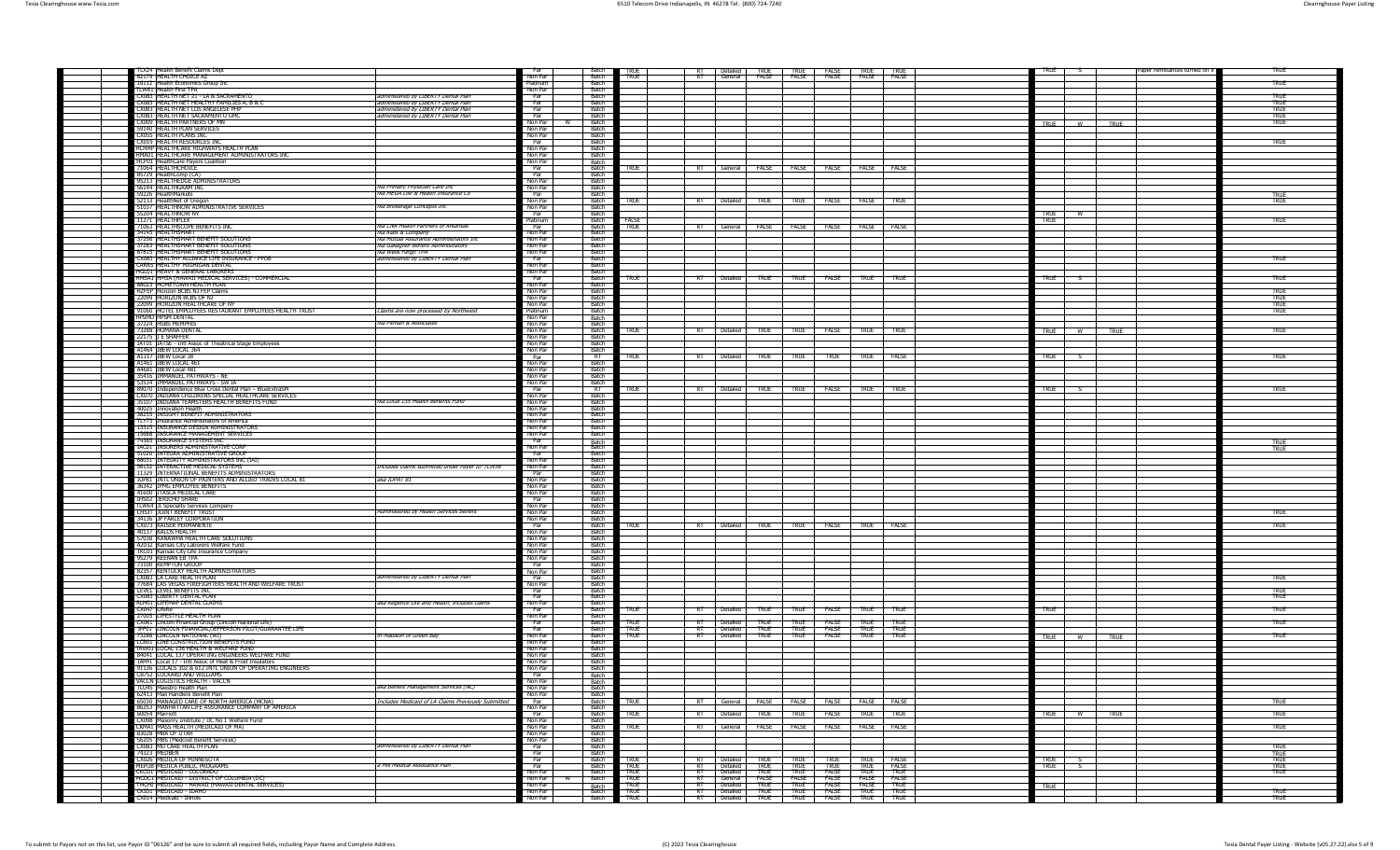| TLX24 Health Benefit Claims Dept<br>62179 HEALTH CHOICE AZ                                                     |                                                                            | Par<br>Non Par     | <b>Batch</b><br>Batch   | <b>TRUE</b><br>TRUE |             | RT Detailed TRUE TRUE FALSE TRUE TRUE<br>RT General FALSE FALSE FALSE FALSE FALSE         |             |                                       |             |             | TRUF                       | Paper remittances turned off i | TRUE                |
|----------------------------------------------------------------------------------------------------------------|----------------------------------------------------------------------------|--------------------|-------------------------|---------------------|-------------|-------------------------------------------------------------------------------------------|-------------|---------------------------------------|-------------|-------------|----------------------------|--------------------------------|---------------------|
| 16112 Health Economics Group Inc.                                                                              |                                                                            | Platinum           | Batch                   |                     |             |                                                                                           |             |                                       |             |             |                            |                                | TRUE                |
| II W61 Health First TPA<br>CX083   HEALTH NET 21 - LA & SACRAMENTO                                             | administered by LIBERTY Dental Plan                                        | Non Par<br>Par     | Ratch<br>Ratch          |                     |             |                                                                                           |             |                                       |             |             |                            |                                | TRUF                |
| CX083 HEALTH NET HEALTHY FAMILIES A, B & C                                                                     | administered by LIBERTY Dental Plan                                        | Par                | - Batch                 |                     |             |                                                                                           |             |                                       |             |             |                            |                                | TRUE                |
| CX083 HEALTH NET LOS ANGELESE PHP<br>CX083 HEALTH NET SACRAMENTO GMO                                           | administered by LIBERTY Dental Plan<br>administered by LIBERTY Dental Plan | Par<br>Par         | Batch<br>Batch          |                     |             |                                                                                           |             |                                       |             |             |                            |                                | <b>TRUE</b><br>TRUE |
| CX009 HEALTH PARTNERS OF MN                                                                                    |                                                                            | Non Par            | Batch                   |                     |             |                                                                                           |             |                                       |             |             | <b>TRUE</b><br>w           | <b>TRUE</b>                    | TRUE                |
| 59140 HEALTH PLAN SERVICES<br>CX055 THEATTH PLANS INC.                                                         |                                                                            | Non Par<br>Non Par | Batch<br>- Batch        |                     |             |                                                                                           |             |                                       |             |             |                            |                                |                     |
| CX019 HEALTH RESOURCES IN                                                                                      |                                                                            | Par                | Ratch                   |                     |             |                                                                                           |             |                                       |             |             |                            |                                | <b>TRUE</b>         |
| HCHHP   HEALTHCARE HIGHWAYS HEALTH PLAN<br>HMA01 HEALTHCARE MANAGEMENT ADMINISTRATORS INC                      |                                                                            | Non Par<br>Non Par | <b>Batch</b><br>Batch   |                     |             |                                                                                           |             |                                       |             |             |                            |                                |                     |
| HCP01 HealthCare Payers Coalition                                                                              |                                                                            | Non Par            |                         |                     |             |                                                                                           |             |                                       |             |             |                            |                                |                     |
| 71064 HEALTHCHOICE<br>85729 HealthComp (CA                                                                     |                                                                            | Par<br>Par         | Batch<br>Batch<br>Batch | <b>TRUE</b>         |             | RT General FALSE FALSE FALSE FALSE FALSE                                                  |             |                                       |             |             |                            |                                |                     |
| 95213 HEALTHEDGE ADMINISTRATORS                                                                                |                                                                            | Non Par            | <b>Batch</b>            |                     |             |                                                                                           |             |                                       |             |             |                            |                                |                     |
| 56144 HEALTHGRAM INC.                                                                                          | tka Primary Physician Care Inc                                             | Non Par            | Batch                   |                     |             |                                                                                           |             |                                       |             |             |                            |                                |                     |
| 59226 HealthMarkets<br>52133 HealthNet of Oreo                                                                 | fka MEGA Life & Health Insurance Co                                        | Par<br>Non Par     | Ratch<br>Ratch          | <b>TRUE</b>         |             | RT   Detailed   TRUE   TRUE   FALSE   FALSE   TRUE                                        |             |                                       |             |             |                            |                                | <b>TRUE</b>         |
| 51037 HEALTHNOW ADMINISTRATIVE SERVICES                                                                        | fka Brokerage Concepts Inc                                                 | Non Par            | Batch                   |                     |             |                                                                                           |             |                                       |             |             |                            |                                |                     |
| 55204 HEALTHNOW NY<br>11271 HEALTHPLEX                                                                         |                                                                            | Par<br>Platinum    | - Batch<br>Batch        | FALSE               |             |                                                                                           |             |                                       |             |             | <b>TRUE</b><br><b>TRUE</b> |                                | <b>TRUE</b>         |
| 71063 HEALTHSCOPE BENEFITS INC                                                                                 | tka CNA Health Partners of Arkansas                                        | Par                | Batch                   | <b>TRUE</b>         |             | RT General FALSE FALSE FALSE FALSE FALSE                                                  |             |                                       |             |             |                            |                                |                     |
| 34145 HEALTHSMART<br>37256 HEALTHSMART RENEELT SOLLITIONS                                                      | <i>fka Klais &amp; Company</i><br>fka Mutual Assurance Administrators Inc. | Non Par<br>Non Par | Batch<br>- Batch        |                     |             |                                                                                           |             |                                       |             |             |                            |                                |                     |
| 37283 HEALTHSMART BENEFIT SOLUTIONS                                                                            | fka Gallagher Benefit Administrators                                       | Non Par            | Batch                   |                     |             |                                                                                           |             |                                       |             |             |                            |                                |                     |
| 87815 HEALTHSMART BENEFIT SOLUTIONS                                                                            | Tika Wells Fargo TPA<br>administered by LIBERTY Dental Plan                | Non Par<br>Par     | Ratch<br><b>Batch</b>   |                     |             |                                                                                           |             |                                       |             |             |                            |                                | TRUE                |
| CX083 HEALTHY ALLIANCE LIFE INSURANCE - PPOB<br>CARRS HEALTHY MIGHIGAN DENTAL                                  |                                                                            | Non Par            | - Batch                 |                     |             |                                                                                           |             |                                       |             |             |                            |                                |                     |
| HGL01 HEAVY & GENERAL LABORERS                                                                                 |                                                                            | Non Par            | Batch                   |                     |             |                                                                                           |             |                                       |             |             |                            |                                |                     |
| HMSA1 HMSA (HAWAII MEDICAL SERVICES) - COMMERCIAL<br>88023 HOMETOWN HEALTH PLAN                                |                                                                            | Par<br>Non Par     | Batch<br>Batch          | TRUF                |             | RT Detailed TRUE TRUE FALSE TRUE                                                          |             |                                       |             | <b>TRUF</b> | <b>TRUE</b>                |                                | <b>TRUE</b>         |
| <b>H7FEP Horizon BCBS N1 FEP Claims</b>                                                                        |                                                                            | Non Par            | Batch                   |                     |             |                                                                                           |             |                                       |             |             |                            |                                | <b>TRUE</b>         |
| 22099 THORTZON BCBS OF NT<br>22099 HORIZON HEALTHCARE OF N                                                     |                                                                            | Non Par<br>Non Par | - Batch<br>Ratch        |                     |             |                                                                                           |             |                                       |             |             |                            |                                | TRUF<br>TRIF        |
| 91060 HOTEL EMPLOYEES RESTAURANT EMPLOYEES HEALTH TRUST                                                        | Claims are now processed by Northwest                                      | Platinum           | Batch                   |                     |             |                                                                                           |             |                                       |             |             |                            |                                | <b>TRUE</b>         |
| <b>HPSMD HPSM DENTAL</b>                                                                                       |                                                                            | Non Par            | Batch<br>Batch          |                     |             |                                                                                           |             |                                       |             |             |                            |                                |                     |
| 37224 HSBS MEMPHIS<br>73288 HUMANA DENTAL                                                                      | <b>tka Pitman &amp; Associates</b>                                         | Non Par<br>Non Par | Batch                   | <b>TRUE</b>         |             | RT Detailed TRUE TRUE FALSE TRUE TRUE                                                     |             |                                       |             |             | TRUE W                     | <b>TRUE</b>                    | <b>TRUE</b>         |
| 22175 I E SHAFFER                                                                                              |                                                                            | Non Par            | Batch                   |                     |             |                                                                                           |             |                                       |             |             |                            |                                |                     |
| IAT01 IATSE - Intl Assoc of Theatrical Stage Employees<br><b>41464 TREW LOCAL 364</b>                          |                                                                            | Non Par<br>Non Par | <b>Batch</b><br>Batch   |                     |             |                                                                                           |             |                                       |             |             |                            |                                |                     |
| A1317 IIBEW Local 38                                                                                           |                                                                            | Par<br>Non Par     | RT                      | <b>TRUE</b>         |             | RT Detailed TRUE TRUE TRUE TRUE FALSE                                                     |             |                                       |             |             | <b>TRUE</b>                |                                | <b>TRUE</b>         |
| A1461 IBEW LOCAL 461                                                                                           |                                                                            |                    | Ratch                   |                     |             |                                                                                           |             |                                       |             |             |                            |                                |                     |
| A4681 IBEW Local 481<br>35416 IMMANUEL PATHWAYS - NE                                                           |                                                                            | Non Par<br>Non Par | Batch<br>- Batch        |                     |             |                                                                                           |             |                                       |             |             |                            |                                |                     |
| 53534 IMMANUEL PATHWAYS - SW IA                                                                                |                                                                            | Non Par            | Batch                   |                     |             |                                                                                           |             |                                       |             |             |                            |                                |                     |
| 89070 Independence Blue Cross Dental Plan - BlueExtraSM<br>CX070 INDIANA CHILDRENS SPECIAL HEALTHCARE SERVICES |                                                                            | Par<br>Non Par     | $R$ T<br>Batch          | TRUF                |             | RT Detailed TRUE TRUE FALSE TRUE TRUE                                                     |             |                                       |             |             | <b>TRUE</b>                |                                | TRUE                |
| 35107 INDIANA TEAMSTERS HEALTH BENEFITS FUND                                                                   | tka Local 135 Health Benefits Fund                                         | Non Par            | Batch                   |                     |             |                                                                                           |             |                                       |             |             |                            |                                |                     |
| 40025 Trinovation Health<br>38255 INSIGHT BENEFIT ADMINISTRATORS                                               |                                                                            | Non Par<br>Non Par | Batch<br>Ratch          |                     |             |                                                                                           |             |                                       |             |             |                            |                                |                     |
| TLY73 Insurance Administrators of America                                                                      |                                                                            | Non Par            | Batch                   |                     |             |                                                                                           |             |                                       |             |             |                            |                                |                     |
| 13315 INSURANCE DESIGN ADMINISTRATORS                                                                          |                                                                            | Non Par            | - Batch                 |                     |             |                                                                                           |             |                                       |             |             |                            |                                |                     |
| 15688 INSURANCE MANAGEMENT SERVICES<br>74385 INSURANCE SYSTEMS INC                                             |                                                                            | Non Par<br>Par     | Batch                   |                     |             |                                                                                           |             |                                       |             |             |                            |                                | TRUE                |
| <b>IAC01 INSURERS ADMINISTRATIVE CORP</b>                                                                      |                                                                            | Non Par            | Batch<br>Batch          |                     |             |                                                                                           |             |                                       |             |             |                            |                                | <b>TRUE</b>         |
| 51020 INTEGRA ADMINISTRATIVE GROUP<br>68031 INTEGRITY ADMINISTRATORS INC (IAI)                                 |                                                                            | Par<br>Non Par     | Batch<br>- Batch        |                     |             |                                                                                           |             |                                       |             |             |                            |                                |                     |
| 56132 INTERACTIVE MEDICAL SYSTEMS                                                                              | Includes claims submitted under Payer ID TLW56                             | Non Par            | Ratch                   |                     |             |                                                                                           |             |                                       |             |             |                            |                                |                     |
| 11329 INTERNATIONAL BENEFITS ADMINISTRATORS                                                                    |                                                                            | Par                | - Batch                 |                     |             |                                                                                           |             |                                       |             |             |                            |                                |                     |
| IUP81 INTL UNION OF PAINTERS AND ALLIED TRADES LOCAL 81<br>36342 IPMG EMPLOYEE BENEFITS                        | aka IUPAT 81                                                               | Non Par<br>Non Par | Batch<br>Batch          |                     |             |                                                                                           |             |                                       |             |             |                            |                                |                     |
| 41600 ITASCA MEDICAL CARE                                                                                      |                                                                            | Non Par            | Batch                   |                     |             |                                                                                           |             |                                       |             |             |                            |                                |                     |
| IHS02 JERICHO SHARE<br><b>TLW64 JI Specialty Services Company</b>                                              |                                                                            | Par<br>Non Par     | Batch<br><b>Batch</b>   |                     |             |                                                                                           |             |                                       |             |             |                            |                                |                     |
| CHSIT I IOINT BENEEIT TRUST                                                                                    | Administered by Health Services Benefit                                    | Non Par            | Batch                   |                     |             |                                                                                           |             |                                       |             |             |                            |                                | TRUF                |
| 34136 JP FARLEY CORPORATION<br>CX073 KAISER PERMANENTE                                                         |                                                                            | Non Par<br>Par     | Ratch<br>Ratch          | <b>TRUE</b>         |             | RT Detailed TRUE TRUE FALSE TRUE FALSE                                                    |             |                                       |             |             |                            |                                | TRUE                |
| 40137 KALOS HEALTH                                                                                             |                                                                            | Non Par            | <b>Batch</b>            |                     |             |                                                                                           |             |                                       |             |             |                            |                                |                     |
| 57038 KANAWHA HEALTH CARE SOLUTIONS                                                                            |                                                                            | Non Par            | - Batch                 |                     |             |                                                                                           |             |                                       |             |             |                            |                                |                     |
| A2032 Kansas City Laborers Welfare Fund<br>TKC01 Kansas City Life Insurance Company                            |                                                                            | Non Par<br>Non Par | Batch<br>Batch          |                     |             |                                                                                           |             |                                       |             |             |                            |                                |                     |
| 95279 KEENAN EB TPA                                                                                            |                                                                            | Non Par            | Batch                   |                     |             |                                                                                           |             |                                       |             |             |                            |                                |                     |
| 73100 KEMPTON GROUP<br>82357 KENTUCKY HEALTH ADMINISTRATORS                                                    |                                                                            | Par                | <b>Batch</b><br>Batch   |                     |             |                                                                                           |             |                                       |             |             |                            |                                |                     |
| CX083 II A CARE HEALTH PLAN                                                                                    | administered by LIBERTY Dental Plan                                        | Non Par            | Ratch                   |                     |             |                                                                                           |             |                                       |             |             |                            |                                | <b>TRUE</b>         |
| 77684   LAS VEGAS FIREFIGHTERS HEALTH AND WELFARE TRUST<br>LEVEL LEVEL BENEFITS INC                            |                                                                            | Non Par<br>Par     | Ratch<br>- Batch        |                     |             |                                                                                           |             |                                       |             |             |                            |                                | TRUF                |
| CX083 LIBERTY DENTAL PLAN                                                                                      |                                                                            | Par                | Batch                   |                     |             |                                                                                           |             |                                       |             |             |                            |                                | TRUE                |
| RLH01 LIFEMAP DENTAL CLAIMS<br>CX047 LifeRe                                                                    | aka Regence Life and Health; includes claims                               | Non Par<br>Par     | Batch<br>Batch          | <b>TRUE</b>         |             | RT Detailed TRUE TRUE FALSE TRUE TRUE                                                     |             |                                       |             |             | <b>TRUE</b>                |                                | TRUE                |
| 27005 LIFESTYLE HEALTH PLAN                                                                                    |                                                                            | Non Par            | Batch                   |                     |             |                                                                                           |             |                                       |             |             |                            |                                |                     |
| CX061   Lincoln Financial Group (Lincoln National Life)                                                        |                                                                            | Par                | - Batch                 | <b>TRUE</b>         |             | Detailed TRUE TRUE FALSE                                                                  |             |                                       | <b>TRUF</b> | TRUF        |                            |                                | <b>TRUE</b>         |
| JPF01 LINCOLN FINANCIAL/JEFFERSON PILOT/GUARANTEE LIFE<br>73288 LINCOLN NATIONAL (WI)                          | in Madison or Green Bay                                                    | Par<br>Non Par     | Ratch<br>Batch          | TRUF<br><b>TRUE</b> | RT Detailed | RT Detailed   TRUE   TRUE   FALSE   TRUE   TRUE<br><b>TRUE</b>                            | <b>TRUE</b> | FALSE                                 | <b>TRUE</b> | TRUE        | <b>TRUF</b><br>W           | TRUE                           | <b>TRUE</b>         |
| <b>LCB01 LINE CONSTRUCTION BENEFITS FUND</b>                                                                   |                                                                            | Non Par            | <b>Batch</b>            |                     |             |                                                                                           |             |                                       |             |             |                            |                                |                     |
| TRW01 LOCAL 136 HEALTH & WELFARE FUND<br>84041 LOCAL 137 OPERATING ENGINEERS WELFARE FUND                      |                                                                            | Non Par<br>Non Par | Batch<br>Batch          |                     |             |                                                                                           |             |                                       |             |             |                            |                                |                     |
| IAHFI Local 17 - Intl Assoc of Heat & Frost Insulators                                                         |                                                                            | Non Par            | Batch                   |                     |             |                                                                                           |             |                                       |             |             |                            |                                |                     |
| 91136 LOCALS 302 & 612 INTL UNION OF OPERATING ENGINEERS                                                       |                                                                            | Non Par            | <b>Batch</b>            |                     |             |                                                                                           |             |                                       |             |             |                            |                                |                     |
| B752 II OCKARD AND WILLTAMS<br>VACCN LOGISTICS HEALTH - VACCN                                                  |                                                                            | Par<br>Non Par     | Batch                   |                     |             |                                                                                           |             |                                       |             |             |                            |                                |                     |
| TI 145 Maestro Health Plan                                                                                     | aka Benefit Management Services (NC)                                       | Non Par            | Batch<br>Batch          |                     |             |                                                                                           |             |                                       |             |             |                            |                                |                     |
| 62413 Mail Handlers Benefit Plan                                                                               |                                                                            | Non Par            | Batch                   |                     |             |                                                                                           |             |                                       |             |             |                            |                                | <b>TRUE</b>         |
| 65030 MANAGED CARE OF NORTH AMERICA (MCNA)<br>86253 MANAGED CARE OF NORTH AMERICA (MCNA)                       | Includes Medicaid of LA Claims Previously Submitted                        | Par<br>Non Par     | Batch<br>Batch          | <b>TRUE</b>         |             | RT General FALSE FALSE FALSE FALSE FALSE                                                  |             |                                       |             |             |                            |                                |                     |
| 60054 Marriott<br>CX098 Masonry Institute / DC No 1 Welfare Fund                                               |                                                                            | Par                | Batch                   | <b>TRUE</b>         |             | RT   Detailed   TRUE   TRUE   FALSE   TRUE   TRUE                                         |             |                                       |             |             | TRUE W                     | <b>TRUE</b>                    | <b>TRUE</b>         |
| CKMA1 MASS HEALTH (MEDICAID OF MA)                                                                             |                                                                            | Non Par<br>Non Par | Batch<br>Batch          | <b>TRUE</b>         |             | RT General FAISE FAISE FAISE FAISE FAISE FAISE                                            |             |                                       |             |             |                            |                                | TRUE                |
| 83028 MBA OF UTAH                                                                                              |                                                                            | Non Par            | Batch                   |                     |             |                                                                                           |             |                                       |             |             |                            |                                |                     |
| 56205 MBS (Medcost Benefit Services)<br>CX083 MD CARE HEALTH PLAN                                              | administered by LIBERTY Dental Plan                                        | Non Par<br>Par     | Ratch<br>Ratch          |                     |             |                                                                                           |             |                                       |             |             |                            |                                | TRUE                |
| 74323 MEDBEN                                                                                                   |                                                                            | Par                | - Batch                 |                     |             |                                                                                           |             |                                       |             |             |                            |                                | TRUE<br>TRUE        |
| CX026 MEDICA OF MINNESOTA<br>MEPUB MEDICA PUBLIC PROGRAMS                                                      | a MN Medical Assistance Plan                                               | Par<br>Par         | - Batch<br>Batch        | TRUE<br><b>TRUE</b> |             | RT Detailed TRUE TRUE TRUE TRUE FALSE                                                     |             |                                       |             |             | TRUE 5<br><b>TRUE</b>      |                                |                     |
| CKCO1 MEDICAID - COLORADO                                                                                      |                                                                            | Non Par            | Batch                   | <b>TRUE</b>         |             | THE METALLIC TRUE TRUE TRUE TRUE FALSE<br>TRI Detailed TRUE TRUE FALSE TRUE TRUE TRUE     |             |                                       |             |             |                            |                                | <b>TRUE</b><br>TRUE |
| MCDC1 MEDICAID - DISTRICT OF COLUMBIA (DC)                                                                     |                                                                            | Non Par            | Batch                   | <b>TRUE</b>         |             | <b>RT General FALSE FALSE FALSE FALSE FALSE</b><br>RT Detailed TRUE TRUE FALSE FALSE TRUE |             |                                       |             |             |                            |                                |                     |
| TMCHI MEDICAID - HAWAII (HAWAII DENTAL SERVICES)<br>CKID1 MEDICAID - IDAHO                                     |                                                                            | Non Par<br>Non Par | Batch<br>Batch          | <b>TRUF</b><br>TRUF |             | RT Detailed TRUE TRUE FALSE TRUE TRUE                                                     |             |                                       |             |             | <b>TRUE</b>                |                                | TRUF                |
| CX014 Medicaid - Illinois                                                                                      |                                                                            | Non Par            | Batch                   | TRUE T              |             |                                                                                           |             | RT Detailed TRUE TRUE FALSE TRUE TRUE |             |             |                            |                                | <b>TRUE</b>         |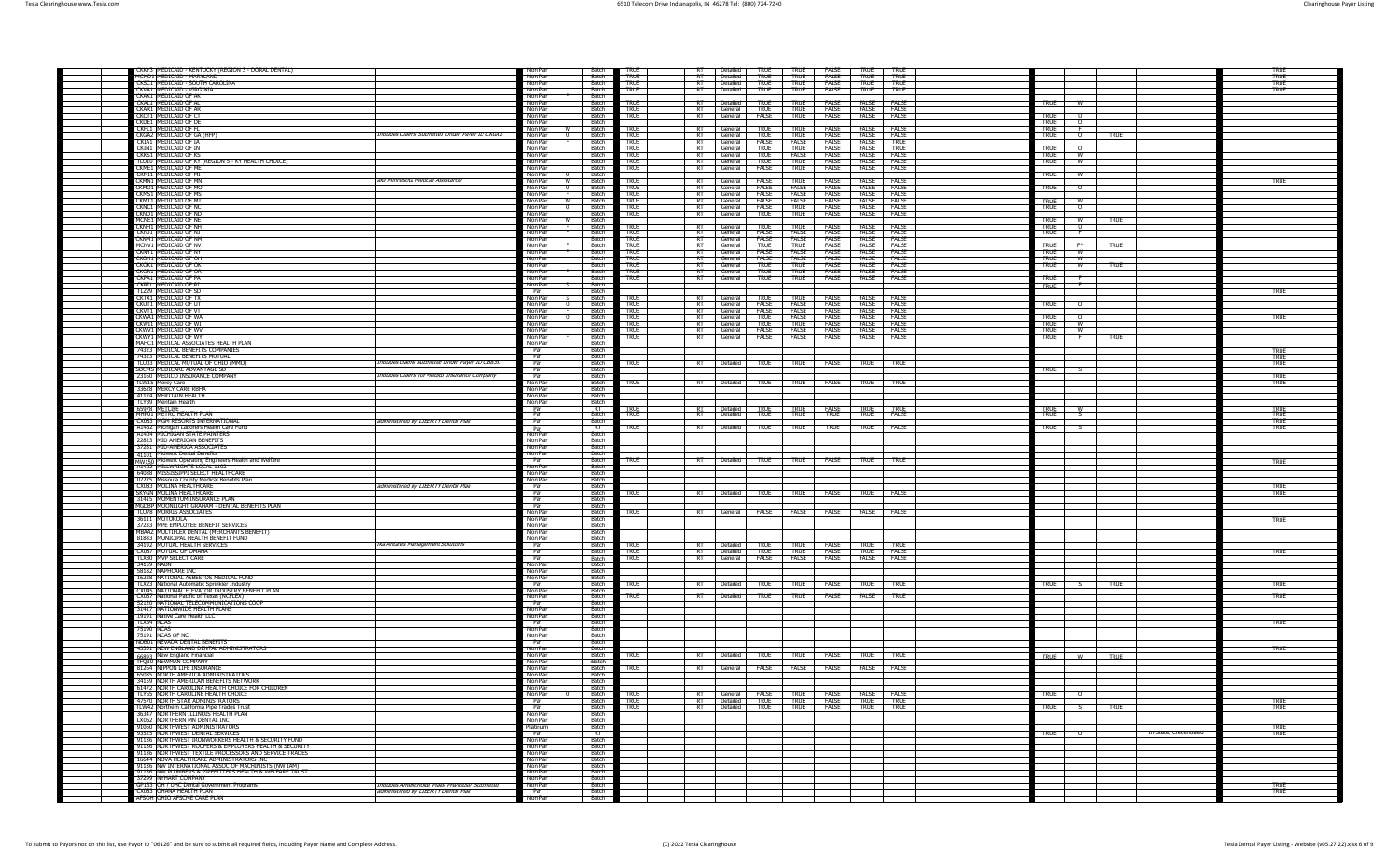| CKKY3   MEDICAID - KENTUCKY (REGION 3 - DORAL DENTAL)<br>MCMD1 MEDICAID - MARYLAND                                    |                                                 | Non Par<br>Batch<br>Non Par                                |                                | TRUF<br><b>TRUE</b>        |                          |                                  | Detailed TRUE<br>Detailed TRUE                  | TRUF<br><b>TRUE</b>          | FALSE TRUE TRUE<br>FALSE TRUE TRUE    |                              |                            |                                                 |             |                        | TRUF                |
|-----------------------------------------------------------------------------------------------------------------------|-------------------------------------------------|------------------------------------------------------------|--------------------------------|----------------------------|--------------------------|----------------------------------|-------------------------------------------------|------------------------------|---------------------------------------|------------------------------|----------------------------|-------------------------------------------------|-------------|------------------------|---------------------|
| CKSC1 MEDICAID - SOUTH CAROLINA                                                                                       |                                                 | Non Par                                                    | Batch                          | TRUE                       | $R$ T<br>ਸ਼ਾ             | Detailed                         | TRUE                                            | TRUE                         | FALSE                                 | TRUE                         | TRUF                       |                                                 |             |                        | <b>TRUE</b>         |
| CKVA1 MEDICAID - VIRGINIA                                                                                             |                                                 | Non Par<br><b>Batch</b>                                    |                                | <b>TRUE</b>                | $R$ T                    | Detailed                         | TRUE                                            | TRUE                         | FALSE                                 | <b>TRUE</b>                  | <b>TRUE</b>                |                                                 |             |                        | TRUF                |
| CKAK1 MEDICAID OF AK<br>CKAL1 MEDICAID OF A                                                                           |                                                 | Non Par<br>- Batch<br>Non Par                              | Batch                          | true                       | য়                       | Detailed                         | <b>TRUE</b>                                     | TRUE                         | <b>FALSE</b>                          | <b>FALSE</b>                 | FALSE                      | <b>TRUE</b>                                     |             |                        |                     |
| CKAR1 MEDICAID OF AR                                                                                                  |                                                 | Non Par<br>Batch                                           |                                | TRUE                       | RT –                     | General TRUE                     |                                                 | TRUE                         |                                       | FALSE FALSE                  | FALSE                      |                                                 |             |                        |                     |
| CKCT1 MEDICAID OF CT<br>CKDE1 MEDICAID OF DE                                                                          |                                                 | Non Par<br>Non Par<br>Batch                                | Batch                          | TRUE                       | ਸ਼ਾ                      | General                          | <b>FALSE</b>                                    | TRUE                         | FALSE                                 | FALSE                        | FALSE                      | <b>TRUE</b><br><b>TRUE</b><br>റ                 |             |                        |                     |
| CKFL1 MEDICAID OF FI                                                                                                  |                                                 | Non Par<br>Batch <sup>+</sup>                              |                                | TRUE                       | $R$ T                    | General                          | TRUF                                            | TRUF                         | <b>FALSE</b>                          | <b>FALSE</b>                 | <b>FALSE</b>               | TRUE<br>- F                                     |             |                        |                     |
| CKGA2 MEDICAID OF GA (HFF                                                                                             | Includes Claims Submitted Under Payer ID CKGA1  | – Batch<br>Non Par<br>$\Omega$                             |                                | TRUF                       | $R$ T                    | General                          | TRUF                                            | TRUF                         | <b>FALSE</b>                          | <b>FALSE</b>                 | <b>FALSE</b>               | TRUE<br>$\circ$                                 | <b>TRUE</b> |                        |                     |
| CKIA1 MEDICAID OF IA<br>CKIN1 MEDICAID OF IN                                                                          |                                                 | Non Par<br>- Batch<br>Non Par                              | <b>Batch</b>                   | TRUF<br><b>TRUE</b>        | $\overline{R}$<br>$R$ T  | General<br>General               | FALSE<br>TRUF                                   | <b>FALSE</b><br>TRUF         | <b>FALSE</b><br><b>FALSE</b>          | <b>FALSE</b><br><b>FALSE</b> | <b>TRUF</b><br><b>TRUF</b> | TRIF                                            |             |                        |                     |
| CKKS1 MEDICAID OF KS                                                                                                  |                                                 | Non Par                                                    | Batch                          | <b>TRUE</b>                | $\overline{R}$           | General                          | <b>TRUE</b>                                     | FALSE                        | FALSE                                 | FALSE FALSE                  |                            | TRUE W                                          |             |                        |                     |
| TLU10 MEDICAID OF KY (REGION 5 - KY HEALTH CHOICE)<br>CKME1 MEDICAID OF ME                                            |                                                 | Non Par<br><b>Batc</b>                                     | Batch                          | TRUE<br><b>TRUE</b>        | $R$ T<br>$\overline{RT}$ | General                          | <b>TRUE</b>                                     | TRUE                         | FALSE                                 | <b>FALSE FALSE</b>           |                            | true<br>– w                                     |             |                        |                     |
| CKMI1 MEDICAID OF MI                                                                                                  |                                                 | Non Par<br>Non Par<br>Batch                                |                                |                            |                          | General                          | FALSE                                           | <b>TRUE</b>                  | <b>FALSE</b>                          | <b>FALSE</b>                 | FALSE                      | true<br>w                                       |             |                        |                     |
| CKMN1 MEDICAID OF MN                                                                                                  | aka Minnesota Medical Assistance                | Batc<br>Non Par                                            |                                | TRUE                       |                          | General                          | FALSE                                           | TRIF                         | <b>FAISE</b>                          | <b>FAISE</b>                 | <b>FAISE</b>               |                                                 |             |                        | <b>TRUE</b>         |
| CKMO1 IMEDICAID OF MC<br>CKMS1 MEDICAID OF MS                                                                         |                                                 | <b>Batch</b><br>Non Par<br>- 0<br>Non Par                  | Batch                          | <b>TRUF</b><br><b>TRUE</b> | $R$ T<br>RT              | General FALSE<br>General         | FALSE                                           | <b>FALSE</b><br><b>FALSE</b> | <b>FALSE</b><br><b>FALSE</b>          | <b>FALSE FALSE</b><br>FALSE  | FALSE                      | <b>TRUE</b><br>$\overline{\phantom{a}}$         |             |                        |                     |
| CKMT1 MEDICAID OF MT                                                                                                  |                                                 | Non Par<br>w<br>- Batch                                    |                                | <b>TRUE</b>                | $R$ T                    | General                          | FALSE                                           | <b>FALSE</b>                 | <b>FALSE</b>                          | <b>FALSE FALSE</b>           |                            | w                                               |             |                        |                     |
| CKNC1 MEDICAID OF NO                                                                                                  |                                                 | Non Par<br>$\circ$                                         | Batch<br>Batch                 | <b>TRUE</b>                | RT<br>$R$ T              | General FALSE                    |                                                 | <b>TRUE</b>                  | FALSE                                 | <b>FALSE</b>                 | FALSE                      | <b>TRUE</b><br>TRUE<br>$\overline{\phantom{0}}$ |             |                        |                     |
| CKND1 MEDICAID OF ND<br>MCNE1 MEDICAID OF NE                                                                          |                                                 | Non Par<br>Non Par<br>Batch<br>w                           |                                | <b>TRUE</b>                |                          | General                          | TRUE                                            | TRUE                         | FALSE                                 | <b>FALSE</b>                 | FALSE                      | <b>TRUE</b><br>w                                | <b>TRUE</b> |                        |                     |
| CKNH1 MEDICAID OF NH                                                                                                  |                                                 | Non Par<br>Batch                                           |                                | <b>TRUE</b>                |                          | General                          | TRUF                                            | TRUE                         | <b>FALSE</b>                          | <b>FALSE</b>                 | FALSE                      | <b>TRUE</b><br>. U                              |             |                        |                     |
| CKNJ1 MEDICAID OF NJ<br>CKNM1 IMEDICAID OF NM                                                                         |                                                 | Non Par<br>Batch<br>Non Par<br>- Batch                     |                                | <b>TRUE</b><br><b>TRUF</b> | RT<br>$R$ T              | General FALSE<br>General   FALSE |                                                 | <b>FALSE</b><br><b>FALSE</b> | <b>FALSE</b><br><b>FALSE</b>          | <b>FALSE</b><br><b>FALSE</b> | FALSE<br><b>FALSE</b>      | <b>TRUE</b><br>下                                |             |                        |                     |
| MCNV1 MEDICAID OF NV                                                                                                  |                                                 | Non Par<br>– Batch                                         |                                | TRUE                       | $R$ T $\sim$             | General                          | <b>TRUF</b>                                     | TRUF                         | <b>FALSE</b>                          | <b>FALSE</b>                 | <b>FALSE</b>               | <b>TRUE</b>                                     | TRUF        |                        |                     |
| CKNY1 MEDICAID OF NY<br>CKOH1 MEDICAID OF OH                                                                          |                                                 | Non Par<br>Batch<br>Non Par                                | Batch                          | <b>TRUE</b><br><b>TRUE</b> | $R$ T<br>$R$ T           | General                          | FALSE<br>FALSE                                  | <b>FALSE</b><br><b>FALSE</b> | <b>FALSE</b><br><b>FALSE</b>          | FALSE<br>FALSE               | FALSE                      | <b>TRUE</b><br>W                                |             |                        |                     |
| CKOK1 MEDICAID OF OK                                                                                                  |                                                 | Non Par                                                    | Batch                          | TRUE                       | RT                       | General<br>General               | <b>TRUE</b>                                     | TRUE                         | FALSE                                 | FALSE                        | FALSE<br>FALSE             | TRUE <b>W</b><br><b>TRUE</b><br>- W             | TRUE        |                        |                     |
| CKOR1 MEDICAID OF OR                                                                                                  |                                                 | Non Par<br>Batch                                           |                                | TRUE                       | $-$ RT $-$               | General                          | true                                            | TRUE                         | <b>FALSE</b>                          | FALSE                        | FALSE                      |                                                 |             |                        |                     |
| CKPA1 MEDICAID OF PA<br>CKRI1 MEDICAID OF RI                                                                          |                                                 | Non Par<br>Batch<br>Non Par                                | Batch                          | <b>TRUE</b>                | RT.                      | General                          | <b>TRUE</b>                                     | TRUE                         | <b>FALSE</b>                          | FALSE                        | FALSE                      | <b>TRUE</b><br>- F                              |             |                        |                     |
| TL729 MEDICAID OF SD                                                                                                  |                                                 | Batch<br>Par                                               |                                |                            |                          |                                  |                                                 |                              |                                       |                              |                            | <b>TRUE</b>                                     |             |                        | TRUE                |
| CKTX1 IMEDICAID OF TX                                                                                                 |                                                 | Non Par<br>l Batch<br>Batch <sup>-</sup><br>$\overline{0}$ |                                | <b>TRUE</b><br>TRUF        | - RT<br>R                | General                          | <b>TRUF</b>                                     | TRUF<br><b>FALSE</b>         | <b>FALSE</b><br>FALSE                 | <b>FAISE</b>                 | <b>FALSE</b>               |                                                 |             |                        |                     |
| CKUT1 MEDICAID OF UT<br>CKVT1 MEDICAID OF VT                                                                          |                                                 | Non Par<br>Non Par                                         | Batch                          | <b>TRUE</b>                | $R$ T                    | General<br>General               | FALSE<br><b>FALSE</b>                           | <b>FALSE</b>                 | <b>FALSE</b>                          | <b>FALSE FALSE</b><br>FALSE  | FALSE                      | TRUE <sub>1</sub><br>ം                          |             |                        |                     |
| CKWA1 MEDICAID OF WA                                                                                                  |                                                 | Non Par<br>Batch                                           |                                | <b>TRUE</b>                | RT                       | General                          | <b>TRUE</b>                                     | FALSE                        | <b>FALSE</b>                          | FALSE                        | FALSE                      | TRUE <sub>1</sub>                               |             |                        | True                |
| CKWI1 MEDICAID OF WI<br>CKWV1 MEDICAID OF WV                                                                          |                                                 | Non Par<br>Non Par<br>Batch                                | Batch                          | TRUE<br><b>TRUE</b>        | $R$ T<br>RT              | General                          | <b>TRUE</b><br>General FALSE                    | TRUE<br><b>FALSE</b>         | FALSE<br>FALSE FALSE FALSE            | FALSE                        | FALSE                      | TRUE<br>– w<br>TRUE W                           |             |                        |                     |
| CKWY1 MEDICAID OF WY                                                                                                  |                                                 | Non Par<br>Batch                                           |                                | TRUE                       | RT.                      |                                  | General FALSE                                   | FALSE                        | <b>FALSE</b>                          | <b>FALSE</b>                 | FALSE                      | <b>TRUE</b><br>— F                              | <b>TRUE</b> |                        |                     |
| MAHC1 MEDICAL ASSOCIATES HEALTH PLAN<br>74323 IMEDICAL RENEFITS COMPANIES                                             |                                                 | Non Par<br><b>Batch</b><br>- Batch<br>Par                  |                                |                            |                          |                                  |                                                 |                              |                                       |                              |                            |                                                 |             |                        |                     |
| 74323 MEDICAL BENEFITS MUTUAL                                                                                         |                                                 | Par<br>Batch                                               |                                |                            |                          |                                  |                                                 |                              |                                       |                              |                            |                                                 |             |                        | <b>TRUE</b>         |
| TLU03 MEDICAL MUTUAL OF OHIO (MMC                                                                                     | Includes claims submitted under Paver 1D CB833. | Par                                                        | Batch                          | <b>TRUE</b>                |                          |                                  | RT Detailed TRUE TRUE                           |                              | <b>FALSE</b> TRUE TRUE                |                              |                            |                                                 |             |                        | <b>TRUE</b><br>TRUE |
| SDCMS MEDICARE ADVANTAGE SD<br>23160 MEDICO INSURANCE COMPANY                                                         | Includes Claims for Medico Insurance Company    | Par<br>Par                                                 | Batch<br>Batch                 |                            |                          |                                  |                                                 |                              |                                       |                              |                            | <b>TRUE</b>                                     |             |                        | TRUE                |
| <b>TLW15 Mercy Care</b>                                                                                               |                                                 | Non Par                                                    | Batch                          | <b>TRUE</b>                | RT                       | Detailed                         | <b>TRUE</b>                                     | <b>TRUE</b>                  | FALSE                                 | <b>TRUE</b>                  | <b>TRUE</b>                |                                                 |             |                        | <b>TRUE</b>         |
| 33628 MERCY CARE RBHA<br>41124 MERITAIN HEALTH                                                                        |                                                 | Non Par<br>Batch<br><b>Batch</b><br>Non Par                |                                |                            |                          |                                  |                                                 |                              |                                       |                              |                            |                                                 |             |                        |                     |
| TI Y39 Meritain Health                                                                                                |                                                 | - Batch<br>Non Par                                         |                                |                            |                          |                                  |                                                 |                              |                                       |                              |                            |                                                 |             |                        |                     |
| 65978 METLIFE                                                                                                         |                                                 | $R$ T<br>Par                                               |                                | TRUF                       | RT                       |                                  | Detailed TRUE                                   | TRUF                         | FALSE TRUE TRUE                       |                              |                            | TRUE <sub>1</sub><br>w                          |             |                        | TRUF                |
| MHP01 MFTRO HFAITH PLAN<br>CX083 MGM RESORTS INTERNATIONA                                                             | administered by LIBERTY Dental Plan             | Par<br><b>Batch</b><br>Par<br>Batch                        |                                | <b>TRUE</b>                | RT                       | Detailed T                       | <b>TRUE</b>                                     | TRUE                         | <b>TRUE</b>                           | <b>TRUE</b>                  | FALSE                      | <b>TRUE</b>                                     |             |                        | TRUE<br><b>TRUE</b> |
| A1432 Michigan Laborers Health Care Fund                                                                              |                                                 | Par<br>Non Par                                             | $R$ T                          | true                       | $R$ T                    | Detailed TRUE                    |                                                 | <b>TRUE</b>                  | <b>TRUE</b>                           | <b>TRUE</b>                  | <b>FALSE</b>               | <b>TRUE</b>                                     |             |                        | TRUE                |
| A1404 MICHIGAN STATE PAINTERS<br>22823 MID AMERICAN BENEFITS                                                          |                                                 | Non Par                                                    | Batch<br>Batch                 |                            |                          |                                  |                                                 |                              |                                       |                              |                            |                                                 |             |                        |                     |
| 37281 MID-AMERICA ASSOCIATES                                                                                          |                                                 | Non Par<br>Batch                                           |                                |                            |                          |                                  |                                                 |                              |                                       |                              |                            |                                                 |             |                        |                     |
| 41101 Midwest Dental Benefits                                                                                         |                                                 | Non Par                                                    | Batch                          |                            |                          |                                  |                                                 |                              |                                       |                              |                            |                                                 |             |                        |                     |
| n Midwest Operating Engineers Health and Welfare<br>MW150 Midwest Operating Engineers<br>A1402 MILLWRIGHTS LOCAL 1102 |                                                 | - Batch<br>Par<br>Non Par<br><b>Batch</b>                  |                                | <b>TRUE</b>                |                          |                                  | RT Detailed   TRUE   TRUE   FALSE   TRUE   TRUE |                              |                                       |                              |                            |                                                 |             |                        | <b>TRUE</b>         |
| 64088 MISSISSIPPI SELECT HEALTHCARE                                                                                   |                                                 | Non Par<br>- Batch                                         |                                |                            |                          |                                  |                                                 |                              |                                       |                              |                            |                                                 |             |                        |                     |
| 07275 Missoula County Medical Benefits Plan<br>CX083 MOLINA HEALTHCARE                                                | administered by LIBERTY Dental Plan             | Non Par<br>Batch                                           | Batch                          |                            |                          |                                  |                                                 |                              |                                       |                              |                            |                                                 |             |                        | TRUE                |
| SKYGN MOLINA HEALTHCARE                                                                                               |                                                 | Par<br>Par                                                 | Batch                          | <b>TRUE</b>                |                          |                                  | RT Detailed TRUE TRUE FALSE TRUE FALSE          |                              |                                       |                              |                            |                                                 |             |                        | <b>TRUE</b>         |
| 31415 MOMENTUM INSURANCE PLAN                                                                                         |                                                 | Par                                                        | Batch                          |                            |                          |                                  |                                                 |                              |                                       |                              |                            |                                                 |             |                        |                     |
| MGDBP MOONLIGHT GRAHAM - DENTAL BENEFITS PLAN<br>TLUZB MORRIS ASSOCIATES                                              |                                                 | <b>Batch</b><br>Par<br>Non Par                             | Batch                          | <b>TRUE</b>                | RT                       |                                  | General FALSE FALSE                             |                              | FALSE FALSE FALSE                     |                              |                            |                                                 |             |                        |                     |
| 36111 MOTOROLA                                                                                                        |                                                 | Non Par<br><b>Batch</b>                                    |                                |                            |                          |                                  |                                                 |                              |                                       |                              |                            |                                                 |             |                        | <b>TRUE</b>         |
| 37233 MPE EMPLOYEE BENEFIT SERVICES<br>MBAAZ MULTIFLEX DENTAL (MERCHANTS BENEFIT                                      |                                                 | Ratch<br>Non Par                                           |                                |                            |                          |                                  |                                                 |                              |                                       |                              |                            |                                                 |             |                        |                     |
|                                                                                                                       |                                                 |                                                            |                                |                            |                          |                                  |                                                 |                              |                                       |                              |                            |                                                 |             |                        |                     |
| 81883 MUNICIPAL HEALTH BENEFIT FUND                                                                                   |                                                 | Non Par<br>Non Par                                         | Batch<br>- Batch               |                            |                          |                                  |                                                 |                              |                                       |                              |                            |                                                 |             |                        |                     |
| 34192 MUTUAL HEALTH SERVICES                                                                                          | fka Antares Management Solutions                | Par                                                        | Batch                          | <b>TRUE</b>                |                          |                                  | Detailed TRUE                                   | <b>TRUE</b>                  | <b>FALSE</b>                          | TRUF                         | TRUF                       |                                                 |             |                        |                     |
| CX087 MUTUAL OF OMAHA                                                                                                 |                                                 | Par<br>Batch                                               |                                | <b>TRUE</b>                |                          |                                  | RT Detailed TRUE TRUE                           |                              | FALSE TRUE FALSE                      |                              |                            |                                                 |             |                        | <b>TRUE</b>         |
| TLX30 MVP SELECT CARE<br>34159 NABN                                                                                   |                                                 | Par<br>Batch<br>Batch<br>Non Par                           |                                | <b>TRUE</b>                | RT                       |                                  | General FALSE FALSE                             |                              | <b>FALSE FALSE FALSE</b>              |                              |                            |                                                 |             |                        |                     |
| 58182 NAPHCARE INC                                                                                                    |                                                 | – Batch<br>Non Par                                         |                                |                            |                          |                                  |                                                 |                              |                                       |                              |                            |                                                 |             |                        |                     |
| 16228 NATIONAL ASBESTOS MEDICAL FUND<br>TLX23 National Automatic Sprinkler Industry                                   |                                                 | Non Par<br>- Ratch<br>- Par<br><b>Batch</b>                |                                | <b>TRUE</b>                | RT                       |                                  | Detailed TRUE                                   | <b>TRUE</b>                  | <b>FALSE</b> TRUE TRUE                |                              |                            | TRUE 5                                          | TRUE        |                        | TRUE                |
| CX045 NATIONAL ELEVATOR INDUSTRY BENEFIT PLAN                                                                         |                                                 | Non Par                                                    | Batch                          |                            |                          |                                  |                                                 |                              |                                       |                              |                            |                                                 |             |                        |                     |
| CX057 National Pacific of Texas (NCFLEX)                                                                              |                                                 | Non Par                                                    | Batch                          | <b>TRUE</b>                | RT                       | Detailed                         | true                                            | TRUE                         | FALSE                                 | FALSE                        | TRUE                       |                                                 |             |                        | TRUE                |
| 52120 NATIONAL TELECOMMUNICATIONS COOP<br>31417 NATIONWIDE HEALTH PLANS                                               |                                                 | Par<br>Non Par<br>Batch                                    | Batch                          |                            |                          |                                  |                                                 |                              |                                       |                              |                            |                                                 |             |                        |                     |
| 19191 Native Care Health LLC                                                                                          |                                                 | Non Par<br>Batch                                           |                                |                            |                          |                                  |                                                 |                              |                                       |                              |                            |                                                 |             |                        |                     |
| TIX64 NCAS<br>75190 NCAS                                                                                              |                                                 | <b>Batch</b><br>Par<br>Non Par                             | <b>Batch</b>                   |                            |                          |                                  |                                                 |                              |                                       |                              |                            |                                                 |             |                        | TRUE                |
| 75191 NCAS OF NC                                                                                                      |                                                 | Non Par<br>- Batch                                         |                                |                            |                          |                                  |                                                 |                              |                                       |                              |                            |                                                 |             |                        |                     |
| NDB01 NEVADA DENTAL BENEFITS                                                                                          |                                                 | Par                                                        | <b>Batch</b>                   |                            |                          |                                  |                                                 |                              |                                       |                              |                            |                                                 |             |                        |                     |
| 43351 NEW ENGLAND DENTAL ADMINISTRATORS<br>66893 New England Financial                                                |                                                 | Non Par<br>Non Par<br>Batch                                | Batch                          | <b>TRUE</b>                |                          | Detailed                         | <b>TRUF</b>                                     | TRUF                         | <b>FALSE</b>                          | TRUF                         | <b>TRUE</b>                | <b>TRUE</b><br><b>W</b>                         | TRUE        |                        | TRUE                |
| <b>80 NEWMAN COMPANY</b>                                                                                              |                                                 | Non Par                                                    | iBatch                         |                            |                          |                                  |                                                 |                              |                                       |                              |                            |                                                 |             |                        |                     |
| 81264 NIPPON LIFE INSURANCE<br>65085 NORTH AMERICA ADMINISTRATORS                                                     |                                                 | Batch<br>Non Par<br>Non Par<br>Batch                       |                                | TRUE                       | RT                       |                                  | General FALSE                                   | <b>FALSE</b>                 | <b>FALSE</b>                          | FALSE                        | <b>FALSE</b>               |                                                 |             |                        |                     |
| <b>NORTH AMERICAN RENEFITS NET</b>                                                                                    |                                                 |                                                            |                                |                            |                          |                                  |                                                 |                              |                                       |                              |                            |                                                 |             |                        |                     |
| 61472 NORTH CAROLINA HEALTH CHOICE FOR CHILDREN                                                                       |                                                 | Non Par<br>- Batch                                         |                                |                            | RT                       |                                  |                                                 |                              |                                       |                              |                            |                                                 |             |                        |                     |
| TLY55 NORTH CAROLINE HEALTH CHOICE<br>47570 NORTH STAR ADMINISTRATORS                                                 |                                                 | Non Par<br>Par                                             | Batch<br><b>Batch</b>          | TRUE<br><b>TRUE</b>        |                          |                                  | General FALSE<br>RT Detailed TRUE TRUE          | TRUE                         | FALSE FALSE<br><b>FALSE TRUE TRUE</b> |                              | FALSE                      | <b>TRUE</b><br>$\circ$                          |             |                        | true                |
| TLW42 Northern California Pipe Trades Trust                                                                           |                                                 | Par                                                        | Batch                          | <b>TRUE</b>                | RT                       |                                  | Detailed TRUE                                   | TRUE                         | <b>FALSE</b>                          | <b>TRUE</b>                  | <b>TRUE</b>                | <b>TRUE</b>                                     | <b>TRUE</b> |                        | <b>TRUE</b>         |
| 36347 NORTHERN ILLINOIS HEALTH PLAN<br>LX062 NORTHERN MN DENTAL INC                                                   |                                                 | Non Par<br>Batch<br>Non Par<br>Batch                       |                                |                            |                          |                                  |                                                 |                              |                                       |                              |                            |                                                 |             |                        |                     |
| 91060 NORTHWEST ADMINISTRATORS                                                                                        |                                                 | Platinum<br>- Batch                                        |                                |                            |                          |                                  |                                                 |                              |                                       |                              |                            |                                                 |             |                        | <b>TRUE</b>         |
| 93525 NORTHWEST DENTAL SERVICES                                                                                       |                                                 | Par<br>Non Par                                             | $\overline{R}$<br><b>Batch</b> |                            |                          |                                  |                                                 |                              |                                       |                              |                            | TRUE<br>- 0                                     |             | In-State, Credentialed | <b>TRUE</b>         |
| 91136   NORTHWEST IRONWORKERS HEALTH & SECURITY FUND<br>91136 NORTHWEST ROOFERS & EMPLOYERS HEALTH & SECURITY         |                                                 | Non Par                                                    | - Batch                        |                            |                          |                                  |                                                 |                              |                                       |                              |                            |                                                 |             |                        |                     |
| 91136 NORTHWEST TEXTILE PROCESSORS AND SERVICE TRADES                                                                 |                                                 | Non Par                                                    | Batch                          |                            |                          |                                  |                                                 |                              |                                       |                              |                            |                                                 |             |                        |                     |
| 16644 NOVA HEALTHCARE ADMINISTRATORS INC<br>91136 NW INTERNATIONAL ASSOC OF MACHINISTS (NW IAM                        |                                                 | Non Par<br>Batch<br>Non Par<br>Batch                       |                                |                            |                          |                                  |                                                 |                              |                                       |                              |                            |                                                 |             |                        |                     |
| 91136 INW PLUMBERS & PIPEFITTERS HEALTH & WELFARE TRUST                                                               |                                                 | Non Par<br>Batch                                           |                                |                            |                          |                                  |                                                 |                              |                                       |                              |                            |                                                 |             |                        |                     |
| 37299 NYHART COMPANY                                                                                                  | Includes Americhoice Plans Previously Submitted | Non Par<br>– Batch<br>- Batch<br>Non Par                   |                                |                            |                          |                                  |                                                 |                              |                                       |                              |                            |                                                 |             |                        | TRUF                |
| GP133 OH / UHC Dental Government Programs<br>CX083 OHANA HEALTH PI AN<br>AFSOH OHIO AFSCME CARE PLAN                  | administered by LIBERTY Dental Plan             | Par<br>Non Par                                             | Batch<br>Batch                 |                            |                          |                                  |                                                 |                              |                                       |                              |                            |                                                 |             |                        | <b>TRUE</b>         |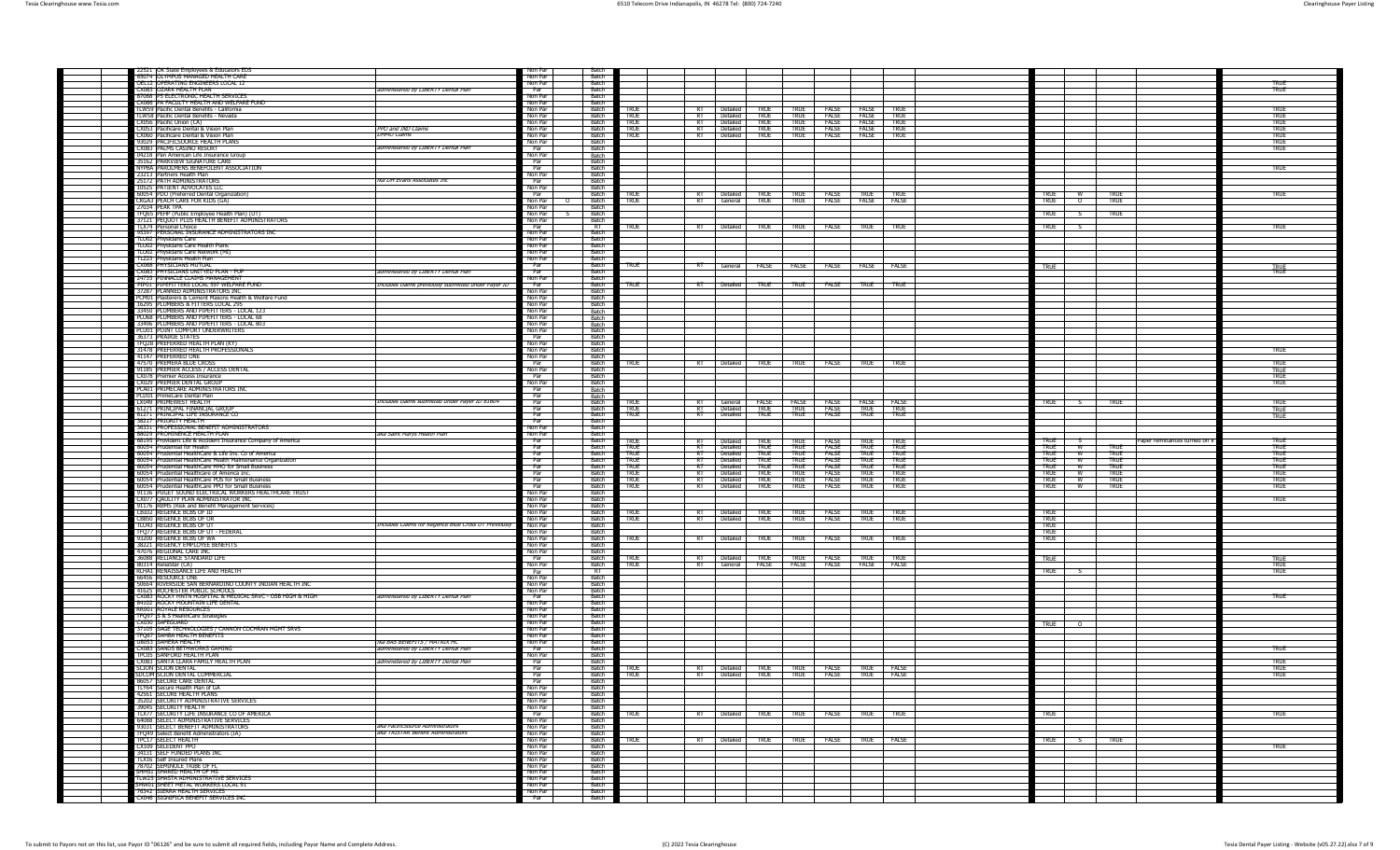| 22521 OK State Employees & Educators EDS                                                                                            | Non Par                   | Batch                        |                            |                      |                                                    |                                                 |                            |                              |                                   |                     |                                         |                                |                             |
|-------------------------------------------------------------------------------------------------------------------------------------|---------------------------|------------------------------|----------------------------|----------------------|----------------------------------------------------|-------------------------------------------------|----------------------------|------------------------------|-----------------------------------|---------------------|-----------------------------------------|--------------------------------|-----------------------------|
| 55074 OLYMPUS MÁNAGED HEALTH CARE<br>OEL12 OPERATING ENGINEERS LOCAL 12                                                             | Non Par                   | Batch                        |                            |                      |                                                    |                                                 |                            |                              |                                   |                     |                                         |                                |                             |
| administered by LIBERTY Dental Plan<br>CX083 OZARK HEALTH PLAN                                                                      | Non Par<br>Par            | Batch<br>Batch               |                            |                      |                                                    |                                                 |                            |                              |                                   |                     |                                         |                                | TRUE<br>TRUE                |
| 87068 P5 ELECTRONIC HEALTH SERVICES<br>CX066 PA FACULTY HEALTH AND WELFARE FUND                                                     | Non Par<br>Non Par        | Batch<br>- Batch             |                            |                      |                                                    |                                                 |                            |                              |                                   |                     |                                         |                                |                             |
| TLW59  Pacific Dental Benefits - California                                                                                         | Non Par                   | - Batch                      | <b>TRUF</b>                | ਸਾ                   | Detailed RUF                                       |                                                 | TRUF                       | FAISE FAISE TRUE             |                                   |                     |                                         |                                | true                        |
| TLW58 Pacific Dental Benefits - Nevada<br>CX056 Pacific Union (CA)                                                                  | Non Par<br>Non Par        | <b>Ratch</b><br><b>Ratch</b> | <b>TRUE</b><br><b>TRUE</b> | ਸਾ<br>RT             | Detailed T<br>Detailed <b>TRUE</b>                 | <b>TRUF</b>                                     | TRUF<br><b>TRUE</b>        | <b>FALSE</b><br><b>FALSE</b> | <b>FALSE</b><br><b>FALSE</b> TRUE | <b>TRUF</b>         |                                         |                                | TRUE<br>TRUE                |
| X053 Pacificare Dental & Vision Plan<br><b>PPO</b> and IND Claims                                                                   | Non Par                   | Batch                        | <b>TRUE</b>                | RT                   | Detailed                                           | <b>TRUE</b>                                     | TRUE                       | FALSE                        | <b>FALSE</b>                      | <b>TRUE</b>         |                                         |                                | TRUE                        |
| CX060 Pacificare Dental & Vision Plan<br><b>DHMO Claims</b><br>93029 PACIFICSOURCE HEALTH PLANS                                     | Non Par<br>Non Par        | Batch<br>Batch               | true                       |                      | RT Detailed                                        | <b>TRUE</b>                                     | TRUE <sup>-1</sup>         | FALSE FALSE TRUE             |                                   |                     |                                         |                                | TRUE<br>TRUE                |
| CX083 PALMS CASINO RESORT<br>administered by LIBERTY Dental Plan                                                                    | Par                       | Batch                        |                            |                      |                                                    |                                                 |                            |                              |                                   |                     |                                         |                                | TRUE                        |
| 04218 Pan American Life Insurance Group<br>35162 PARKVIEW SIGNATURE CARE                                                            | Non Par<br>Par            | Batch<br>Batch               |                            |                      |                                                    |                                                 |                            |                              |                                   |                     |                                         |                                |                             |
| NYPBA PAROLMENS BENEFOLENT ASSOCIATION<br>23213 Partners Health Plan                                                                | Par<br>Non Par            | Ratch<br><b>Batch</b>        |                            |                      |                                                    |                                                 |                            |                              |                                   |                     |                                         |                                | true                        |
| 25172 PATH ADMINISTRATOR!<br>fka DH Evans Associates Inc                                                                            | Par                       | Batch                        |                            |                      |                                                    |                                                 |                            |                              |                                   |                     |                                         |                                |                             |
| 10525 PATIENT ADVOCATES LLC<br>60054 PDO (Preferred Dental Organization)                                                            | Non Par<br>Par            | Batch<br><b>Batch</b>        | TRUF                       |                      | RT Detailed TRUE TRUE FALSE TRUE TRUE              |                                                 |                            |                              |                                   |                     | TRUE   W                                | TRUF                           | <b>TRUE</b>                 |
| CKGA3 PEACH CARE FOR KIDS (GA)                                                                                                      | Non Par                   | Batch                        | <b>TRUE</b>                | RT                   | General TRUE                                       |                                                 | <b>TRUE</b>                | <b>FALSE FALSE FALSE</b>     |                                   |                     | <b>TRUE</b><br>$\overline{\phantom{0}}$ | TRUE                           |                             |
| 27034 PFAK TPA<br>FFQ65 PEHP (Public Employee Health Plan) (UT)                                                                     | Non Par<br>Non Par        | <b>Batch</b><br>Batch        |                            |                      |                                                    |                                                 |                            |                              |                                   |                     | <b>TRUE</b>                             | <b>TRUE</b>                    |                             |
| 37121 PEQUOT PLUS HEALTH BENEFIT ADMINISTRATORS<br><b>TLX74</b> Personal Choice                                                     | Non Par<br>Par            | <b>Batch</b><br>ਸਾ           |                            |                      | RT Detailed TRUE                                   |                                                 | <b>TRUE</b>                | FALSE TRUE TRUE              |                                   |                     |                                         |                                |                             |
| 95397 PERSONAL INSURANCE ADMINISTRATORS INC                                                                                         | Non Par                   | Batch                        | true                       |                      |                                                    |                                                 |                            |                              |                                   |                     | TRUE                                    |                                | TRUE                        |
| <b>TLU02</b> Physicians Care<br><b>TLU02</b> Physicians Care Health Plans                                                           | Non Par<br>Non Par        | Batch<br>Batch               |                            |                      |                                                    |                                                 |                            |                              |                                   |                     |                                         |                                |                             |
| TLU02 Physicians Care Network (MI)                                                                                                  | Non Par                   | Batch                        |                            |                      |                                                    |                                                 |                            |                              |                                   |                     |                                         |                                |                             |
| TLZ23 Physicians Health Plan<br>CX068 PHYSICIANS MUTUAL                                                                             | Non Par<br>Par            | Batch<br><b>Batch</b>        | TRUE                       | $R$ T $\sim$         |                                                    | General   FALSE   FALSE   FALSE   FALSE   FALSE |                            |                              |                                   |                     | <b>TRUE</b>                             |                                |                             |
| CX083 PHYSICIANS UNITYED PLAN - PUP<br>administered by LIBERTY Dental Plan                                                          | Par                       | Batch<br><b>Ratch</b>        |                            |                      |                                                    |                                                 |                            |                              |                                   |                     |                                         |                                | TRUE<br>TRUE                |
| 24735 PINNACLE CLAIMS MANAGEMENT<br>PIP01 PIPEFITTERS LOCAL 597 WELFARE FUND<br>Includes claims previously submitted under Payer ID | Non Par<br>Par            | <b>Ratch</b>                 | TRUE                       |                      | RT Detailed TRUE                                   |                                                 | <b>TRUE</b>                | FALSE                        | <b>TRUE</b>                       | <b>TRUE</b>         |                                         |                                |                             |
| 37287 PLANNED ADMINISTRATORS INC<br>PCM01 Plasterers & Cement Masons Health & Welfare Fund                                          | Non Par<br>Non Par        | Batch<br>Batch               |                            |                      |                                                    |                                                 |                            |                              |                                   |                     |                                         |                                |                             |
| 16295 PLUMBERS & FITTERS LOCAL 295                                                                                                  | Non Par                   | Batch                        |                            |                      |                                                    |                                                 |                            |                              |                                   |                     |                                         |                                |                             |
| 33450 PLUMBERS AND PIPEFITTERS - LOCAL 123<br>PILI68 PILIMBERS AND PIPEFITTERS - LOCAL 68                                           | Non Par<br>Non Par        | Batch<br>Batch               |                            |                      |                                                    |                                                 |                            |                              |                                   |                     |                                         |                                |                             |
| 33496 PLUMBERS AND PIPEFITTERS - LOCAL 803<br>PCU01 POINT COMFORT UNDERWRITERS                                                      | Non Par                   | Batch<br>Batch               |                            |                      |                                                    |                                                 |                            |                              |                                   |                     |                                         |                                |                             |
| 36373 PRAIRIE STATES                                                                                                                | Non Par<br>Par            | Ratch                        |                            |                      |                                                    |                                                 |                            |                              |                                   |                     |                                         |                                |                             |
| TFQ28 PREFERRED HEALTH PLAN (KY)<br>31478 PREFERRED HEALTH PROFESSIONALS                                                            | Non Par<br>Non Par        | <b>Batch</b><br>Batch        |                            |                      |                                                    |                                                 |                            |                              |                                   |                     |                                         |                                | TRUE                        |
| 41147 PREFERRED ONE                                                                                                                 | Non Par                   | <b>Batch</b>                 |                            |                      |                                                    |                                                 |                            |                              |                                   |                     |                                         |                                |                             |
| 47570 PREMERA BLUE CROSS<br>91185 PREMIER ACCESS / ACCESS DENTAL                                                                    | Par<br>Non Par            | Batch<br><b>Batch</b>        | <b>RUE</b>                 | RT                   | Detailed TRUE                                      |                                                 | TRUE <sub>1</sub>          | <b>FALSE</b>                 | <b>TRUE</b>                       | TRUE                |                                         |                                | TRUE                        |
| CX078 Premier Access Insurance                                                                                                      | Par                       | Batch                        |                            |                      |                                                    |                                                 |                            |                              |                                   |                     |                                         |                                | <b>TRUE</b>                 |
| CX029 PREMIER DENTAL GROUP<br>PCA01 PRIMECARE ADMINISTRATORS INC                                                                    | Non Par<br>Par            | Batch<br><b>Batch</b>        |                            |                      |                                                    |                                                 |                            |                              |                                   |                     |                                         |                                | <b>TRUE</b>                 |
| PCD01 PrimeCare Dental Plan<br>LX049 PRIMEWEST HEALTH<br>Includes claims submitted under Payer ID 61604                             | Par<br>Par                | Batch<br>Batch               | TRUE                       |                      |                                                    | General FALSE FALSE                             |                            | <b>FALSE FALSE FALSE</b>     |                                   |                     | TRUE S                                  | <b>TRUE</b>                    | TRUE                        |
| 51271 PRINCIPAL FINANCIAL GROUP                                                                                                     | Par                       | Batch                        | <b>TRUE</b>                |                      | RT Detailed                                        | <b>TRUE</b>                                     | <b>TRUE</b>                | <b>FALSE</b>                 | TRUE <sup>-1</sup>                | <b>TRUE</b>         |                                         |                                | <b>TRUE</b>                 |
| 61271 PRINCIPAL LIFE INSURANCE CO<br>38217 PRIORITY HEALTH                                                                          | Par<br>Par                | Batch<br>Batch               | true                       |                      | RT Detailed TRUE                                   |                                                 | <b>TRUE</b>                | <b>FALSE</b>                 | <b>TRUE</b>                       | <b>TRUF</b>         |                                         |                                | <b>TRUE</b>                 |
| 36331 PROFESSIONAL BENEFIT ADMINISTRATORS                                                                                           | Non Par                   | <b>Batch</b>                 |                            |                      |                                                    |                                                 |                            |                              |                                   |                     |                                         |                                |                             |
|                                                                                                                                     |                           |                              |                            |                      |                                                    |                                                 |                            |                              |                                   |                     |                                         |                                |                             |
| aka Saint Marys Health Plan<br>88029 PROMINENCE HEALTH PLAN<br>68195 Provident Life & Accident Insurance Company of America         | Non Par<br>Par            | Batch<br><b>Ratch</b>        | TRUE                       |                      | Detailed                                           | TRUF                                            | TRUF                       | FALSE                        | TRUF                              | $T$ RU              | <b>TRUE</b>                             | Paper remittances turned off i | TRUF                        |
| 60054 Prudential for Health                                                                                                         | Par                       | <b>Ratch</b><br>Batch        | <b>TRUE</b>                | $\overline{R}$<br>RT | Detailed<br><b>Detailed</b>                        | <b>TRUE</b>                                     | TRUE                       | <b>FALSE</b><br><b>FALSE</b> | <b>TRUE</b>                       | <b>TRUF</b>         | TRUE W<br>W                             | TRUE                           | TRUE                        |
| 60054 Prudential HealthCare & Life Ins. Co of America<br>60054 Prudential HealthCare Health Maintenance Organization                | Par<br>Par                | Batch                        | <b>TRUE</b><br><b>TRUE</b> | ारा ज                | Detailed                                           | <b>TRUE</b><br><b>TRUE</b>                      | TRUE<br><b>TRUE</b>        | FALSE                        | true<br><b>TRUE</b>               | <b>TRUE</b><br>TRUE | <b>TRUE</b><br>TRUE W                   | <b>TRUE</b><br><b>TRUE</b>     | TRUE<br>true                |
| 60054 Prudential HealthCare HMO for Small Business<br>60054 Prudential Healthcare of America Inc.                                   | Par<br>Par                | Batch<br>– Batch             | <b>TRUE</b><br><b>TRUE</b> | RT<br>$R$ T          | Detailed<br>Detailed T                             | TRUF<br>true                                    | <b>TRUE</b><br><b>TRUE</b> | <b>FALSE</b><br><b>FALSE</b> | <b>TRUE</b><br><b>TRUE</b>        | <b>TRUE</b><br>TRUE | <b>TRUE</b><br>- W<br><b>TRUE</b><br>w  | <b>TRUE</b><br><b>TRUE</b>     | <b>TRUE</b><br>true         |
| 60054 Prudential HealthCare POS for Small Business                                                                                  | Par<br>Par                | Batch<br>- Batch             | TRUE                       |                      | RT Detailed                                        | TRUF                                            | TRUF                       | <b>FALSE</b>                 | TRUF TRUF                         |                     | <b>TRUE</b><br>W                        | <b>TRUE</b>                    | TRUF                        |
| 60054 Prudential HealthCare PPO for Small Business<br>91136 PUGET SOUND ELECTRICAL WORKERS HEALTHCARE TRUST                         | Non Par                   | Ratch                        | <b>TRUE</b>                |                      | RT Detailed TRUE                                   |                                                 | TRUE                       | FALSE TRUE TRUE              |                                   |                     | TRUE I W                                | <b>TRUE</b>                    | TRUE                        |
| CX077 QAULITY PLAN ADMINISTRATOR INC<br>91176 RBMS (Risk and Benefit Management Services)                                           | Non Par<br>Non Par        | - Ratch<br>Batch             |                            |                      |                                                    |                                                 |                            |                              |                                   |                     |                                         |                                | TRUE                        |
| CBID2 REGENCE BCBS OF ID                                                                                                            | Non Par                   | Batch                        | TRUE                       |                      | Detailed TRUE                                      |                                                 | TRUE <sup>1</sup>          | <b>FALSE</b>                 | TRUE                              | <b>TRUE</b>         | TRUE                                    |                                |                             |
| CB850 REGENCE BCBS OF OR<br>Includes Claims for Regence Blue Cross UT Previously<br><b>TLU43 REGENCE BCBS OF UT</b>                 | Non Par<br>Non Par        | <b>Batch</b><br>Batch        | <b>TRUE</b>                |                      | RT Detailed TRUE TRUE FALSE TRUE TRUE              |                                                 |                            |                              |                                   |                     | <b>TRUE</b><br><b>TRUE</b>              |                                |                             |
| TFO77 IREGENCE BCBS OF UT - FEDERAL<br>93200 REGENCE BCBS OF WA                                                                     | Non Par<br>Non Par        | <b>Batch</b><br>Batch        | true                       |                      | RT   Detailed   TRUE                               |                                                 | <b>TRUE</b>                | FALSE TRUE TRUE              |                                   |                     | TRUF<br><b>TRUE</b>                     |                                |                             |
| 38221 REGENCY EMPLOYEE BENEFITS                                                                                                     | Non Par                   | Ratch<br>Ratch               |                            |                      |                                                    |                                                 |                            |                              |                                   |                     |                                         |                                |                             |
| 47076 REGIONAL CARE INC<br>36088 RELIANCE STANDARD LIFE                                                                             | Non Par<br>Par            | <b>Batch</b>                 | <b>TRUE</b>                |                      | Detailed TRUE                                      |                                                 | <b>TRUE</b>                | FALSE                        | TRUE                              | TRUF                | TRUE                                    |                                |                             |
| 80314 ReliaStar (CA)<br>RLHA1 RENAISSANCE LIFE AND HEALTH                                                                           | Non Par                   | <b>Batch</b><br>$R$ T        | true                       |                      | RT General FALSE FALSE                             |                                                 |                            | <b>FALSE FALSE FALSE</b>     |                                   |                     | <b>TRUE</b>                             |                                | <b>TRUE</b><br>TRUE<br>TRUE |
| 66456 RESOURCE ONE                                                                                                                  | Par<br>Non Par            | Batch                        |                            |                      |                                                    |                                                 |                            |                              |                                   |                     |                                         |                                |                             |
| 50664 RIVERSIDE SAN BERNARDINO COUNTY INDIAN HEALTH INC<br>41625 ROCHESTER PUBLIC SCHOOLS                                           | Non Par<br>Non Par        | Batch<br><b>Batch</b>        |                            |                      |                                                    |                                                 |                            |                              |                                   |                     |                                         |                                |                             |
| CX083 ROCKY MNTN HOSPITAL & MEDICAL SRVC - OSB HIGH & HIGH<br>administered by LIBERTY Dental Plan                                   | Par<br>Non Par            | Batch<br><b>Ratch</b>        |                            |                      |                                                    |                                                 |                            |                              |                                   |                     |                                         |                                | TRUE                        |
| 84102 ROCKY MOUNTAIN LIFE DENTAL<br>RR001 ROYALE RESOURCES                                                                          | Non Par                   | <b>Ratch</b>                 |                            |                      |                                                    |                                                 |                            |                              |                                   |                     |                                         |                                |                             |
| TFQ97 S & S HealthCare Strategies<br>CX030 SAFEGUARD                                                                                | Non Par<br>Non Par        | Batch<br>Batch               |                            |                      |                                                    |                                                 |                            |                              |                                   |                     |                                         |                                |                             |
| 37105 SAGE TECHNOLOGIES / CANNON COCHRAN MGMT SRVS                                                                                  | Non Par                   | Batch                        |                            |                      |                                                    |                                                 |                            |                              |                                   |                     | TRUE 0                                  |                                |                             |
| TFQ67 SAMBA HEALTH BENEFITS<br>U8053 SAMERA HEALTH<br>fka BAS BENEFITS / MATRIX HC                                                  | Non Par<br>Non Par        | Batch<br><b>Batch</b>        |                            |                      |                                                    |                                                 |                            |                              |                                   |                     |                                         |                                |                             |
| CX083 SANDS BETHWORKS GAMING<br>administered by LIBERTY Dental Plan<br>TPC05 SANFORD HEALTH PLAN                                    | Par<br>Non Par            | - Batch<br>Ratch             |                            |                      |                                                    |                                                 |                            |                              |                                   |                     |                                         |                                | TRUE                        |
| administered by LIBERTY Dental Plan<br>CX083 SANTA CLARA FAMILY HEALTH PLAN                                                         | Par                       | Batch                        |                            |                      |                                                    |                                                 |                            |                              |                                   |                     |                                         |                                | TRUF                        |
| SCION DENTA<br>SDCOM SCION DENTAL COMMERCIAL                                                                                        | Par<br>Par                | Batch<br>Batch               | TRUE                       |                      | RT Detailed TRUE TRUE FALSE TRUE FALSE             | Detailed TRUE TRUE FALSE TRUE                   |                            |                              |                                   | FALSE               |                                         |                                | <b>TRUE</b><br>TRUE         |
| 86057 SECURE CARE DENTAL                                                                                                            | Par                       | Batch<br>Batch               |                            |                      |                                                    |                                                 |                            |                              |                                   |                     |                                         |                                |                             |
| TLY64 Secure Health Plan of GA<br>42561 SECURE HEALTH PLANS                                                                         | Non Par<br>Non Par        | Batch                        |                            |                      |                                                    |                                                 |                            |                              |                                   |                     |                                         |                                |                             |
| 35202 SECURITY ADMINISTRATIVE SERVICES<br>39045 SECURITY HEALTH                                                                     | Non Par<br>Non Par        | Batch<br>Ratch               |                            |                      |                                                    |                                                 |                            |                              |                                   |                     |                                         |                                |                             |
| TLX77 SECURITY LIFE INSURANCE CO OF AMERICA                                                                                         | <b>Par</b>                | <b>Ratch</b>                 | <b>TRUE</b>                |                      | RT Detailed TRUE TRUE FALSE TRUE TRUE              |                                                 |                            |                              |                                   |                     | TRUE                                    |                                | true                        |
| 64088 SELECT ADMINISTRATIVE SERVICES<br>aka PacificSource Administrators<br>93031 SELECT BENEFIT ADMINISTRATORS                     | Non Par<br>Non Par        | <b>Batch</b><br>Ratch        |                            |                      |                                                    |                                                 |                            |                              |                                   |                     |                                         |                                |                             |
| TFQ49 Select Benefit Administrators (IA)<br>aka TRISTAR Benefit Administrators                                                      | Non Par                   | Batch<br>Batch               |                            |                      |                                                    |                                                 |                            |                              |                                   |                     |                                         |                                |                             |
| TPC17 SELECT HEALTH<br>CX109 SELEDENT PPO                                                                                           | Non Par<br>Non Par        | Batch                        | <b>TRUE</b>                |                      | RT   Detailed   TRUE   TRUE   FALSE   TRUE   FALSE |                                                 |                            |                              |                                   |                     | TRUE S TRUE                             |                                | TRUE                        |
| 34131 SELF FUNDED PLANS INC<br>TLX16 Self Insured Plans                                                                             | Non Par<br>Non Par        | Batch<br>Batch               |                            |                      |                                                    |                                                 |                            |                              |                                   |                     |                                         |                                |                             |
| 78702 SEMINOLE TRIBE OF F                                                                                                           | Non Par                   | - Ratch<br>Ratch             |                            |                      |                                                    |                                                 |                            |                              |                                   |                     |                                         |                                |                             |
| SHMS1 SHARED HEALTH OF MS<br>TLW25 SHASTA ADMINISTRATIVE SERVICES                                                                   | Non Par<br>Non Par        | <b>Batch</b>                 |                            |                      |                                                    |                                                 |                            |                              |                                   |                     |                                         |                                |                             |
| SMW01 SHEET METAL WORKERS LOCAL 91<br>76342 SIERRA HEALTH SERVICES<br>CX046 SIGNIFICA BENEFIT SERVICES INC                          | Non Par<br>Non Par<br>Par | Batch<br>Batch<br>Batch      |                            |                      |                                                    |                                                 |                            |                              |                                   |                     |                                         |                                |                             |

To submit to Payors not on this list, use Payor ID "06126" and be sure to submit all required fields, including Payor Name and Complete Address. (C) 2022 Tesia Clearinghouse Tesia Dental Payer Listing ‐ Website (v05.27.22).xlsx 7 of 9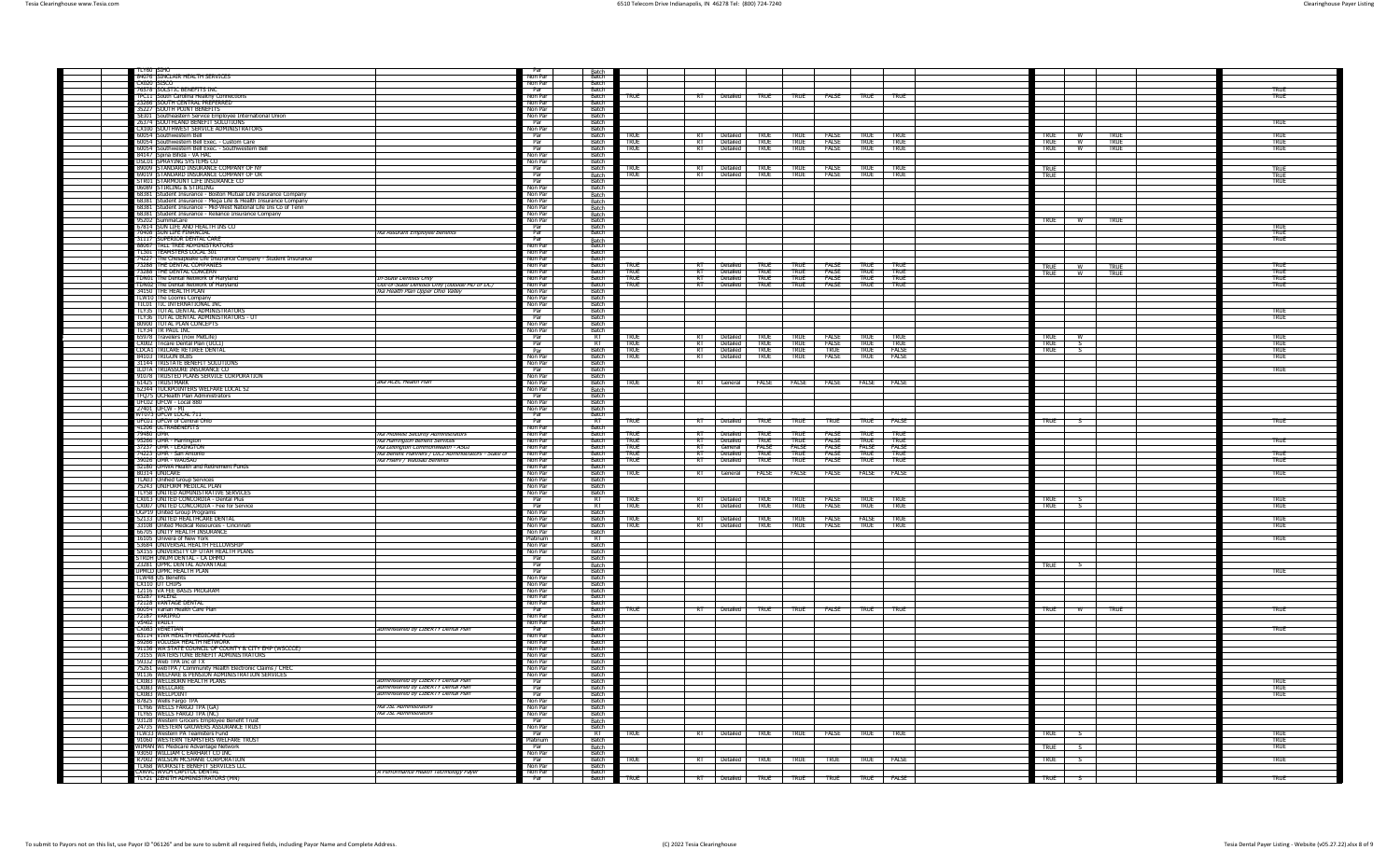| ti y60 isthc                                                                                                            |                                                                                            | Non Par                 | Batch<br>Ratch                   |                            |                 |                         |                            |                                                            |                                          |                     |                            |                                             |                     |                     |
|-------------------------------------------------------------------------------------------------------------------------|--------------------------------------------------------------------------------------------|-------------------------|----------------------------------|----------------------------|-----------------|-------------------------|----------------------------|------------------------------------------------------------|------------------------------------------|---------------------|----------------------------|---------------------------------------------|---------------------|---------------------|
| 84076 SINCLAIR HEALTH SERVICES                                                                                          |                                                                                            | Non Par                 | Ratch                            |                            |                 |                         |                            |                                                            |                                          |                     |                            |                                             |                     |                     |
| <b>76578 SOLSTIC BENEFITS IN</b><br>TPC11 South Carolina Healthy Connections                                            |                                                                                            | Par<br>Non Par          | <b>Batch</b><br>Batch            | <b>TRUE</b>                | RT              | <b>Detailed</b>         | TRUE                       | TRUE                                                       | FALSE                                    | TRUE                | TRUE                       |                                             |                     | TRUF<br><b>TRUE</b> |
| 23266 SOUTH CENTRAL PREFERRED                                                                                           |                                                                                            | Non Par                 | Batch                            |                            |                 |                         |                            |                                                            |                                          |                     |                            |                                             |                     |                     |
| 35227 SOUTH POINT BENEFITS                                                                                              |                                                                                            | Non Par                 | Batch                            |                            |                 |                         |                            |                                                            |                                          |                     |                            |                                             |                     |                     |
| Southeastern Service Employee International Union<br>SEI01<br>26374 SOUTHLAND BENEFIT SOLUTIONS                         |                                                                                            | Non Par<br>Par          | Batch<br><b>Ratch</b>            |                            |                 |                         |                            |                                                            |                                          |                     |                            |                                             |                     | <b>TRUE</b>         |
| CX100 SOUTHWEST SERVICE ADMINISTRATORS                                                                                  |                                                                                            | Non Par                 | Batch                            |                            |                 |                         |                            |                                                            |                                          |                     |                            |                                             |                     |                     |
| 60054 Southwestern Bell<br>60054 Southwestern Bell Exec. - Custom Care                                                  |                                                                                            | Par                     | Batch<br>Batch                   | TRUE                       | $R$ T           | Detailed TRUE           |                            | TRUE FALSE                                                 |                                          | TRUE<br>T RUE       | <b>TRUE</b><br><b>TRUE</b> | <b>TRUE</b><br>w<br><b>TRUE</b><br><b>W</b> | <b>TRUE</b><br>TRUE | TRUE<br>TRUE        |
| 60054 Southwestern Bell Exec. - Southwestern Bell                                                                       |                                                                                            | Par<br>Par              | <b>Batch</b>                     | <b>TRUE</b><br>TRUF        | RT              | RT Detailed<br>Detailed |                            | TRUE TRUE FALSE                                            |                                          | TRUF                | TRUF                       | <b>TRUF</b><br><b>W</b>                     | TRUF                | TRUF                |
| 84147 Spina Bifida - VA HAC<br>DSC01 SPRAYING SYSTEMS                                                                   |                                                                                            | Non Par                 | Batcl                            |                            |                 |                         |                            |                                                            |                                          |                     |                            |                                             |                     |                     |
| 89009 STANDARD INSURANCE COMPANY OF NY                                                                                  |                                                                                            | Non Par                 | Batch<br><b>Batch</b>            | TRUF                       |                 |                         |                            | RT Detailed TRUE TRUE FALSE                                |                                          | TRUF                | TRIF                       |                                             |                     |                     |
| 69019 STANDARD INSURANCE COMPANY OF OR                                                                                  |                                                                                            | Par<br>Par              |                                  | TRUE                       |                 | RT Detailed             | <b>TRUE</b>                | <b>TRUE</b>                                                | <b>FALSE</b>                             | <b>TRUE</b>         | TRUE                       | <b>TRUE</b><br><b>TRUE</b>                  |                     | <b>TRUE</b>         |
| STR01 STARMOUNT LIFE INSURANCE CO                                                                                       |                                                                                            | Par<br>Non Par          | Batch<br>Batch<br>Ratch          |                            |                 |                         |                            |                                                            |                                          |                     |                            |                                             |                     | <b>TRUE</b><br>TRUE |
| 06089 STIRLING & STIRLING<br>68381 Student Insurance - Boston Mutual Life Insurance Company                             |                                                                                            | Non Par                 | Batch                            |                            |                 |                         |                            |                                                            |                                          |                     |                            |                                             |                     |                     |
| 68381 Student Insurance - Mega Life & Health Insurance Company                                                          |                                                                                            | Non Par                 | Batch                            |                            |                 |                         |                            |                                                            |                                          |                     |                            |                                             |                     |                     |
| 68381 Student Insurance - Mid-West National Life Ins Co of Tenn<br>68381 Student Insurance - Reliance Insurance Company |                                                                                            | Non Par                 | Batch                            |                            |                 |                         |                            |                                                            |                                          |                     |                            |                                             |                     |                     |
| 95202 SummaCare                                                                                                         |                                                                                            | Non Par<br>Non Par      | Batch<br>Batch                   |                            |                 |                         |                            |                                                            |                                          |                     |                            | <b>TRUE</b><br><b>W</b>                     | <b>TRUE</b>         |                     |
| 67814 SUN LIFE AND HEALTH INS CO                                                                                        |                                                                                            | Par                     | Ratch                            |                            |                 |                         |                            |                                                            |                                          |                     |                            |                                             |                     | TRIF                |
| 70408 SUN LIFE FINANCIAL<br>31117 SUPERIOR DENTAL CARE                                                                  | fka Assurant Employee Benefits                                                             | Par<br>$\overline{Par}$ | Batch                            |                            |                 |                         |                            |                                                            |                                          |                     |                            |                                             |                     | TRUF<br>TRUE        |
| 88067 TALL TREE ADMINISTRATORS                                                                                          |                                                                                            | Non Par                 | Batch                            |                            |                 |                         |                            |                                                            |                                          |                     |                            |                                             |                     |                     |
| TL301 TEAMSTERS LOCAL 301                                                                                               |                                                                                            | Non Par                 | Batch<br>Batch                   |                            |                 |                         |                            |                                                            |                                          |                     |                            |                                             |                     |                     |
| 74227 The Chesapeake Life Insurance Company - Student Insurance<br>73288 THE DENTAL COMPANIES                           |                                                                                            | Non Par<br>Non Par      | Ratch                            | TRIF                       |                 |                         |                            | RT Detailed TRUE TRUE FALSE                                |                                          | TRUF                | TRIF                       | <b>TRUE</b><br>W                            | <b>TRUE</b>         | TRITE               |
| 73288 THE DENTAL CONCERN                                                                                                |                                                                                            | Non Par                 | Batch                            | TRUE                       |                 |                         |                            | RT Detailed TRUE TRUE FALSE<br>RT Detailed TRUE TRUE FALSE |                                          | <b>TRUE</b>         | <b>TRUE</b>                | <b>TRUE</b>                                 | W TRUE              | TRUE                |
| TDN01 The Dental Network of Marylan<br>TDN02 The Dental Network of Maryland                                             | In-State Dentists Only<br>Dut-of-State Dentists Only (outside MD or DC)                    | Non Par<br>Non Par      | Ratch<br>Ratch                   | <b>TRUE</b><br><b>TRUE</b> |                 | RT Detailed             | <b>TRUF</b>                | TRUE FALSE                                                 |                                          | TRUE<br><b>TRUE</b> | TRUE<br><b>TRUF</b>        |                                             |                     | TRUE<br>TRUF        |
| 34150 THE HEALTH PLAN                                                                                                   | tka Health Plan Upper Ohio Valley                                                          | Non Par                 | Batch                            |                            |                 |                         |                            |                                                            |                                          |                     |                            |                                             |                     |                     |
| TLW10 The Loomis Company                                                                                                |                                                                                            | Non Par                 | Batch                            |                            |                 |                         |                            |                                                            |                                          |                     |                            |                                             |                     |                     |
| TIC01 TIC INTERNATIONAL INC<br>TLY35 TOTAL DENTAL ADMINISTRATORS                                                        |                                                                                            | Non Par<br>Par          | Ratch<br>Batch                   |                            |                 |                         |                            |                                                            |                                          |                     |                            |                                             |                     | TRUE                |
| TLY36 TOTAL DENTAL ADMINISTRATORS - UT                                                                                  |                                                                                            | Par                     | Batch                            |                            |                 |                         |                            |                                                            |                                          |                     |                            |                                             |                     | TRUF                |
| 80900 TOTAL PLAN CONCEPTS                                                                                               |                                                                                            | Non Par                 | Ratch                            |                            |                 |                         |                            |                                                            |                                          |                     |                            |                                             |                     |                     |
| TIY34 TR PAUL TNC<br>65978 Travelers (now MetLife                                                                       |                                                                                            | Non Par<br>Par          | <b>Batch</b><br>$R$ T            | TRUE                       |                 |                         |                            | Detailed TRUE TRUE FALSE                                   |                                          | TRUF                | TRUF                       | TRUF                                        |                     | TRUE                |
| CX002 Tricare Dental Plan (UCCI)<br>CDCA1 TRICARE RETIREE DENTAL                                                        |                                                                                            | Par                     | $p_{\text{T}}$                   | TRUE                       | $p_{\text{T}}$  | <b>Detailed</b>         |                            | TRUE TRUE FALSE                                            |                                          | TRUE <sub>1</sub>   | TRIF                       | <b>TRUE</b>                                 |                     | TRIIF               |
| 84103 TRIGON BCBS                                                                                                       |                                                                                            | Par<br>Non Par          | Batch                            | TRUF                       | ╦               | <b>Detailed</b>         |                            | TRUE TRUE<br>TRUE TRUE                                     | <b>TRUF</b>                              | <b>TRUF</b>         | <b>FALSE</b>               | TRUF                                        |                     | TRUF                |
| 31144 TRISTATE BENEFIT SOLUTIONS                                                                                        |                                                                                            | Non Par                 | Batch<br>Ratch                   | TRUE                       |                 | RT Detailed             |                            |                                                            | FALSE                                    | <b>TRUE</b>         | FALSE                      |                                             |                     | <b>TRUE</b>         |
| <b>ILDTA TRUASSURE INSURANCE CO.</b>                                                                                    |                                                                                            | Par                     | Ratch                            |                            |                 |                         |                            |                                                            |                                          |                     |                            |                                             |                     | TRUF                |
| 91078 TRUSTED PLANS SERVICE CORPORATION<br>61425 TRUSTMARK                                                              | aka ACEC Health Plan                                                                       | Non Par<br>Non Par      | Batch<br>Batch                   | <b>TRUE</b>                |                 |                         |                            |                                                            | RT General FALSE FALSE FALSE FALSE FALSE |                     |                            |                                             |                     |                     |
| 62344 TUCKPOINTERS WELFARE LOCAL 52                                                                                     |                                                                                            | Non Par                 |                                  |                            |                 |                         |                            |                                                            |                                          |                     |                            |                                             |                     |                     |
| TFQ75 UCHealth Plan Administrators                                                                                      |                                                                                            | Par                     | Batch<br>Batch                   |                            |                 |                         |                            |                                                            |                                          |                     |                            |                                             |                     |                     |
| UFC02 UFCW - Local 880                                                                                                  |                                                                                            | Non Par<br>Non Par      | Batch<br>Batch                   |                            |                 |                         |                            |                                                            |                                          |                     |                            |                                             |                     |                     |
| VT073 UFCW LOCAL 71:                                                                                                    |                                                                                            | Par                     | Batch                            |                            |                 |                         |                            |                                                            |                                          |                     |                            |                                             |                     |                     |
| UFC01 UFCW of Central Ohio                                                                                              |                                                                                            | Par                     | न्ति                             | TRUE                       | RT              | Detailed                | TRUE                       | TRUE                                                       | TRUE                                     | TRUE                | <b>FALSE</b>               | TRUE                                        |                     | TRUE                |
| 41206 ULTRABENEFITS<br>79480 UMR                                                                                        | tka Midwest Security Administrators                                                        | Non Par<br>Non Par      | Ratch<br><b>Batch</b>            | TRUE                       | $\overline{R}$  | Detailed                | TRUE                       | TRUF                                                       | <b>FALSE</b>                             | TRUE                | TRUE                       |                                             |                     |                     |
| 95266 UMR - Harrington                                                                                                  | tka Harrington Benefit Services                                                            | Non Par                 | Batch                            | TRUE                       |                 | Detailed                | TRUE                       | TRUE                                                       | <b>FALSE</b>                             |                     | <b>TRUE</b>                |                                             |                     | <b>TRUE</b>         |
| 37237 TIMR - LEXINGTON                                                                                                  | tka Lexington Commonwealth - ASGT<br>tka Benetit Planners / UICI Administrators - State of | Non Par                 | Ratch                            | TRIF                       | $R$ T           | General                 | <b>FAISE</b>               | <b>FAISE</b>                                               | <b>FAISE</b>                             | <b>FAISE</b>        | <b>FAISE</b>               |                                             |                     |                     |
| 74223 UMR - San Antonio<br>39026 UMR - WAUSAU                                                                           | tka Fisery / Wausau Benefits                                                               | Non Par<br>Non Par      | Batch<br>Batc                    | TRUE<br>TRUE               |                 | RT Detailed<br>Detailed | <b>TRUF</b><br><b>TRUE</b> | TRUE FAISE<br>TRUE                                         | FALSE                                    | TRUF<br><b>TRUE</b> | TRUF<br>TRUE               |                                             |                     | TRUE<br><b>TRUE</b> |
| 52180 UMWA Health and Retirement Funds                                                                                  |                                                                                            | Non Par                 | Ratcl                            |                            |                 |                         |                            |                                                            |                                          |                     |                            |                                             |                     |                     |
| 80314 UNICARE                                                                                                           |                                                                                            | Non Par<br>Non Par      | Batch<br>Batch                   | <b>TRUE</b>                | RT              | General                 | FALSE                      | <b>FALSE</b>                                               | FALSE                                    | FALSE               | FALSE                      |                                             |                     | TRUE                |
| TLA03 Unified Group Services<br>75243 UNIFORM MEDICAL PLAN<br>TLY58 UNITED ADMINISTRATIVE SERVICES                      |                                                                                            | Non Par                 | Batch                            |                            |                 |                         |                            |                                                            |                                          |                     |                            |                                             |                     |                     |
|                                                                                                                         |                                                                                            | Non Par                 | Batch                            |                            |                 |                         |                            |                                                            |                                          |                     |                            |                                             |                     |                     |
| CX013 UNITED CONCORDIA - Dental Plus<br>CX007 UNITED CONCORDIA - Fee for Service                                        |                                                                                            | Par                     | $\overline{R}$<br>$p_{\text{T}}$ | true<br>TRUE               |                 | RT Detailed             | <b>TRUE</b>                | Detailed TRUE TRUE FALSE<br>TRUE FALSE                     |                                          | <b>TRUE</b><br>TRUE | <b>TRUE</b><br><b>TRUE</b> | <b>TRUE</b><br>TRUE                         |                     | TRUE<br>TRUE        |
| <b>UGP19 United Group Programs</b>                                                                                      |                                                                                            | Par<br>Non Par          | Batch                            |                            |                 |                         |                            |                                                            |                                          |                     |                            |                                             |                     |                     |
| 52133 UNITED HEALTHCARE DENTAL                                                                                          |                                                                                            | Non Par<br>Non Par      | Batcl<br>Batch                   | TRUE                       | $\overline{DT}$ | Detailed<br>RT Detailed |                            | TRUE TRUE FALSE                                            |                                          | FALSE               | TRUE                       |                                             |                     | TRUE                |
| 33108 United Medical Resources - Cincin<br>66705 UNITY HEALTH INSURANCE                                                 |                                                                                            | Non Par                 | Batch                            | <b>TRUE</b>                |                 |                         | TRUE <sub>1</sub>          | TRUE FALSE                                                 |                                          | <b>TRUE</b>         | <b>TRUE</b>                |                                             |                     | TRUE                |
| 16105 Univera of New York                                                                                               |                                                                                            | Platinum                | $\overline{R}$                   |                            |                 |                         |                            |                                                            |                                          |                     |                            |                                             |                     | <b>TRUE</b>         |
| 53684 UNIVERSAL HEALTH FELLOWSHI<br>SX155 UNIVERSITY OF UTAH HEALTH PLANS                                               |                                                                                            | Non Par<br>Non Par      | Batch<br>Batch                   |                            |                 |                         |                            |                                                            |                                          |                     |                            |                                             |                     |                     |
| STRDH UNUM DENTAL - CA DHMO                                                                                             |                                                                                            | Par                     | Batch                            |                            |                 |                         |                            |                                                            |                                          |                     |                            |                                             |                     |                     |
| 23281 UPMC DENTAL ADVANTAGE                                                                                             |                                                                                            | Par<br>Par              | Batch                            |                            |                 |                         |                            |                                                            |                                          |                     |                            | -2<br>TRUE                                  |                     | TRUE                |
| TLW48 US Benefits                                                                                                       |                                                                                            | Non Par                 | Batch                            |                            |                 |                         |                            |                                                            |                                          |                     |                            |                                             |                     |                     |
| CX110 UT CHIPS<br>12116 VA FEE BASIS PROGRAM                                                                            |                                                                                            | Non Par                 | Batch                            |                            |                 |                         |                            |                                                            |                                          |                     |                            |                                             |                     |                     |
| 65287 VALENZ                                                                                                            |                                                                                            | Non Par<br>Non Par      | Batch<br>Batch                   |                            |                 |                         |                            |                                                            |                                          |                     |                            |                                             |                     |                     |
| 72128 VANTAGE DENTAL<br>60054 VanTAGE DENTAL                                                                            |                                                                                            | Non Par                 | <b>Ratch</b>                     |                            |                 |                         |                            |                                                            |                                          |                     |                            |                                             |                     |                     |
|                                                                                                                         |                                                                                            | Par                     | <b>Batch</b>                     | <b>TRUE</b>                |                 |                         |                            | RT Detailed TRUE TRUE FAISE                                |                                          | TRUF                | TRUF                       | TRUF<br>– w                                 | TRUF                | <b>TRUE</b>         |
| 72187 VARIPRO<br>VS402 VALILT                                                                                           |                                                                                            | Non Par<br>Non Par      | Batch<br>Ratch                   |                            |                 |                         |                            |                                                            |                                          |                     |                            |                                             |                     |                     |
| CX083 VENETIAN                                                                                                          | administered by LIBERTY Dental Plan                                                        | Par                     | Ratch                            |                            |                 |                         |                            |                                                            |                                          |                     |                            |                                             |                     | TRUF                |
| 63114 VIVA HEALTH MEDICARE PLUS                                                                                         |                                                                                            | Non Par                 | Batch                            |                            |                 |                         |                            |                                                            |                                          |                     |                            |                                             |                     |                     |
| 59266 VOLUSIA HEALTH NETWORK<br>91136 WA STATE COUNCIL OF COUNTY & CITY EMP (WSCCCE)                                    |                                                                                            | Non Par<br>Non Par      | Batch<br>Batch                   |                            |                 |                         |                            |                                                            |                                          |                     |                            |                                             |                     |                     |
| 73155 WATERSTONE BENEFIT ADMINISTRATORS                                                                                 |                                                                                            | Non Par                 | Batch                            |                            |                 |                         |                            |                                                            |                                          |                     |                            |                                             |                     |                     |
| 59332 Web TPA Inc of TX                                                                                                 |                                                                                            | Non Par<br>Non Par      | Ratch<br>Ratch                   |                            |                 |                         |                            |                                                            |                                          |                     |                            |                                             |                     |                     |
| 55261 Web TPA / Community Health Electronic Claims / CHEC<br>75261 WebTPA / Community Health Electronic Claims / CHEC   |                                                                                            | Non Par                 | Batch                            |                            |                 |                         |                            |                                                            |                                          |                     |                            |                                             |                     |                     |
| CX083 WELLBORN HEALTH PLANS                                                                                             | administered by LIBERTY Dental Plan                                                        | $Par$<br>Par            | Batch<br>Ratch                   |                            |                 |                         |                            |                                                            |                                          |                     |                            |                                             |                     | TRIIF               |
| CX083 WELLCARE<br>CX083 WELLPOINT                                                                                       | administered by LIBERTY Dental Plan<br>administered by LIBERTY Dental Plan                 | Par                     | Batch                            |                            |                 |                         |                            |                                                            |                                          |                     |                            |                                             |                     | TRITE<br>TRUE       |
| 87825 Wells Fargo TPA<br>TLY66 WELLS FARGO TPA (GA                                                                      |                                                                                            | Non Par                 | Batch                            |                            |                 |                         |                            |                                                            |                                          |                     |                            |                                             |                     |                     |
| TIY65 WELLS FARGO TPA (NC)                                                                                              | fka JSL Administrators<br>fka JSL Administrators                                           | Non Par<br>Non Par      | <b>Batch</b><br>Batch            |                            |                 |                         |                            |                                                            |                                          |                     |                            |                                             |                     |                     |
|                                                                                                                         |                                                                                            | Par                     |                                  |                            |                 |                         |                            |                                                            |                                          |                     |                            |                                             |                     |                     |
| 93128 Western Grocers Employee Benefit Trust<br>24735 WESTERN GROWERS ASSURANCE TRUST                                   |                                                                                            | Non Par                 | Batch<br>Batch                   |                            |                 |                         |                            |                                                            |                                          |                     |                            |                                             |                     |                     |
| TLW33 Western PA Teamsters Fund<br>91060 WESTERN TEAMSTERS WELFARE TRUST                                                |                                                                                            | Platinum                | RT<br>Batch                      | <b>TRUE</b>                | RT              | Detailed                | TRUE                       | TRUE                                                       | FALSE                                    | TRUE                | TRUE                       | TRUE                                        |                     | TRUE<br>TRUE        |
| WIMAN WI Medicare Advantage Network                                                                                     |                                                                                            | Par                     |                                  |                            |                 |                         |                            |                                                            |                                          |                     |                            | <b>TRUE</b>                                 |                     | TRUE                |
| 93050 WILLIAM C FARHART CO INC.                                                                                         |                                                                                            | Non Par                 | Batch<br>Batch                   |                            |                 |                         |                            |                                                            |                                          |                     |                            |                                             |                     |                     |
| R7002 WILSON MCSHANE CORPORATION<br>TLX68 WORKSITE BENEFIT SERVICES LLO                                                 |                                                                                            | Par<br>Non Par          | Batch<br><b>Batch</b>            | TRUE                       |                 |                         |                            | RT Detailed TRUE TRUE TRUE                                 |                                          | <b>TRUE</b>         | FALSE                      | TRUE<br>- S                                 |                     | TRUE                |
| CXWVC WVCH CAPITOL DENTAL                                                                                               | A Performance Health Technology Payer                                                      | Non Par                 | <b>Batch</b>                     |                            |                 |                         |                            |                                                            |                                          |                     |                            |                                             |                     |                     |
| TLY21 ZENITH ADMINISTRATORS (MN)                                                                                        |                                                                                            | Par                     | Batch                            | TRUF                       |                 |                         |                            |                                                            | RT Detailed TRUE TRUE TRUE TRUE FALSE    |                     |                            | TRUF                                        |                     | TRUE                |